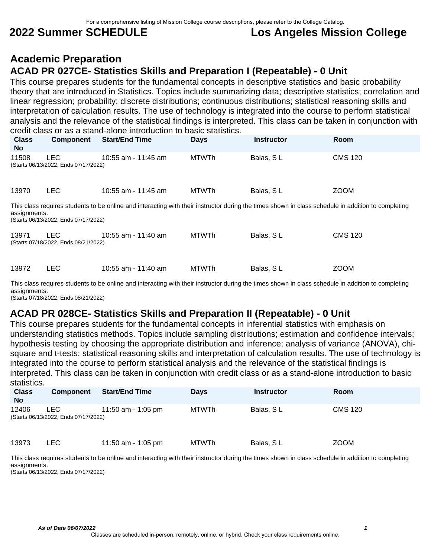#### **Academic Preparation ACAD PR 027CE- Statistics Skills and Preparation I (Repeatable) - 0 Unit**

This course prepares students for the fundamental concepts in descriptive statistics and basic probability theory that are introduced in Statistics. Topics include summarizing data; descriptive statistics; correlation and linear regression; probability; discrete distributions; continuous distributions; statistical reasoning skills and interpretation of calculation results. The use of technology is integrated into the course to perform statistical analysis and the relevance of the statistical findings is interpreted. This class can be taken in conjunction with credit class or as a stand-alone introduction to basic statistics.

| <b>Class</b><br>No. | <b>Component</b>                                                                                                                                                                                           | <b>Start/End Time</b> | <b>Days</b>  | <b>Instructor</b> | <b>Room</b>    |  |  |
|---------------------|------------------------------------------------------------------------------------------------------------------------------------------------------------------------------------------------------------|-----------------------|--------------|-------------------|----------------|--|--|
| 11508               | <b>LEC</b><br>(Starts 06/13/2022, Ends 07/17/2022)                                                                                                                                                         | 10:55 am - 11:45 am   | <b>MTWTh</b> | Balas, SL         | <b>CMS 120</b> |  |  |
| 13970               | <b>LEC</b>                                                                                                                                                                                                 | 10:55 am - 11:45 am   | <b>MTWTh</b> | Balas, SL         | <b>ZOOM</b>    |  |  |
|                     | This class requires students to be online and interacting with their instructor during the times shown in class schedule in addition to completing<br>assignments.<br>(Starts 06/13/2022, Ends 07/17/2022) |                       |              |                   |                |  |  |
| 13971               | <b>LEC</b><br>(Starts 07/18/2022, Ends 08/21/2022)                                                                                                                                                         | 10:55 am - 11:40 am   | <b>MTWTh</b> | Balas, SL         | <b>CMS 120</b> |  |  |
| 13972               | <b>LEC</b>                                                                                                                                                                                                 | 10:55 am - 11:40 am   | <b>MTWTh</b> | Balas, SL         | <b>ZOOM</b>    |  |  |

This class requires students to be online and interacting with their instructor during the times shown in class schedule in addition to completing assignments.

#### (Starts 07/18/2022, Ends 08/21/2022)

#### **ACAD PR 028CE- Statistics Skills and Preparation II (Repeatable) - 0 Unit**

This course prepares students for the fundamental concepts in inferential statistics with emphasis on understanding statistics methods. Topics include sampling distributions; estimation and confidence intervals; hypothesis testing by choosing the appropriate distribution and inference; analysis of variance (ANOVA), chisquare and t-tests; statistical reasoning skills and interpretation of calculation results. The use of technology is integrated into the course to perform statistical analysis and the relevance of the statistical findings is interpreted. This class can be taken in conjunction with credit class or as a stand-alone introduction to basic statistics.

| <b>Class</b><br><b>No</b> | Component                                    | <b>Start/End Time</b> | <b>Days</b> | <b>Instructor</b> | <b>Room</b> |
|---------------------------|----------------------------------------------|-----------------------|-------------|-------------------|-------------|
| 12406                     | LEC.<br>(Starts 06/13/2022, Ends 07/17/2022) | 11:50 am - 1:05 pm    | MTWTh       | Balas, SL         | CMS 120     |
| 13973                     | LEC.                                         | 11:50 am - 1:05 pm    | MTWTh       | Balas, SL         | <b>ZOOM</b> |

This class requires students to be online and interacting with their instructor during the times shown in class schedule in addition to completing assignments.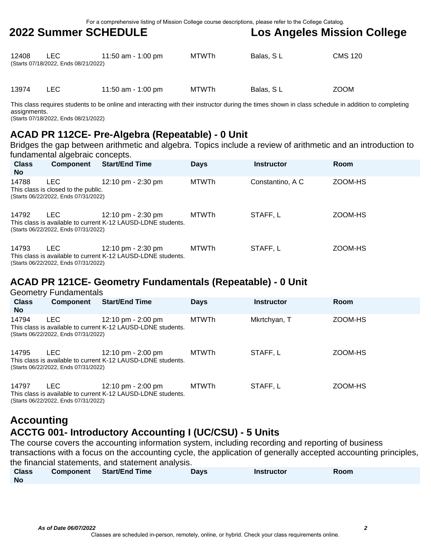|       |                                              | <b>2022 Summer SCHEDULE</b> |       | <b>Los Angeles Mission College</b> |             |  |
|-------|----------------------------------------------|-----------------------------|-------|------------------------------------|-------------|--|
| 12408 | LEC.<br>(Starts 07/18/2022, Ends 08/21/2022) | 11:50 am - 1:00 pm          | MTWTh | Balas, SL                          | CMS 120     |  |
| 13974 | LEC.                                         | 11:50 am - 1:00 pm          | MTWTh | Balas, SL                          | <b>ZOOM</b> |  |

This class requires students to be online and interacting with their instructor during the times shown in class schedule in addition to completing assignments.

(Starts 07/18/2022, Ends 08/21/2022)

## **ACAD PR 112CE- Pre-Algebra (Repeatable) - 0 Unit**

Bridges the gap between arithmetic and algebra. Topics include a review of arithmetic and an introduction to fundamental algebraic concepts.

| <b>Class</b><br>No. | <b>Component</b>                                                                          | <b>Start/End Time</b>                                                                | <b>Days</b>  | <b>Instructor</b> | Room    |
|---------------------|-------------------------------------------------------------------------------------------|--------------------------------------------------------------------------------------|--------------|-------------------|---------|
| 14788               | <b>LEC</b><br>This class is closed to the public.<br>(Starts 06/22/2022, Ends 07/31/2022) | 12:10 pm - 2:30 pm                                                                   | <b>MTWTh</b> | Constantino, A C  | ZOOM-HS |
| 14792               | LEC.<br>(Starts 06/22/2022, Ends 07/31/2022)                                              | 12:10 pm $-$ 2:30 pm<br>This class is available to current K-12 LAUSD-LDNE students. | <b>MTWTh</b> | STAFF, L          | ZOOM-HS |
| 14793               | LEC.<br>(Starts 06/22/2022, Ends 07/31/2022)                                              | 12:10 pm - 2:30 pm<br>This class is available to current K-12 LAUSD-LDNE students.   | <b>MTWTh</b> | STAFF, L          | ZOOM-HS |

## **ACAD PR 121CE- Geometry Fundamentals (Repeatable) - 0 Unit**

Geometry Fundamentals

| $\sim$              |                                                    |                                                                                      |              |                   |         |  |
|---------------------|----------------------------------------------------|--------------------------------------------------------------------------------------|--------------|-------------------|---------|--|
| <b>Class</b><br>No. | Component                                          | <b>Start/End Time</b>                                                                | <b>Days</b>  | <b>Instructor</b> | Room    |  |
| 14794               | <b>LEC</b><br>(Starts 06/22/2022, Ends 07/31/2022) | 12:10 pm $-$ 2:00 pm<br>This class is available to current K-12 LAUSD-LDNE students. | MTWTh        | Mkrtchyan, T      | ZOOM-HS |  |
| 14795               | <b>LEC</b><br>(Starts 06/22/2022, Ends 07/31/2022) | 12:10 pm - 2:00 pm<br>This class is available to current K-12 LAUSD-LDNE students.   | MTWTh        | STAFF.L           | ZOOM-HS |  |
| 14797               | <b>LEC</b><br>(Starts 06/22/2022, Ends 07/31/2022) | 12:10 pm - 2:00 pm<br>This class is available to current K-12 LAUSD-LDNE students.   | <b>MTWTh</b> | STAFF, L          | ZOOM-HS |  |

## **Accounting ACCTG 001- Introductory Accounting I (UC/CSU) - 5 Units**

The course covers the accounting information system, including recording and reporting of business transactions with a focus on the accounting cycle, the application of generally accepted accounting principles, the financial statements, and statement analysis.

| <b>No</b> | <b>Class</b> |  | Component Start/End Time | <b>Days</b> | <b>Instructor</b> | Room |  |
|-----------|--------------|--|--------------------------|-------------|-------------------|------|--|
|-----------|--------------|--|--------------------------|-------------|-------------------|------|--|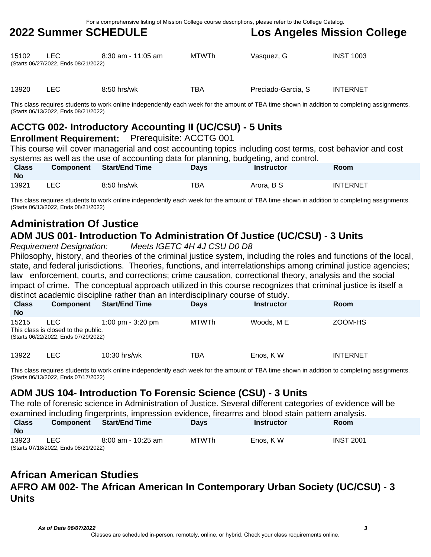**2022 Summer SCHEDULE Los Angeles Mission College** 15102 LEC 8:30 am - 11:05 am MTWTh Vasquez, G INST 1003 (Starts 06/27/2022, Ends 08/21/2022) 13920 LEC 8:50 hrs/wk TBA Preciado-Garcia, S INTERNET

This class requires students to work online independently each week for the amount of TBA time shown in addition to completing assignments. (Starts 06/13/2022, Ends 08/21/2022)

### **ACCTG 002- Introductory Accounting II (UC/CSU) - 5 Units**

#### **Enrollment Requirement:** Prerequisite: ACCTG 001

This course will cover managerial and cost accounting topics including cost terms, cost behavior and cost systems as well as the use of accounting data for planning, budgeting, and control.

| <b>Class</b><br><b>No</b> | <b>Component</b> | Start/End Time | Days | Instructor | Room            |
|---------------------------|------------------|----------------|------|------------|-----------------|
| 13921                     | _EC              | 8:50 hrs/wk    | TBA  | Arora. B S | <b>INTERNET</b> |

This class requires students to work online independently each week for the amount of TBA time shown in addition to completing assignments. (Starts 06/13/2022, Ends 08/21/2022)

#### **Administration Of Justice ADM JUS 001- Introduction To Administration Of Justice (UC/CSU) - 3 Units**

Requirement Designation: Meets IGETC 4H 4J CSU D0 D8

Philosophy, history, and theories of the criminal justice system, including the roles and functions of the local, state, and federal jurisdictions. Theories, functions, and interrelationships among criminal justice agencies; law enforcement, courts, and corrections; crime causation, correctional theory, analysis and the social impact of crime. The conceptual approach utilized in this course recognizes that criminal justice is itself a distinct academic discipline rather than an interdisciplinary course of study.

| <b>Class</b><br><b>No</b> | <b>Component</b>                                                                   | <b>Start/End Time</b> | <b>Days</b> | <b>Instructor</b> | <b>Room</b> |
|---------------------------|------------------------------------------------------------------------------------|-----------------------|-------------|-------------------|-------------|
| 15215                     | LEC<br>This class is closed to the public.<br>(Starts 06/22/2022, Ends 07/29/2022) | 1:00 pm - 3:20 pm     | MTWTh       | Woods, M E        | ZOOM-HS     |

13922 LEC 10:30 hrs/wk TBA Enos, K W INTERNET

This class requires students to work online independently each week for the amount of TBA time shown in addition to completing assignments. (Starts 06/13/2022, Ends 07/17/2022)

### **ADM JUS 104- Introduction To Forensic Science (CSU) - 3 Units**

The role of forensic science in Administration of Justice. Several different categories of evidence will be examined including fingerprints, impression evidence, firearms and blood stain pattern analysis.

| <b>Class</b><br>No | <b>Component</b>                     | <b>Start/End Time</b> | <b>Davs</b>  | Instructor | <b>Room</b>      |
|--------------------|--------------------------------------|-----------------------|--------------|------------|------------------|
| 13923              | '.EC                                 | $8:00$ am - 10:25 am  | <b>MTWTh</b> | Enos. K W  | <b>INST 2001</b> |
|                    | (Starts 07/18/2022, Ends 08/21/2022) |                       |              |            |                  |

### **African American Studies AFRO AM 002- The African American In Contemporary Urban Society (UC/CSU) - 3 Units**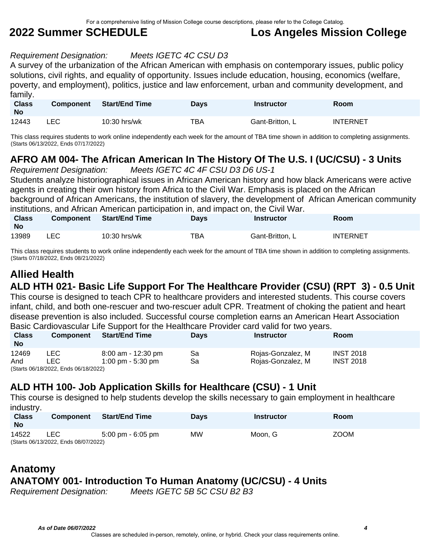#### Requirement Designation: Meets IGETC 4C CSU D3

A survey of the urbanization of the African American with emphasis on contemporary issues, public policy solutions, civil rights, and equality of opportunity. Issues include education, housing, economics (welfare, poverty, and employment), politics, justice and law enforcement, urban and community development, and family.

| <b>Class</b><br>- No | <b>Component</b> | <b>Start/End Time</b> | Days | Instructor      | <b>Room</b>     |
|----------------------|------------------|-----------------------|------|-----------------|-----------------|
| 12443                | LEC.             | $10:30$ hrs/wk        | TBA  | Gant-Britton, L | <b>INTERNET</b> |

This class requires students to work online independently each week for the amount of TBA time shown in addition to completing assignments. (Starts 06/13/2022, Ends 07/17/2022)

### **AFRO AM 004- The African American In The History Of The U.S. I (UC/CSU) - 3 Units**

Requirement Designation: Meets IGETC 4C 4F CSU D3 D6 US-1

Students analyze historiographical issues in African American history and how black Americans were active agents in creating their own history from Africa to the Civil War. Emphasis is placed on the African background of African Americans, the institution of slavery, the development of African American community institutions, and African American participation in, and impact on, the Civil War.

| <b>Class</b><br>No | <b>Component</b> | Start/End Time | Days | Instructor      | Room     |
|--------------------|------------------|----------------|------|-----------------|----------|
| 13989              | .EC              | $10:30$ hrs/wk | тва  | Gant-Britton, L | INTERNET |

This class requires students to work online independently each week for the amount of TBA time shown in addition to completing assignments. (Starts 07/18/2022, Ends 08/21/2022)

# **Allied Health**

## **ALD HTH 021- Basic Life Support For The Healthcare Provider (CSU) (RPT 3) - 0.5 Unit**

This course is designed to teach CPR to healthcare providers and interested students. This course covers infant, child, and both one-rescuer and two-rescuer adult CPR. Treatment of choking the patient and heart disease prevention is also included. Successful course completion earns an American Heart Association Basic Cardiovascular Life Support for the Healthcare Provider card valid for two years.

| <b>Class</b><br><b>No</b> | <b>Component</b>                     | <b>Start/End Time</b> | <b>Davs</b> | <b>Instructor</b> | Room             |
|---------------------------|--------------------------------------|-----------------------|-------------|-------------------|------------------|
| 12469                     | ∟EC                                  | $8:00$ am - 12:30 pm  | Sa          | Rojas-Gonzalez, M | <b>INST 2018</b> |
| And                       | ∟EC                                  | 1:00 pm $-$ 5:30 pm   | Sa          | Roias-Gonzalez, M | <b>INST 2018</b> |
|                           | (Starts 06/18/2022, Ends 06/18/2022) |                       |             |                   |                  |

### **ALD HTH 100- Job Application Skills for Healthcare (CSU) - 1 Unit**

This course is designed to help students develop the skills necessary to gain employment in healthcare industry.

| <b>Class</b><br><b>No</b> | <b>Component</b>                     | <b>Start/End Time</b>       | <b>Days</b> | Instructor | Room        |
|---------------------------|--------------------------------------|-----------------------------|-------------|------------|-------------|
| 14522                     | LEC.                                 | $5:00 \text{ pm}$ - 6:05 pm | <b>MW</b>   | Moon. G    | <b>ZOOM</b> |
|                           | (Starts 06/13/2022, Ends 08/07/2022) |                             |             |            |             |

#### **Anatomy ANATOMY 001- Introduction To Human Anatomy (UC/CSU) - 4 Units** Requirement Designation: Meets IGETC 5B 5C CSU B2 B3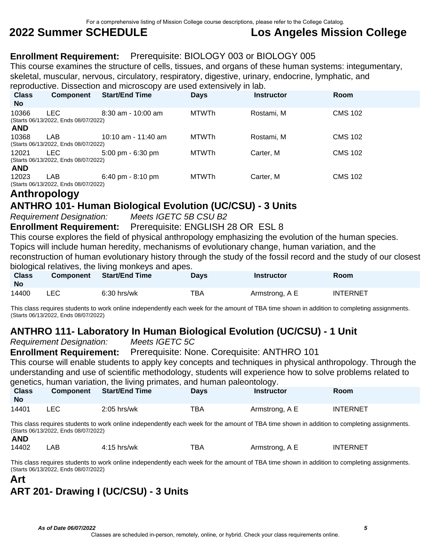### **Enrollment Requirement:** Prerequisite: BIOLOGY 003 or BIOLOGY 005

This course examines the structure of cells, tissues, and organs of these human systems: integumentary, skeletal, muscular, nervous, circulatory, respiratory, digestive, urinary, endocrine, lymphatic, and reproductive. Dissection and microscopy are used extensively in lab.

| <b>Class</b><br>No. | Component                                                                          | <b>Start/End Time</b>               | <b>Days</b>  | <b>Instructor</b> | <b>Room</b>    |
|---------------------|------------------------------------------------------------------------------------|-------------------------------------|--------------|-------------------|----------------|
| 10366               | LEC.<br>(Starts 06/13/2022, Ends 08/07/2022)                                       | $8:30$ am - 10:00 am                | MTWTh        | Rostami, M        | <b>CMS 102</b> |
| <b>AND</b><br>10368 | LAB<br>(Starts 06/13/2022, Ends 08/07/2022)                                        | 10:10 am - 11:40 am                 | MTWTh        | Rostami, M        | <b>CMS 102</b> |
| 12021<br><b>AND</b> | <b>LEC</b><br>(Starts 06/13/2022, Ends 08/07/2022)                                 | $5:00 \text{ pm} - 6:30 \text{ pm}$ | <b>MTWTh</b> | Carter, M         | <b>CMS 102</b> |
| 12023<br>.          | LAB<br>(Starts 06/13/2022, Ends 08/07/2022)<br>and the contract of the contract of | $6:40 \text{ pm} - 8:10 \text{ pm}$ | <b>MTWTh</b> | Carter, M         | <b>CMS 102</b> |

### **Anthropology**

### **ANTHRO 101- Human Biological Evolution (UC/CSU) - 3 Units**

Requirement Designation: Meets IGETC 5B CSU B2

**Enrollment Requirement:** Prerequisite: ENGLISH 28 OR ESL 8

This course explores the field of physical anthropology emphasizing the evolution of the human species. Topics will include human heredity, mechanisms of evolutionary change, human variation, and the reconstruction of human evolutionary history through the study of the fossil record and the study of our closest biological relatives, the living monkeys and apes.

| <b>Class</b><br><b>No</b> | <b>Component</b> | <b>Start/End Time</b> | <b>Days</b> | <b>Instructor</b> | <b>Room</b>     |
|---------------------------|------------------|-----------------------|-------------|-------------------|-----------------|
| 14400                     | LEC              | $6:30$ hrs/wk         | TBA         | Armstrong, A E    | <b>INTERNET</b> |

This class requires students to work online independently each week for the amount of TBA time shown in addition to completing assignments. (Starts 06/13/2022, Ends 08/07/2022)

## **ANTHRO 111- Laboratory In Human Biological Evolution (UC/CSU) - 1 Unit**

Requirement Designation: Meets IGETC 5C

**Enrollment Requirement:** Prerequisite: None. Corequisite: ANTHRO 101

This course will enable students to apply key concepts and techniques in physical anthropology. Through the understanding and use of scientific methodology, students will experience how to solve problems related to genetics, human variation, the living primates, and human paleontology.

| <b>Class</b><br><b>No</b> | Component | <b>Start/End Time</b> | <b>Days</b> | <b>Instructor</b> | <b>Room</b>     |
|---------------------------|-----------|-----------------------|-------------|-------------------|-----------------|
| 14401                     | LEC.      | $2:05$ hrs/wk         | ТВА         | Armstrong, A E    | <b>INTERNET</b> |

This class requires students to work online independently each week for the amount of TBA time shown in addition to completing assignments. (Starts 06/13/2022, Ends 08/07/2022)

```
 AND
```
14402 LAB 4:15 hrs/wk TBA Armstrong, A E INTERNET

This class requires students to work online independently each week for the amount of TBA time shown in addition to completing assignments. (Starts 06/13/2022, Ends 08/07/2022)

## **Art ART 201- Drawing I (UC/CSU) - 3 Units**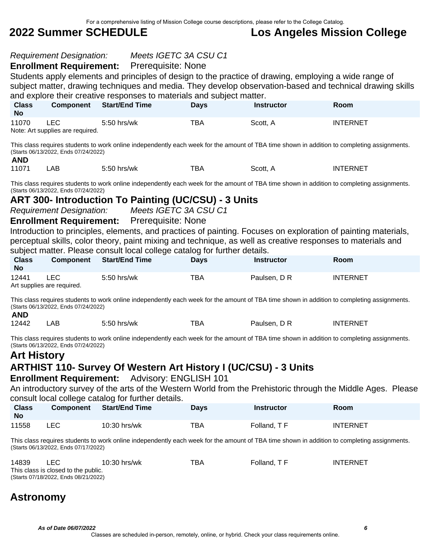#### Requirement Designation: Meets IGETC 3A CSU C1

#### **Enrollment Requirement:** Prerequisite: None

Students apply elements and principles of design to the practice of drawing, employing a wide range of subject matter, drawing techniques and media. They develop observation-based and technical drawing skills and explore their creative responses to materials and subject matter.

| <b>Class</b><br><b>No</b> | <b>Component</b>                 | Start/End Time | Days | Instructor | Room            |
|---------------------------|----------------------------------|----------------|------|------------|-----------------|
| 11070                     | LEC                              | $5:50$ hrs/wk  | TBA  | Scott. A   | <b>INTERNET</b> |
|                           | Note: Art supplies are required. |                |      |            |                 |

This class requires students to work online independently each week for the amount of TBA time shown in addition to completing assignments. (Starts 06/13/2022, Ends 07/24/2022) **AND**

| <b>AND</b> |    |                 |           |                 |                       |
|------------|----|-----------------|-----------|-----------------|-----------------------|
| 11071      | AB | `hrs/wk<br>5:50 | $-$<br>BА | Scott.<br>$  -$ | <b>NTERNET</b><br>IN. |

This class requires students to work online independently each week for the amount of TBA time shown in addition to completing assignments. (Starts 06/13/2022, Ends 07/24/2022)

#### **ART 300- Introduction To Painting (UC/CSU) - 3 Units**

Requirement Designation: Meets IGETC 3A CSU C1

#### **Enrollment Requirement:** Prerequisite: None

Introduction to principles, elements, and practices of painting. Focuses on exploration of painting materials, perceptual skills, color theory, paint mixing and technique, as well as creative responses to materials and subject matter. Please consult local college catalog for further details.

| <b>Class</b><br>No | <b>Component</b>           | <b>Start/End Time</b> | <b>Days</b> | <b>Instructor</b> | <b>Room</b> |
|--------------------|----------------------------|-----------------------|-------------|-------------------|-------------|
| 12441              | LEC                        | $5:50$ hrs/wk         | TBA         | Paulsen, D R      | INTERNET    |
|                    | Art supplies are required. |                       |             |                   |             |

This class requires students to work online independently each week for the amount of TBA time shown in addition to completing assignments. (Starts 06/13/2022, Ends 07/24/2022)

#### **AND**

12442 LAB 5:50 hrs/wk TBA Paulsen, D R INTERNET

This class requires students to work online independently each week for the amount of TBA time shown in addition to completing assignments. (Starts 06/13/2022, Ends 07/24/2022)

#### **Art History**

#### **ARTHIST 110- Survey Of Western Art History I (UC/CSU) - 3 Units**

**Enrollment Requirement:** Advisory: ENGLISH 101

An introductory survey of the arts of the Western World from the Prehistoric through the Middle Ages. Please consult local college catalog for further details.

| <b>Class</b><br><b>No</b> | <b>Component</b> | <b>Start/End Time</b> | Days | Instructor   | <b>Room</b>     |  |
|---------------------------|------------------|-----------------------|------|--------------|-----------------|--|
| 11558                     | LEC              | $10:30$ hrs/wk        | TBA  | Folland. T F | <b>INTERNET</b> |  |

This class requires students to work online independently each week for the amount of TBA time shown in addition to completing assignments. (Starts 06/13/2022, Ends 07/17/2022)

| 14839 | ∟EC                                  | $10:30$ hrs/wk | тва | Folland, T F | INTERNET |
|-------|--------------------------------------|----------------|-----|--------------|----------|
|       | This class is closed to the public.  |                |     |              |          |
|       | (Starts 07/18/2022, Ends 08/21/2022) |                |     |              |          |

## **Astronomy**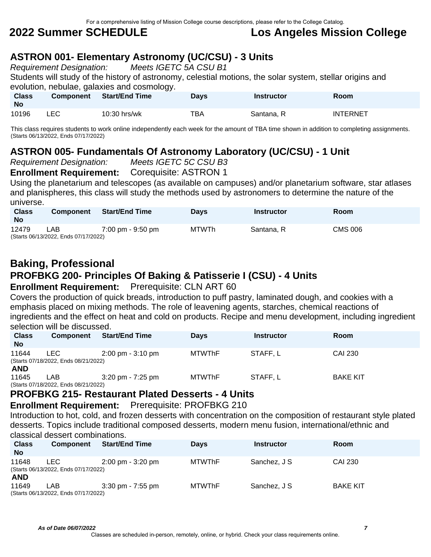# **ASTRON 001- Elementary Astronomy (UC/CSU) - 3 Units**

Requirement Designation: Meets IGETC 5A CSU B1 Students will study of the history of astronomy, celestial motions, the solar system, stellar origins and evolution, nebulae, galaxies and cosmology. **Class Component Start/End Time Days Instructor Room**

| <b>UIGSS</b><br><b>No</b> | <b>UUIIIDUIIGIIL</b> | U            | <b>Days</b> | iliəli uclul | RUUIL    |
|---------------------------|----------------------|--------------|-------------|--------------|----------|
| 10196                     | LEC                  | 10:30 hrs/wk | TBA         | Santana.     | INTERNET |

This class requires students to work online independently each week for the amount of TBA time shown in addition to completing assignments. (Starts 06/13/2022, Ends 07/17/2022)

#### **ASTRON 005- Fundamentals Of Astronomy Laboratory (UC/CSU) - 1 Unit**

Requirement Designation: Meets IGETC 5C CSU B3

#### **Enrollment Requirement:** Corequisite: ASTRON 1

Using the planetarium and telescopes (as available on campuses) and/or planetarium software, star atlases and planispheres, this class will study the methods used by astronomers to determine the nature of the universe.

| <b>Class</b><br>No | <b>Component</b>                     | <b>Start/End Time</b>               | <b>Davs</b> | <b>Instructor</b> | Room           |
|--------------------|--------------------------------------|-------------------------------------|-------------|-------------------|----------------|
| 12479              | LAB                                  | $7:00 \text{ pm} - 9:50 \text{ pm}$ | MTWTh       | Santana. R        | <b>CMS 006</b> |
|                    | (Starts 06/13/2022, Ends 07/17/2022) |                                     |             |                   |                |

#### **Baking, Professional PROFBKG 200- Principles Of Baking & Patisserie I (CSU) - 4 Units Enrollment Requirement:** Prerequisite: CLN ART 60

Covers the production of quick breads, introduction to puff pastry, laminated dough, and cookies with a emphasis placed on mixing methods. The role of leavening agents, starches, chemical reactions of ingredients and the effect on heat and cold on products. Recipe and menu development, including ingredient selection will be discussed.

| <b>Class</b><br><b>No</b> | <b>Component</b>                             | <b>Start/End Time</b>               | <b>Days</b>   | <b>Instructor</b> | Room            |
|---------------------------|----------------------------------------------|-------------------------------------|---------------|-------------------|-----------------|
| 11644<br><b>AND</b>       | LEC.<br>(Starts 07/18/2022, Ends 08/21/2022) | $2:00 \text{ pm} - 3:10 \text{ pm}$ | MTWThF        | STAFF.L           | CAI 230         |
| 11645                     | LAB<br>(Starts 07/18/2022, Ends 08/21/2022)  | $3:20 \text{ pm} - 7:25 \text{ pm}$ | <b>MTWThF</b> | STAFF.L           | <b>BAKE KIT</b> |

#### **PROFBKG 215- Restaurant Plated Desserts - 4 Units**

**Enrollment Requirement:** Prerequisite: PROFBKG 210

Introduction to hot, cold, and frozen desserts with concentration on the composition of restaurant style plated desserts. Topics include traditional composed desserts, modern menu fusion, international/ethnic and classical dessert combinations.

| <b>Class</b><br><b>No</b> | <b>Component</b>                             | <b>Start/End Time</b>               | <b>Days</b>   | <b>Instructor</b> | Room            |
|---------------------------|----------------------------------------------|-------------------------------------|---------------|-------------------|-----------------|
| 11648                     | LEC.<br>(Starts 06/13/2022, Ends 07/17/2022) | $2:00 \text{ pm} - 3:20 \text{ pm}$ | <b>MTWThF</b> | Sanchez, J S      | <b>CAI 230</b>  |
| <b>AND</b><br>11649       | LAB<br>(Starts 06/13/2022, Ends 07/17/2022)  | $3:30$ pm - $7:55$ pm               | <b>MTWThF</b> | Sanchez, J S      | <b>BAKE KIT</b> |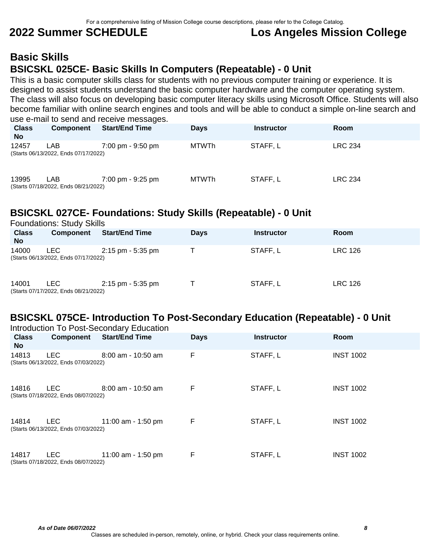## **Basic Skills BSICSKL 025CE- Basic Skills In Computers (Repeatable) - 0 Unit**

This is a basic computer skills class for students with no previous computer training or experience. It is designed to assist students understand the basic computer hardware and the computer operating system. The class will also focus on developing basic computer literacy skills using Microsoft Office. Students will also become familiar with online search engines and tools and will be able to conduct a simple on-line search and use e-mail to send and receive messages.

| ase childle to serior and receive messages.<br><b>Class</b><br><b>No</b> | Component                                   | <b>Start/End Time</b> | <b>Days</b> | <b>Instructor</b> | <b>Room</b>    |
|--------------------------------------------------------------------------|---------------------------------------------|-----------------------|-------------|-------------------|----------------|
| 12457                                                                    | LAB<br>(Starts 06/13/2022, Ends 07/17/2022) | 7:00 pm - 9:50 pm     | MTWTh       | STAFF.L           | <b>LRC 234</b> |
| 13995                                                                    | LAB<br>(Starts 07/18/2022, Ends 08/21/2022) | 7:00 pm - 9:25 pm     | MTWTh       | STAFF, L          | <b>LRC 234</b> |

### **BSICSKL 027CE- Foundations: Study Skills (Repeatable) - 0 Unit**

| <b>Class</b><br><b>No</b> | Component                                    | <b>Start/End Time</b> | <b>Days</b> | <b>Instructor</b> | <b>Room</b>    |
|---------------------------|----------------------------------------------|-----------------------|-------------|-------------------|----------------|
| 14000                     | LEC.<br>(Starts 06/13/2022, Ends 07/17/2022) | $2:15$ pm - 5:35 pm   |             | STAFF.L           | <b>LRC 126</b> |
| 14001                     | LEC.<br>(Starts 07/17/2022, Ends 08/21/2022) | $2:15$ pm - 5:35 pm   |             | STAFF, L          | <b>LRC 126</b> |

#### **BSICSKL 075CE- Introduction To Post-Secondary Education (Repeatable) - 0 Unit** Introduction To Post-Secondary Education

| Introduction To Post-Secondary Education |                                              |                       |             |                   |                  |
|------------------------------------------|----------------------------------------------|-----------------------|-------------|-------------------|------------------|
| <b>Class</b><br>No.                      | Component                                    | <b>Start/End Time</b> | <b>Days</b> | <b>Instructor</b> | Room             |
| 14813                                    | LEC.<br>(Starts 06/13/2022, Ends 07/03/2022) | $8:00$ am - 10:50 am  | F           | STAFF, L          | <b>INST 1002</b> |
| 14816                                    | LEC.<br>(Starts 07/18/2022, Ends 08/07/2022) | $8:00$ am - 10:50 am  | F           | STAFF, L          | <b>INST 1002</b> |
| 14814                                    | LEC.<br>(Starts 06/13/2022, Ends 07/03/2022) | 11:00 am - 1:50 pm    | F           | STAFF, L          | <b>INST 1002</b> |
| 14817                                    | LEC.<br>(Starts 07/18/2022, Ends 08/07/2022) | 11:00 am - 1:50 pm    | F           | STAFF, L          | <b>INST 1002</b> |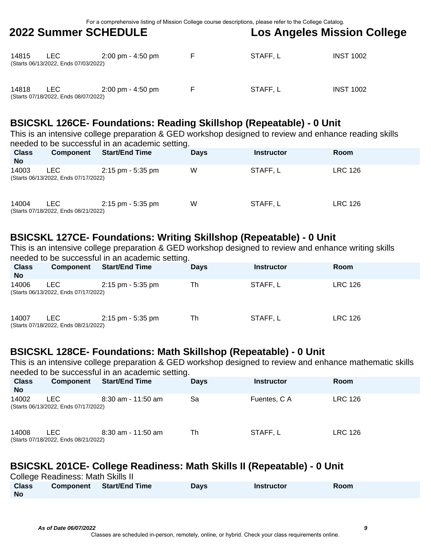| <b>2022 Summer SCHEDULE</b>                           |                                     | <b>Los Angeles Mission College</b> |                  |
|-------------------------------------------------------|-------------------------------------|------------------------------------|------------------|
| 14815<br>LEC.<br>(Starts 06/13/2022, Ends 07/03/2022) | $2:00 \text{ pm} - 4:50 \text{ pm}$ | STAFF.L                            | <b>INST 1002</b> |
| LEC.<br>14818<br>(Starts 07/18/2022, Ends 08/07/2022) | $2:00 \text{ pm} - 4:50 \text{ pm}$ | STAFF, L                           | <b>INST 1002</b> |

#### **BSICSKL 126CE- Foundations: Reading Skillshop (Repeatable) - 0 Unit**

This is an intensive college preparation & GED workshop designed to review and enhance reading skills needed to be successful in an academic setting.

| <b>Class</b><br><b>No</b> | <b>Component</b>                            | <b>Start/End Time</b> | <b>Days</b> | <b>Instructor</b> | Room           |
|---------------------------|---------------------------------------------|-----------------------|-------------|-------------------|----------------|
| 14003                     | LEC<br>(Starts 06/13/2022, Ends 07/17/2022) | $2:15$ pm - 5:35 pm   | W           | STAFF.L           | <b>LRC 126</b> |
| 14004                     | ∟EC<br>(Starts 07/18/2022, Ends 08/21/2022) | $2:15$ pm - 5:35 pm   | W           | STAFF, L          | <b>LRC 126</b> |

#### **BSICSKL 127CE- Foundations: Writing Skillshop (Repeatable) - 0 Unit**

This is an intensive college preparation & GED workshop designed to review and enhance writing skills needed to be successful in an academic setting.

| <b>Class</b><br><b>No</b> | Component                                    | <b>Start/End Time</b> | <b>Days</b> | <b>Instructor</b> | Room           |
|---------------------------|----------------------------------------------|-----------------------|-------------|-------------------|----------------|
| 14006                     | LEC.<br>(Starts 06/13/2022, Ends 07/17/2022) | $2:15$ pm - 5:35 pm   | Th          | STAFF, L          | <b>LRC 126</b> |
| 14007                     | LEC.<br>(Starts 07/18/2022, Ends 08/21/2022) | $2:15$ pm - 5:35 pm   | Th          | STAFF, L          | <b>LRC 126</b> |

#### **BSICSKL 128CE- Foundations: Math Skillshop (Repeatable) - 0 Unit**

This is an intensive college preparation & GED workshop designed to review and enhance mathematic skills needed to be successful in an academic setting.

| <b>Class</b><br><b>No</b> | <b>Component</b>                             | <b>Start/End Time</b> | <b>Days</b> | <b>Instructor</b> | <b>Room</b>    |
|---------------------------|----------------------------------------------|-----------------------|-------------|-------------------|----------------|
| 14002                     | LEC.<br>(Starts 06/13/2022, Ends 07/17/2022) | $8:30$ am - 11:50 am  | Sa          | Fuentes, C A      | <b>LRC 126</b> |
| 14008                     | LEC.<br>(Starts 07/18/2022, Ends 08/21/2022) | $8:30$ am - 11:50 am  | Th          | STAFF, L          | <b>LRC 126</b> |

## **BSICSKL 201CE- College Readiness: Math Skills II (Repeatable) - 0 Unit**

|              | <b>College Readiness: Math Skills II</b> |                |             |            |      |
|--------------|------------------------------------------|----------------|-------------|------------|------|
| <b>Class</b> | <b>Component</b>                         | Start/End Time | <b>Davs</b> | Instructor | Room |
| <b>No</b>    |                                          |                |             |            |      |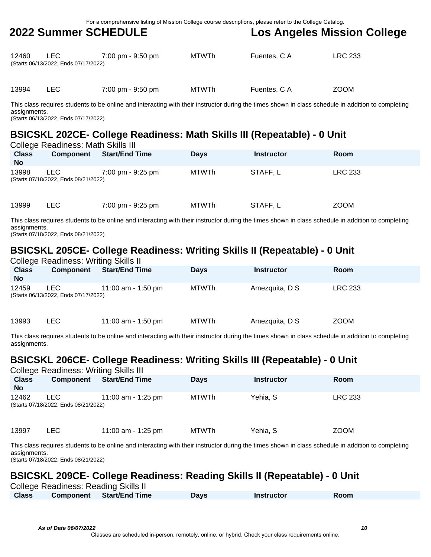|       |                                              | <b>2022 Summer SCHEDULE</b> |              | <b>Los Angeles Mission College</b> |                |  |
|-------|----------------------------------------------|-----------------------------|--------------|------------------------------------|----------------|--|
| 12460 | LEC.<br>(Starts 06/13/2022, Ends 07/17/2022) | 7:00 pm - 9:50 pm           | MTWTh        | Fuentes, C A                       | <b>LRC 233</b> |  |
| 13994 | LEC.                                         | 7:00 pm - 9:50 pm           | <b>MTWTh</b> | Fuentes, C A                       | <b>ZOOM</b>    |  |

This class requires students to be online and interacting with their instructor during the times shown in class schedule in addition to completing assignments.

(Starts 06/13/2022, Ends 07/17/2022)

## **BSICSKL 202CE- College Readiness: Math Skills III (Repeatable) - 0 Unit**

| College Readiness: Math Skills III |  |
|------------------------------------|--|
|------------------------------------|--|

| <b>Class</b><br><b>No</b> | Component                                          | <b>Start/End Time</b> | <b>Days</b>  | <b>Instructor</b> | <b>Room</b>    |
|---------------------------|----------------------------------------------------|-----------------------|--------------|-------------------|----------------|
| 13998                     | <b>LEC</b><br>(Starts 07/18/2022, Ends 08/21/2022) | 7:00 pm - 9:25 pm     | MTWTh        | STAFF, L          | <b>LRC 233</b> |
| 13999                     | LEC                                                | 7:00 pm - 9:25 pm     | <b>MTWTh</b> | STAFF, L          | <b>ZOOM</b>    |

This class requires students to be online and interacting with their instructor during the times shown in class schedule in addition to completing assignments.

(Starts 07/18/2022, Ends 08/21/2022)

#### **BSICSKL 205CE- College Readiness: Writing Skills II (Repeatable) - 0 Unit** College Readiness: Writing Skills II

| <b>Class</b><br><b>No</b> | Component                                    | <b>Start/End Time</b> | <b>Days</b> | <b>Instructor</b> | Room           |
|---------------------------|----------------------------------------------|-----------------------|-------------|-------------------|----------------|
| 12459                     | LEC.<br>(Starts 06/13/2022, Ends 07/17/2022) | 11:00 am - 1:50 pm    | MTWTh       | Amezquita, D S    | <b>LRC 233</b> |
| 13993                     | LEC.                                         | 11:00 am - 1:50 pm    | MTWTh       | Amezquita, D S    | <b>ZOOM</b>    |

This class requires students to be online and interacting with their instructor during the times shown in class schedule in addition to completing assignments.

#### **BSICSKL 206CE- College Readiness: Writing Skills III (Repeatable) - 0 Unit**

| <b>College Readiness: Writing Skills III</b> |                                              |                       |             |                   |                |  |  |  |
|----------------------------------------------|----------------------------------------------|-----------------------|-------------|-------------------|----------------|--|--|--|
| <b>Class</b><br><b>No</b>                    | Component                                    | <b>Start/End Time</b> | <b>Days</b> | <b>Instructor</b> | <b>Room</b>    |  |  |  |
| 12462                                        | LEC.<br>(Starts 07/18/2022, Ends 08/21/2022) | 11:00 am - 1:25 pm    | MTWTh       | Yehia, S          | <b>LRC 233</b> |  |  |  |
| 13997                                        | LEC.                                         | 11:00 am - 1:25 pm    | MTWTh       | Yehia, S          | <b>ZOOM</b>    |  |  |  |

This class requires students to be online and interacting with their instructor during the times shown in class schedule in addition to completing assignments. (Starts 07/18/2022, Ends 08/21/2022)

### **BSICSKL 209CE- College Readiness: Reading Skills II (Repeatable) - 0 Unit**

|       | College Readiness: Reading Skills II |             |            |      |  |
|-------|--------------------------------------|-------------|------------|------|--|
| Class | <b>Component</b> Start/End Time      | <b>Days</b> | Instructor | Room |  |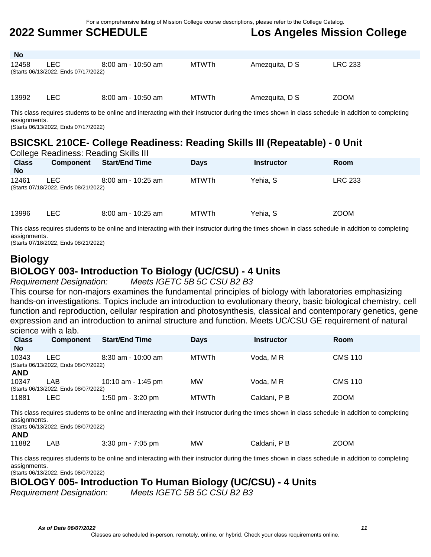| <b>No</b> |                                              |                      |              |                |                |  |
|-----------|----------------------------------------------|----------------------|--------------|----------------|----------------|--|
| 12458     | LEC.<br>(Starts 06/13/2022, Ends 07/17/2022) | $8:00$ am - 10:50 am | MTWTh        | Amezquita, D S | <b>LRC 233</b> |  |
| 13992     | LEC                                          | $8:00$ am - 10:50 am | <b>MTWTh</b> | Amezquita, D S | <b>ZOOM</b>    |  |

This class requires students to be online and interacting with their instructor during the times shown in class schedule in addition to completing assignments.

(Starts 06/13/2022, Ends 07/17/2022)

## **BSICSKL 210CE- College Readiness: Reading Skills III (Repeatable) - 0 Unit**

College Readiness: Reading Skills III

| ີ<br><b>Class</b><br><b>No</b> | Component                                    | <b>Start/End Time</b> | <b>Days</b>  | <b>Instructor</b> | Room           |
|--------------------------------|----------------------------------------------|-----------------------|--------------|-------------------|----------------|
| 12461                          | LEC.<br>(Starts 07/18/2022, Ends 08/21/2022) | $8:00$ am - 10:25 am  | MTWTh        | Yehia, S          | <b>LRC 233</b> |
| 13996                          | LEC.                                         | 8:00 am - 10:25 am    | <b>MTWTh</b> | Yehia, S          | <b>ZOOM</b>    |

This class requires students to be online and interacting with their instructor during the times shown in class schedule in addition to completing assignments.

(Starts 07/18/2022, Ends 08/21/2022)

#### **Biology BIOLOGY 003- Introduction To Biology (UC/CSU) - 4 Units**

# Requirement Designation: Meets IGETC 5B 5C CSU B2 B3

This course for non-majors examines the fundamental principles of biology with laboratories emphasizing hands-on investigations. Topics include an introduction to evolutionary theory, basic biological chemistry, cell function and reproduction, cellular respiration and photosynthesis, classical and contemporary genetics, gene expression and an introduction to animal structure and function. Meets UC/CSU GE requirement of natural science with a lab.

| <b>Class</b><br><b>No</b> | <b>Component</b>                             | <b>Start/End Time</b> | <b>Days</b>  | <b>Instructor</b> | Room           |
|---------------------------|----------------------------------------------|-----------------------|--------------|-------------------|----------------|
| 10343                     | LEC.<br>(Starts 06/13/2022, Ends 08/07/2022) | $8:30$ am - 10:00 am  | <b>MTWTh</b> | Voda, M R         | <b>CMS 110</b> |
| <b>AND</b><br>10347       | LAB<br>(Starts 06/13/2022, Ends 08/07/2022)  | 10:10 am - 1:45 pm    | <b>MW</b>    | Voda, M R         | <b>CMS 110</b> |
| 11881                     | LEC.                                         | 1:50 pm - $3:20$ pm   | MTWTh        | Caldani, P B      | <b>ZOOM</b>    |

This class requires students to be online and interacting with their instructor during the times shown in class schedule in addition to completing assignments. (Starts 06/13/2022, Ends 08/07/2022)

#### **AND**

11882 LAB 3:30 pm - 7:05 pm MW Caldani, P B ZOOM

This class requires students to be online and interacting with their instructor during the times shown in class schedule in addition to completing assignments. (Starts 06/13/2022, Ends 08/07/2022)

# **BIOLOGY 005- Introduction To Human Biology (UC/CSU) - 4 Units**

Requirement Designation: Meets IGETC 5B 5C CSU B2 B3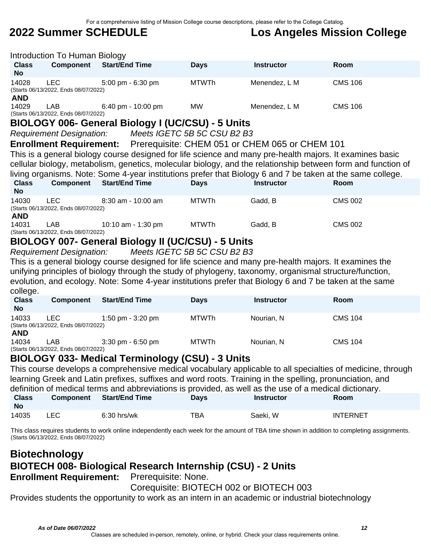## **2022 Summer SCHEDULE Los Angeles Mission College**

|                           | Introduction To Human Biology                |                                      |             |                   |                |
|---------------------------|----------------------------------------------|--------------------------------------|-------------|-------------------|----------------|
| <b>Class</b><br><b>No</b> | <b>Component</b>                             | <b>Start/End Time</b>                | <b>Days</b> | <b>Instructor</b> | <b>Room</b>    |
| 14028                     | LEC.<br>(Starts 06/13/2022, Ends 08/07/2022) | $5:00 \text{ pm} - 6:30 \text{ pm}$  | MTWTh       | Menendez, L M     | <b>CMS 106</b> |
| <b>AND</b>                |                                              |                                      |             |                   |                |
| 14029                     | LAB                                          | $6:40 \text{ pm} - 10:00 \text{ pm}$ | <b>MW</b>   | Menendez, L M     | <b>CMS 106</b> |
|                           | (Starts 06/13/2022, Ends 08/07/2022)         |                                      |             |                   |                |

#### **BIOLOGY 006- General Biology I (UC/CSU) - 5 Units**

Requirement Designation: Meets IGETC 5B 5C CSU B2 B3

**Enrollment Requirement:** Prerequisite: CHEM 051 or CHEM 065 or CHEM 101

This is a general biology course designed for life science and many pre-health majors. It examines basic cellular biology, metabolism, genetics, molecular biology, and the relationship between form and function of living organisms. Note: Some 4-year institutions prefer that Biology 6 and 7 be taken at the same college. **Class Component Start/End Time Days Instructor Room**

| <b>No</b>  |                                      |                      |        |         |         |
|------------|--------------------------------------|----------------------|--------|---------|---------|
| 14030      | LEC.                                 | $8:30$ am - 10:00 am | MTWTh. | Gadd, B | CMS 002 |
|            | (Starts 06/13/2022, Ends 08/07/2022) |                      |        |         |         |
| <b>AND</b> |                                      |                      |        |         |         |
| 14031      | -AB                                  | 10:10 am - 1:30 pm   | MTWTh  | Gadd, B | CMS 002 |
|            | (Starts 06/13/2022, Ends 08/07/2022) |                      |        |         |         |

#### **BIOLOGY 007- General Biology II (UC/CSU) - 5 Units**

Requirement Designation: Meets IGETC 5B 5C CSU B2 B3

This is a general biology course designed for life science and many pre-health majors. It examines the unifying principles of biology through the study of phylogeny, taxonomy, organismal structure/function, evolution, and ecology. Note: Some 4-year institutions prefer that Biology 6 and 7 be taken at the same college.

| <b>Class</b> | <b>Component</b>                     | <b>Start/End Time</b>               | <b>Days</b>  | <b>Instructor</b> | Room           |
|--------------|--------------------------------------|-------------------------------------|--------------|-------------------|----------------|
| <b>No</b>    |                                      |                                     |              |                   |                |
| 14033        | ∟EC I                                | 1:50 pm $-$ 3:20 pm                 | <b>MTWTh</b> | Nourian, N        | <b>CMS 104</b> |
|              | (Starts 06/13/2022, Ends 08/07/2022) |                                     |              |                   |                |
| AND          |                                      |                                     |              |                   |                |
| 14034        | _AB                                  | $3:30 \text{ pm} - 6:50 \text{ pm}$ | <b>MTWTh</b> | Nourian, N        | <b>CMS 104</b> |
|              | (Starts 06/13/2022, Ends 08/07/2022) |                                     |              |                   |                |

#### **BIOLOGY 033- Medical Terminology (CSU) - 3 Units**

This course develops a comprehensive medical vocabulary applicable to all specialties of medicine, through learning Greek and Latin prefixes, suffixes and word roots. Training in the spelling, pronunciation, and definition of medical terms and abbreviations is provided, as well as the use of a medical dictionary.

| <b>Class</b><br>No | <b>Component</b> | <b>Start/End Time</b> | <b>Days</b> | <b>Instructor</b> | Room            |
|--------------------|------------------|-----------------------|-------------|-------------------|-----------------|
| 14035              | ∟EC l            | $6:30$ hrs/wk         | тва         | Saeki, W          | <b>INTERNET</b> |

This class requires students to work online independently each week for the amount of TBA time shown in addition to completing assignments. (Starts 06/13/2022, Ends 08/07/2022)

#### **Biotechnology BIOTECH 008- Biological Research Internship (CSU) - 2 Units Enrollment Requirement:** Prerequisite: None. Corequisite: BIOTECH 002 or BIOTECH 003

Provides students the opportunity to work as an intern in an academic or industrial biotechnology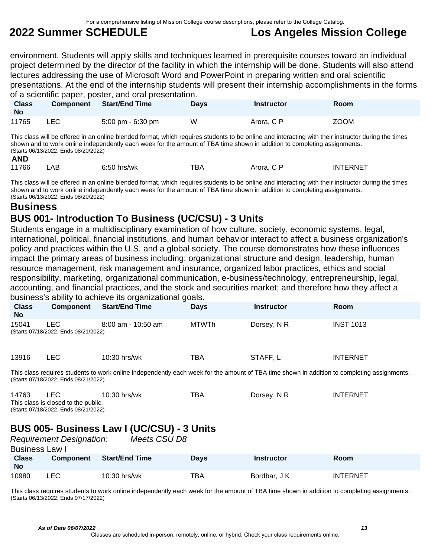environment. Students will apply skills and techniques learned in prerequisite courses toward an individual project determined by the director of the facility in which the internship will be done. Students will also attend lectures addressing the use of Microsoft Word and PowerPoint in preparing written and oral scientific presentations. At the end of the internship students will present their internship accomplishments in the forms of a scientific paper, poster, and oral presentation.

| <b>Class</b><br>- No | Component | <b>Start/End Time</b> | Days | <b>Instructor</b> | <b>Room</b> |
|----------------------|-----------|-----------------------|------|-------------------|-------------|
| 11765                | LEC       | 5:00 pm - 6:30 pm     | W    | Arora, C P        | <b>ZOOM</b> |

This class will be offered in an online blended format, which requires students to be online and interacting with their instructor during the times shown and to work online independently each week for the amount of TBA time shown in addition to completing assignments. (Starts 06/13/2022, Ends 08/20/2022) **AND**

| .     |    |               |     |            |                 |
|-------|----|---------------|-----|------------|-----------------|
| 11766 | ΑB | $6:50$ hrs/wk | тва | Arora. C F | <b>INTERNET</b> |

This class will be offered in an online blended format, which requires students to be online and interacting with their instructor during the times shown and to work online independently each week for the amount of TBA time shown in addition to completing assignments. (Starts 06/13/2022, Ends 08/20/2022)

#### **Business**

### **BUS 001- Introduction To Business (UC/CSU) - 3 Units**

Students engage in a multidisciplinary examination of how culture, society, economic systems, legal, international, political, financial institutions, and human behavior interact to affect a business organization's policy and practices within the U.S. and a global society. The course demonstrates how these influences impact the primary areas of business including: organizational structure and design, leadership, human resource management, risk management and insurance, organized labor practices, ethics and social responsibility, marketing, organizational communication, e-business/technology, entrepreneurship, legal, accounting, and financial practices, and the stock and securities market; and therefore how they affect a business's ability to achieve its organizational goals.

| <b>Class</b><br><b>No</b> | Component                                    | <b>Start/End Time</b> | <b>Days</b> | <b>Instructor</b> | Room             |  |
|---------------------------|----------------------------------------------|-----------------------|-------------|-------------------|------------------|--|
| 15041                     | LEC.<br>(Starts 07/18/2022, Ends 08/21/2022) | $8:00$ am - 10:50 am  | MTWTh       | Dorsey, N R       | <b>INST 1013</b> |  |
| 13916                     | LEC                                          | $10:30$ hrs/wk        | TBA         | STAFF.L           | <b>INTERNET</b>  |  |

This class requires students to work online independently each week for the amount of TBA time shown in addition to completing assignments. (Starts 07/18/2022, Ends 08/21/2022)

| 14763 | LEC                                  | $10:30$ hrs/wk | ТВА | Dorsey, N R | <b>INTERNET</b> |
|-------|--------------------------------------|----------------|-----|-------------|-----------------|
|       | This class is closed to the public.  |                |     |             |                 |
|       | (Starts 07/18/2022, Ends 08/21/2022) |                |     |             |                 |

## **BUS 005- Business Law I (UC/CSU) - 3 Units**

|                           | <b>Requirement Designation:</b> | Meets CSU D8          |             |                   |                 |  |  |
|---------------------------|---------------------------------|-----------------------|-------------|-------------------|-----------------|--|--|
| <b>Business Law I</b>     |                                 |                       |             |                   |                 |  |  |
| <b>Class</b><br><b>No</b> | <b>Component</b>                | <b>Start/End Time</b> | <b>Davs</b> | <b>Instructor</b> | Room            |  |  |
| 10980                     | LEC                             | $10:30$ hrs/wk        | TBA         | Bordbar, J K      | <b>INTERNET</b> |  |  |

This class requires students to work online independently each week for the amount of TBA time shown in addition to completing assignments. (Starts 06/13/2022, Ends 07/17/2022)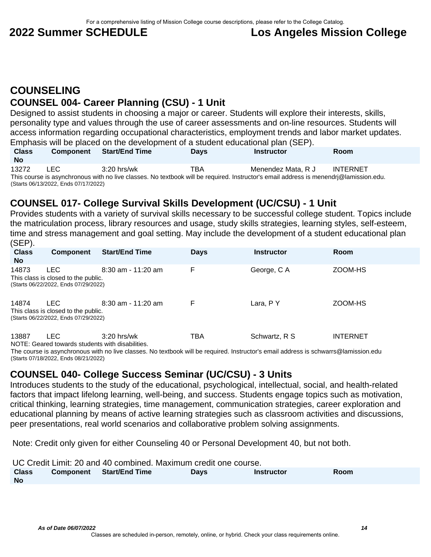#### **COUNSELING COUNSEL 004- Career Planning (CSU) - 1 Unit**

Designed to assist students in choosing a major or career. Students will explore their interests, skills, personality type and values through the use of career assessments and on-line resources. Students will access information regarding occupational characteristics, employment trends and labor market updates. Emphasis will be placed on the development of a student educational plan (SEP).

| <b>Class</b><br><b>No</b>                                                                                                             | <b>Component</b> | <b>Start/End Time</b> | <b>Davs</b> | <b>Instructor</b>  | <b>Room</b>     |  |  |  |
|---------------------------------------------------------------------------------------------------------------------------------------|------------------|-----------------------|-------------|--------------------|-----------------|--|--|--|
| 13272                                                                                                                                 | ∟EC I            | 3:20 hrs/wk           | TBA         | Menendez Mata. R J | <b>INTERNET</b> |  |  |  |
| This course is asynchronous with no live classes. No textbook will be required. Instructor's email address is menendrj@lamission.edu. |                  |                       |             |                    |                 |  |  |  |
| (Starts 06/13/2022, Ends 07/17/2022)                                                                                                  |                  |                       |             |                    |                 |  |  |  |

### **COUNSEL 017- College Survival Skills Development (UC/CSU) - 1 Unit**

Provides students with a variety of survival skills necessary to be successful college student. Topics include the matriculation process, library resources and usage, study skills strategies, learning styles, self-esteem, time and stress management and goal setting. May include the development of a student educational plan (SEP).

| <b>Class</b><br><b>No</b> | <b>Component</b>                                                                          | <b>Start/End Time</b> | <b>Days</b> | <b>Instructor</b> | <b>Room</b>     |
|---------------------------|-------------------------------------------------------------------------------------------|-----------------------|-------------|-------------------|-----------------|
| 14873                     | LEC.<br>This class is closed to the public.<br>(Starts 06/22/2022, Ends 07/29/2022)       | $8:30$ am - 11:20 am  | F           | George, CA        | ZOOM-HS         |
| 14874                     | <b>LEC</b><br>This class is closed to the public.<br>(Starts 06/22/2022, Ends 07/29/2022) | $8:30$ am - 11:20 am  | F           | Lara, PY          | ZOOM-HS         |
| 13887                     | LEC.<br>NOTE: Geared towards students with disabilities.                                  | $3:20$ hrs/wk         | TBA         | Schwartz, R S     | <b>INTERNET</b> |

The course is asynchronous with no live classes. No textbook will be required. Instructor's email address is schwarrs@lamission.edu (Starts 07/18/2022, Ends 08/21/2022)

#### **COUNSEL 040- College Success Seminar (UC/CSU) - 3 Units**

Introduces students to the study of the educational, psychological, intellectual, social, and health-related factors that impact lifelong learning, well-being, and success. Students engage topics such as motivation, critical thinking, learning strategies, time management, communication strategies, career exploration and educational planning by means of active learning strategies such as classroom activities and discussions, peer presentations, real world scenarios and collaborative problem solving assignments.

Note: Credit only given for either Counseling 40 or Personal Development 40, but not both.

UC Credit Limit: 20 and 40 combined. Maximum credit one course.

| <b>Class</b> | Component | Start/End Time | <b>Days</b> | <b>Instructor</b> | Room |
|--------------|-----------|----------------|-------------|-------------------|------|
| <b>No</b>    |           |                |             |                   |      |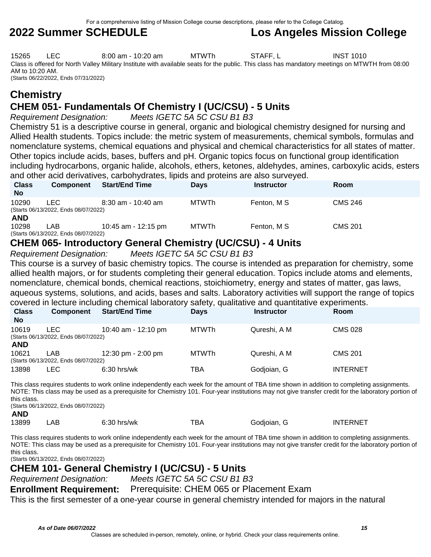15265 LEC 8:00 am - 10:20 am MTWTh STAFF, L INST 1010 Class is offered for North Valley Military Institute with available seats for the public. This class has mandatory meetings on MTWTH from 08:00 AM to 10:20 AM. (Starts 06/22/2022, Ends 07/31/2022)

#### **Chemistry CHEM 051- Fundamentals Of Chemistry I (UC/CSU) - 5 Units**

Requirement Designation: Meets IGETC 5A 5C CSU B1 B3

Chemistry 51 is a descriptive course in general, organic and biological chemistry designed for nursing and Allied Health students. Topics include: the metric system of measurements, chemical symbols, formulas and nomenclature systems, chemical equations and physical and chemical characteristics for all states of matter. Other topics include acids, bases, buffers and pH. Organic topics focus on functional group identification including hydrocarbons, organic halide, alcohols, ethers, ketones, aldehydes, amines, carboxylic acids, esters and other acid derivatives, carbohydrates, lipids and proteins are also surveyed.

| <b>Class</b><br><b>No</b> | <b>Component</b>                             | <b>Start/End Time</b> | <b>Days</b> | <b>Instructor</b> | <b>Room</b>    |
|---------------------------|----------------------------------------------|-----------------------|-------------|-------------------|----------------|
| 10290                     | LEC.<br>(Starts 06/13/2022, Ends 08/07/2022) | $8:30$ am - 10:40 am  | MTWTh       | Fenton, M S       | CMS 246        |
| <b>AND</b><br>10298       | LAB<br>(Starts 06/13/2022, Ends 08/07/2022)  | 10:45 am - 12:15 pm   | MTWTh       | Fenton, M S       | <b>CMS 201</b> |

## **CHEM 065- Introductory General Chemistry (UC/CSU) - 4 Units**

Requirement Designation: Meets IGETC 5A 5C CSU B1 B3

This course is a survey of basic chemistry topics. The course is intended as preparation for chemistry, some allied health majors, or for students completing their general education. Topics include atoms and elements, nomenclature, chemical bonds, chemical reactions, stoichiometry, energy and states of matter, gas laws, aqueous systems, solutions, and acids, bases and salts. Laboratory activities will support the range of topics covered in lecture including chemical laboratory safety, qualitative and quantitative experiments.

|                           | covered in lecture including chemical laboratory salety, qualitative and quantitative experiments. |                               |             |                   |                 |  |  |
|---------------------------|----------------------------------------------------------------------------------------------------|-------------------------------|-------------|-------------------|-----------------|--|--|
| <b>Class</b><br><b>No</b> | <b>Component</b>                                                                                   | <b>Start/End Time</b>         | <b>Days</b> | <b>Instructor</b> | <b>Room</b>     |  |  |
| 10619                     | LEC.<br>(Starts 06/13/2022, Ends 08/07/2022)                                                       | 10:40 am - $12:10 \text{ pm}$ | MTWTh       | Qureshi, A M      | <b>CMS 028</b>  |  |  |
| <b>AND</b><br>10621       | LAB<br>(Starts 06/13/2022, Ends 08/07/2022)                                                        | 12:30 pm $-$ 2:00 pm          | MTWTh       | Qureshi, A M      | CMS 201         |  |  |
| 13898                     | LEC                                                                                                | $6:30$ hrs/wk                 | TBA         | Godjoian, G       | <b>INTERNET</b> |  |  |

This class requires students to work online independently each week for the amount of TBA time shown in addition to completing assignments. NOTE: This class may be used as a prerequisite for Chemistry 101. Four-year institutions may not give transfer credit for the laboratory portion of this class. (Starts 06/13/2022, Ends 08/07/2022)

**AND**

13899 LAB 6:30 hrs/wk TBA Godjoian, G INTERNET

This class requires students to work online independently each week for the amount of TBA time shown in addition to completing assignments. NOTE: This class may be used as a prerequisite for Chemistry 101. Four-year institutions may not give transfer credit for the laboratory portion of this class.

(Starts 06/13/2022, Ends 08/07/2022)

# **CHEM 101- General Chemistry I (UC/CSU) - 5 Units**

Requirement Designation: Meets IGETC 5A 5C CSU B1 B3 **Enrollment Requirement:** Prerequisite: CHEM 065 or Placement Exam This is the first semester of a one-year course in general chemistry intended for majors in the natural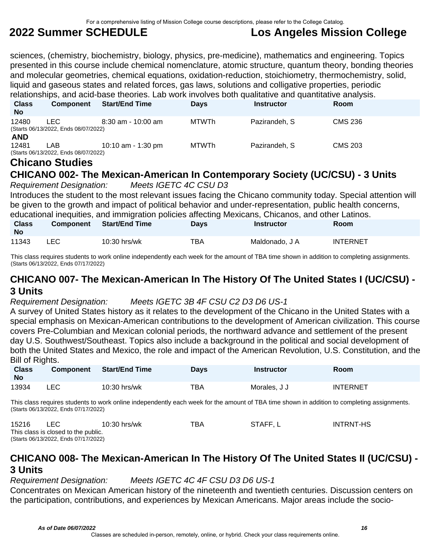sciences, (chemistry, biochemistry, biology, physics, pre-medicine), mathematics and engineering. Topics presented in this course include chemical nomenclature, atomic structure, quantum theory, bonding theories and molecular geometries, chemical equations, oxidation-reduction, stoichiometry, thermochemistry, solid, liquid and gaseous states and related forces, gas laws, solutions and colligative properties, periodic relationships, and acid-base theories. Lab work involves both qualitative and quantitative analysis.<br>Class Component Start/End Time Days Instructor Room **Class Component Start/End Time Days Instructor Room**

| No    |                                      |                      |              |               |                |
|-------|--------------------------------------|----------------------|--------------|---------------|----------------|
| 12480 | LEC                                  | $8:30$ am - 10:00 am | MTWTh        | Pazirandeh, S | CMS 236        |
|       | (Starts 06/13/2022, Ends 08/07/2022) |                      |              |               |                |
| AND   |                                      |                      |              |               |                |
| 12481 | LAB                                  | 10:10 am - 1:30 pm   | <b>MTWTh</b> | Pazirandeh, S | <b>CMS 203</b> |
|       | (Starts 06/13/2022, Ends 08/07/2022) |                      |              |               |                |

# **Chicano Studies**

## **CHICANO 002- The Mexican-American In Contemporary Society (UC/CSU) - 3 Units**

Requirement Designation: Meets IGETC 4C CSU D3 Introduces the student to the most relevant issues facing the Chicano community today. Special attention will be given to the growth and impact of political behavior and under-representation, public health concerns, educational inequities, and immigration policies affecting Mexicans, Chicanos, and other Latinos.

| <b>Class</b><br><b>No</b> | <b>Component</b> | Start/End Time | <b>Days</b> | Instructor     | Room            |
|---------------------------|------------------|----------------|-------------|----------------|-----------------|
| 11343                     | ∟EC i            | $10:30$ hrs/wk | TBA         | Maldonado. J A | <b>INTERNET</b> |

This class requires students to work online independently each week for the amount of TBA time shown in addition to completing assignments. (Starts 06/13/2022, Ends 07/17/2022)

#### **CHICANO 007- The Mexican-American In The History Of The United States I (UC/CSU) - 3 Units**

#### Requirement Designation: Meets IGETC 3B 4F CSU C2 D3 D6 US-1

A survey of United States history as it relates to the development of the Chicano in the United States with a special emphasis on Mexican-American contributions to the development of American civilization. This course covers Pre-Columbian and Mexican colonial periods, the northward advance and settlement of the present day U.S. Southwest/Southeast. Topics also include a background in the political and social development of both the United States and Mexico, the role and impact of the American Revolution, U.S. Constitution, and the Bill of Rights.

| <b>Class</b><br><b>No</b> | <b>Component</b> | <b>Start/End Time</b> | Days | <b>Instructor</b> | Room            |
|---------------------------|------------------|-----------------------|------|-------------------|-----------------|
| 13934                     | LEC              | 10:30 hrs/wk          | TBA  | Morales, J J      | <b>INTERNET</b> |

This class requires students to work online independently each week for the amount of TBA time shown in addition to completing assignments. (Starts 06/13/2022, Ends 07/17/2022)

| 15216 | LEC                                  | $10:30$ hrs/wk | TBA | STAFF, L | <b>INTRNT-HS</b> |
|-------|--------------------------------------|----------------|-----|----------|------------------|
|       | This class is closed to the public.  |                |     |          |                  |
|       | (Starts 06/13/2022, Ends 07/17/2022) |                |     |          |                  |

#### **CHICANO 008- The Mexican-American In The History Of The United States II (UC/CSU) - 3 Units**

Requirement Designation: Meets IGETC 4C 4F CSU D3 D6 US-1

Concentrates on Mexican American history of the nineteenth and twentieth centuries. Discussion centers on the participation, contributions, and experiences by Mexican Americans. Major areas include the socio-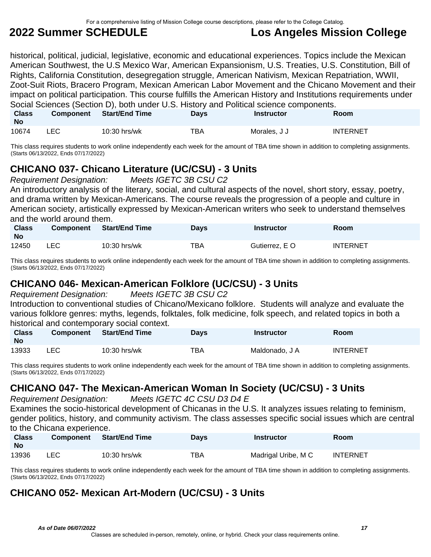historical, political, judicial, legislative, economic and educational experiences. Topics include the Mexican American Southwest, the U.S Mexico War, American Expansionism, U.S. Treaties, U.S. Constitution, Bill of Rights, California Constitution, desegregation struggle, American Nativism, Mexican Repatriation, WWII, Zoot-Suit Riots, Bracero Program, Mexican American Labor Movement and the Chicano Movement and their impact on political participation. This course fulfills the American History and Institutions requirements under Social Sciences (Section D), both under U.S. History and Political science components. **Class Component Start/End Time Days Instructor Room**

| <b>No</b> |           |                |     |              |                 |
|-----------|-----------|----------------|-----|--------------|-----------------|
| 10674     | ---<br>__ | $10:30$ hrs/wk | тва | Morales. J J | <b>INTERNET</b> |

This class requires students to work online independently each week for the amount of TBA time shown in addition to completing assignments. (Starts 06/13/2022, Ends 07/17/2022)

### **CHICANO 037- Chicano Literature (UC/CSU) - 3 Units**

Requirement Designation: Meets IGETC 3B CSU C2

An introductory analysis of the literary, social, and cultural aspects of the novel, short story, essay, poetry, and drama written by Mexican-Americans. The course reveals the progression of a people and culture in American society, artistically expressed by Mexican-American writers who seek to understand themselves and the world around them.

| <b>Class</b><br>No | <b>Component</b> | <b>Start/End Time</b> | Days | Instructor     | <b>Room</b>     |
|--------------------|------------------|-----------------------|------|----------------|-----------------|
| 12450              | .EC              | $10:30$ hrs/wk        | TBA  | Gutierrez. E O | <b>INTERNET</b> |

This class requires students to work online independently each week for the amount of TBA time shown in addition to completing assignments. (Starts 06/13/2022, Ends 07/17/2022)

### **CHICANO 046- Mexican-American Folklore (UC/CSU) - 3 Units**

Requirement Designation: Meets IGETC 3B CSU C2 Introduction to conventional studies of Chicano/Mexicano folklore. Students will analyze and evaluate the various folklore genres: myths, legends, folktales, folk medicine, folk speech, and related topics in both a historical and contemporary social context.

| <b>Class</b><br>No | <b>Component</b> | <b>Start/End Time</b> | Days | <b>Instructor</b> | <b>Room</b>     |
|--------------------|------------------|-----------------------|------|-------------------|-----------------|
| 13933              | ∟EC.             | 10:30 hrs/wk          | TBA  | Maldonado, J A    | <b>INTERNET</b> |

This class requires students to work online independently each week for the amount of TBA time shown in addition to completing assignments. (Starts 06/13/2022, Ends 07/17/2022)

#### **CHICANO 047- The Mexican-American Woman In Society (UC/CSU) - 3 Units**

Requirement Designation: Meets IGETC 4C CSU D3 D4 E

Examines the socio-historical development of Chicanas in the U.S. It analyzes issues relating to feminism, gender politics, history, and community activism. The class assesses specific social issues which are central to the Chicana experience.

| <b>Class</b><br><b>No</b> | <b>Component</b> | <b>Start/End Time</b> | <b>Days</b> | Instructor          | <b>Room</b>     |
|---------------------------|------------------|-----------------------|-------------|---------------------|-----------------|
| 13936                     | LEC.             | 10:30 hrs/wk          | TBA         | Madrigal Uribe, M C | <b>INTERNET</b> |

This class requires students to work online independently each week for the amount of TBA time shown in addition to completing assignments. (Starts 06/13/2022, Ends 07/17/2022)

## **CHICANO 052- Mexican Art-Modern (UC/CSU) - 3 Units**

**As of Date 06/07/2022 17**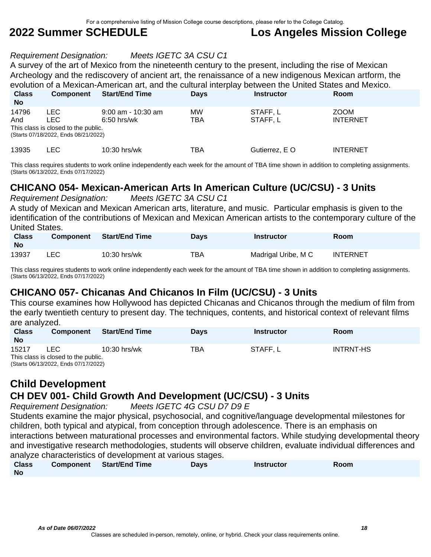#### Requirement Designation: Meets IGETC 3A CSU C1

A survey of the art of Mexico from the nineteenth century to the present, including the rise of Mexican Archeology and the rediscovery of ancient art, the renaissance of a new indigenous Mexican artform, the evolution of a Mexican-American art, and the cultural interplay between the United States and Mexico.

| <b>Class</b><br><b>No</b> | <b>Component</b>                                                                           | <b>Start/End Time</b>                 | <b>Days</b>      | <b>Instructor</b>  | Room                    |
|---------------------------|--------------------------------------------------------------------------------------------|---------------------------------------|------------------|--------------------|-------------------------|
| 14796<br>And              | LEC<br>LEC.<br>This class is closed to the public.<br>(Starts 07/18/2022, Ends 08/21/2022) | $9:00$ am - 10:30 am<br>$6:50$ hrs/wk | <b>MW</b><br>TBA | STAFF.L<br>STAFF.L | ZOOM<br><b>INTERNET</b> |
| 13935                     | .EC                                                                                        | $10:30$ hrs/wk                        | TBA              | Gutierrez, E O     | <b>INTERNET</b>         |

This class requires students to work online independently each week for the amount of TBA time shown in addition to completing assignments. (Starts 06/13/2022, Ends 07/17/2022)

#### **CHICANO 054- Mexican-American Arts In American Culture (UC/CSU) - 3 Units**

Requirement Designation: Meets IGETC 3A CSU C1 A study of Mexican and Mexican American arts, literature, and music. Particular emphasis is given to the identification of the contributions of Mexican and Mexican American artists to the contemporary culture of the United States.

| <b>Class</b><br>No | <b>Component</b> | <b>Start/End Time</b> | Days | <b>Instructor</b>   | Room            |
|--------------------|------------------|-----------------------|------|---------------------|-----------------|
| 13937              | LEC.             | $10:30$ hrs/wk        | TBA  | Madrigal Uribe, M C | <b>INTERNET</b> |

This class requires students to work online independently each week for the amount of TBA time shown in addition to completing assignments. (Starts 06/13/2022, Ends 07/17/2022)

### **CHICANO 057- Chicanas And Chicanos In Film (UC/CSU) - 3 Units**

This course examines how Hollywood has depicted Chicanas and Chicanos through the medium of film from the early twentieth century to present day. The techniques, contents, and historical context of relevant films are analyzed.

| <b>Class</b><br><b>No</b> | <b>Component</b>                                                                   | <b>Start/End Time</b> | <b>Davs</b> | <b>Instructor</b> | Room      |
|---------------------------|------------------------------------------------------------------------------------|-----------------------|-------------|-------------------|-----------|
| 15217                     | _EC<br>This class is closed to the public.<br>(Starts 06/13/2022, Ends 07/17/2022) | $10:30$ hrs/wk        | TBA         | STAFF, L          | INTRNT-HS |

## **Child Development**

#### **CH DEV 001- Child Growth And Development (UC/CSU) - 3 Units**

Requirement Designation: Meets IGETC 4G CSU D7 D9 E

Students examine the major physical, psychosocial, and cognitive/language developmental milestones for children, both typical and atypical, from conception through adolescence. There is an emphasis on interactions between maturational processes and environmental factors. While studying developmental theory and investigative research methodologies, students will observe children, evaluate individual differences and analyze characteristics of development at various stages.

| <b>Class</b> | Component | <b>Start/End Time</b> | <b>Days</b> | <b>Instructor</b> | Room |
|--------------|-----------|-----------------------|-------------|-------------------|------|
| <b>No</b>    |           |                       |             |                   |      |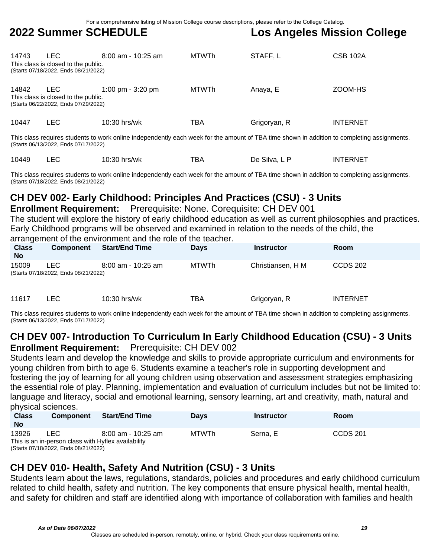| <b>2022 Summer SCHEDULE</b> |                                                                                     |                                                                                                                                             |              | <b>Los Angeles Mission College</b> |                 |
|-----------------------------|-------------------------------------------------------------------------------------|---------------------------------------------------------------------------------------------------------------------------------------------|--------------|------------------------------------|-----------------|
| 14743                       | LEC.<br>This class is closed to the public.<br>(Starts 07/18/2022, Ends 08/21/2022) | $8:00$ am - 10:25 am                                                                                                                        | <b>MTWTh</b> | STAFF, L                           | <b>CSB 102A</b> |
| 14842                       | LEC.<br>This class is closed to the public.<br>(Starts 06/22/2022, Ends 07/29/2022) | 1:00 pm - $3:20$ pm                                                                                                                         | <b>MTWTh</b> | Anaya, E                           | ZOOM-HS         |
| 10447                       | <b>LEC</b>                                                                          | $10:30$ hrs/wk                                                                                                                              | TBA          | Grigoryan, R                       | <b>INTERNET</b> |
|                             |                                                                                     | This class requires students to work online independently each week for the amount of TBA time shown in addition to completing assignments. |              |                                    |                 |

(Starts 06/13/2022, Ends 07/17/2022)

| 10449<br>ᄂᄂ | 10:30 hrs/wk | тва | D<br>De<br>≧Silva. L | <b>INTERNET</b> |
|-------------|--------------|-----|----------------------|-----------------|
|-------------|--------------|-----|----------------------|-----------------|

This class requires students to work online independently each week for the amount of TBA time shown in addition to completing assignments. (Starts 07/18/2022, Ends 08/21/2022)

## **CH DEV 002- Early Childhood: Principles And Practices (CSU) - 3 Units**

#### **Enrollment Requirement:** Prerequisite: None. Corequisite: CH DEV 001

The student will explore the history of early childhood education as well as current philosophies and practices. Early Childhood programs will be observed and examined in relation to the needs of the child, the

arrangement of the environment and the role of the teacher.

| <b>Class</b><br><b>No</b> | <b>Component</b>                            | <b>Start/End Time</b> | <b>Days</b> | <b>Instructor</b> | <b>Room</b>     |
|---------------------------|---------------------------------------------|-----------------------|-------------|-------------------|-----------------|
| 15009                     | LEC<br>(Starts 07/18/2022, Ends 08/21/2022) | $8:00$ am - 10:25 am  | MTWTh       | Christiansen, H M | <b>CCDS 202</b> |
| 11617                     | LEC                                         | 10:30 hrs/wk          | TBA         | Grigoryan, R      | <b>INTERNET</b> |

This class requires students to work online independently each week for the amount of TBA time shown in addition to completing assignments. (Starts 06/13/2022, Ends 07/17/2022)

#### **CH DEV 007- Introduction To Curriculum In Early Childhood Education (CSU) - 3 Units Enrollment Requirement:** Prerequisite: CH DEV 002

Students learn and develop the knowledge and skills to provide appropriate curriculum and environments for young children from birth to age 6. Students examine a teacher's role in supporting development and fostering the joy of learning for all young children using observation and assessment strategies emphasizing the essential role of play. Planning, implementation and evaluation of curriculum includes but not be limited to: language and literacy, social and emotional learning, sensory learning, art and creativity, math, natural and physical sciences.

| <b>Class</b> | <b>Component</b>                                    | <b>Start/End Time</b> | <b>Days</b> | <b>Instructor</b> | Room            |  |  |  |
|--------------|-----------------------------------------------------|-----------------------|-------------|-------------------|-----------------|--|--|--|
| <b>No</b>    |                                                     |                       |             |                   |                 |  |  |  |
| 13926        | I FC.                                               | $8:00$ am - 10:25 am  | MTWTh       | Serna. E          | <b>CCDS 201</b> |  |  |  |
|              | This is an in-person class with Hyflex availability |                       |             |                   |                 |  |  |  |
|              | (Starts 07/18/2022, Ends 08/21/2022)                |                       |             |                   |                 |  |  |  |

### **CH DEV 010- Health, Safety And Nutrition (CSU) - 3 Units**

Students learn about the laws, regulations, standards, policies and procedures and early childhood curriculum related to child health, safety and nutrition. The key components that ensure physical health, mental health, and safety for children and staff are identified along with importance of collaboration with families and health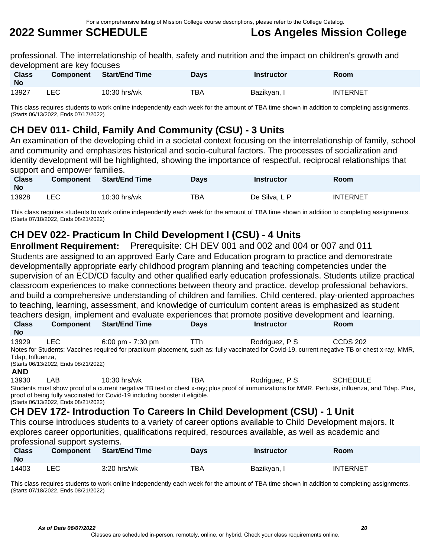professional. The interrelationship of health, safety and nutrition and the impact on children's growth and development are key focuses

| <b>Class</b><br><b>No</b> | <b>Component</b> | Start/End Time | <b>Days</b> | Instructor  | Room            |
|---------------------------|------------------|----------------|-------------|-------------|-----------------|
| 13927                     | _EC.             | 10:30 hrs/wk   | тва         | Bazikyan, I | <b>INTERNET</b> |

This class requires students to work online independently each week for the amount of TBA time shown in addition to completing assignments. (Starts 06/13/2022, Ends 07/17/2022)

### **CH DEV 011- Child, Family And Community (CSU) - 3 Units**

An examination of the developing child in a societal context focusing on the interrelationship of family, school and community and emphasizes historical and socio-cultural factors. The processes of socialization and identity development will be highlighted, showing the importance of respectful, reciprocal relationships that support and empower families.

| <b>Class</b><br><b>No</b> | <b>Component</b> | <b>Start/End Time</b> | <b>Days</b> | <b>Instructor</b> | Room            |
|---------------------------|------------------|-----------------------|-------------|-------------------|-----------------|
| 13928                     | LEC              | $10:30$ hrs/wk        | ТВА         | De Silva, L P     | <b>INTERNET</b> |

This class requires students to work online independently each week for the amount of TBA time shown in addition to completing assignments. (Starts 07/18/2022, Ends 08/21/2022)

### **CH DEV 022- Practicum In Child Development I (CSU) - 4 Units**

**Enrollment Requirement:** Prerequisite: CH DEV 001 and 002 and 004 or 007 and 011 Students are assigned to an approved Early Care and Education program to practice and demonstrate developmentally appropriate early childhood program planning and teaching competencies under the supervision of an ECD/CD faculty and other qualified early education professionals. Students utilize practical classroom experiences to make connections between theory and practice, develop professional behaviors, and build a comprehensive understanding of children and families. Child centered, play-oriented approaches to teaching, learning, assessment, and knowledge of curriculum content areas is emphasized as student teachers design, implement and evaluate experiences that promote positive development and learning. **Class Component** Start/End Time **Days Instructor** 

| Class            | Component                           | Start/End Time    | Davs | <b>Instructor</b>                                                                                                                               | <b>ROOM</b> |  |
|------------------|-------------------------------------|-------------------|------|-------------------------------------------------------------------------------------------------------------------------------------------------|-------------|--|
| <b>No</b>        |                                     |                   |      |                                                                                                                                                 |             |  |
| 13929            | LEC.                                | 6:00 pm - 7:30 pm | TTh  | Rodriguez, P S                                                                                                                                  | CCDS 202    |  |
|                  |                                     |                   |      | Notes for Students: Vaccines required for practicum placement, such as: fully vaccinated for Covid-19, current negative TB or chest x-ray, MMR, |             |  |
| Tdap, Influenza, |                                     |                   |      |                                                                                                                                                 |             |  |
|                  | (Starte 06/13/2022 Ende 08/21/2022) |                   |      |                                                                                                                                                 |             |  |

(Starts 06/13/2022, Ends 08/21/2022)

#### **AND**

13930 LAB 10:30 hrs/wk TBA Rodriguez, P S SCHEDULE Students must show proof of a current negative TB test or chest x-ray; plus proof of immunizations for MMR, Pertusis, influenza, and Tdap. Plus, proof of being fully vaccinated for Covid-19 including booster if eligible. (Starts 06/13/2022, Ends 08/21/2022)

## **CH DEV 172- Introduction To Careers In Child Development (CSU) - 1 Unit**

This course introduces students to a variety of career options available to Child Development majors. It explores career opportunities, qualifications required, resources available, as well as academic and professional support systems.

| <b>Class</b><br><b>No</b> | <b>Component</b> | Start/End Time | <b>Days</b> | <b>Instructor</b> | Room            |
|---------------------------|------------------|----------------|-------------|-------------------|-----------------|
| 14403                     | LEC.             | $3:20$ hrs/wk  | ТВА         | Bazikyan, I       | <b>INTERNET</b> |

This class requires students to work online independently each week for the amount of TBA time shown in addition to completing assignments. (Starts 07/18/2022, Ends 08/21/2022)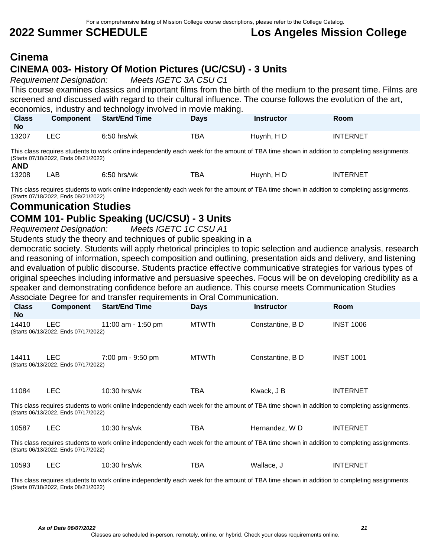#### **Cinema**

#### **CINEMA 003- History Of Motion Pictures (UC/CSU) - 3 Units**

Requirement Designation: Meets IGETC 3A CSU C1

This course examines classics and important films from the birth of the medium to the present time. Films are screened and discussed with regard to their cultural influence. The course follows the evolution of the art, economics, industry and technology involved in movie making.

| <b>Class</b><br><b>No</b> | <b>Component</b> | <b>Start/End Time</b> | Days | <b>Instructor</b> | <b>Room</b>     |
|---------------------------|------------------|-----------------------|------|-------------------|-----------------|
| 13207                     | ∟EC.             | $6:50$ hrs/wk         | TBA  | Huynh, HD         | <b>INTERNET</b> |

This class requires students to work online independently each week for the amount of TBA time shown in addition to completing assignments. (Starts 07/18/2022, Ends 08/21/2022)

13208 LAB 6:50 hrs/wk TBA Huynh, H D INTERNET

This class requires students to work online independently each week for the amount of TBA time shown in addition to completing assignments. (Starts 07/18/2022, Ends 08/21/2022)

#### **Communication Studies**

#### **COMM 101- Public Speaking (UC/CSU) - 3 Units**

Requirement Designation: Meets IGETC 1C CSU A1

Students study the theory and techniques of public speaking in a

democratic society. Students will apply rhetorical principles to topic selection and audience analysis, research and reasoning of information, speech composition and outlining, presentation aids and delivery, and listening and evaluation of public discourse. Students practice effective communicative strategies for various types of original speeches including informative and persuasive speeches. Focus will be on developing credibility as a speaker and demonstrating confidence before an audience. This course meets Communication Studies Associate Degree for and transfer requirements in Oral Communication.

| <b>Class</b><br>No.                                                                                                                                                                 | <b>Component</b>                                   | <b>Start/End Time</b> | <b>Days</b> | <b>Instructor</b> | Room             |  |
|-------------------------------------------------------------------------------------------------------------------------------------------------------------------------------------|----------------------------------------------------|-----------------------|-------------|-------------------|------------------|--|
| 14410                                                                                                                                                                               | LEC.<br>(Starts 06/13/2022, Ends 07/17/2022)       | 11:00 am - 1:50 pm    | MTWTh       | Constantine, B D  | <b>INST 1006</b> |  |
| 14411                                                                                                                                                                               | <b>LEC</b><br>(Starts 06/13/2022, Ends 07/17/2022) | 7:00 pm - 9:50 pm     | MTWTh       | Constantine, B D  | <b>INST 1001</b> |  |
| 11084                                                                                                                                                                               | <b>LEC</b>                                         | $10:30$ hrs/wk        | TBA         | Kwack, J B        | <b>INTERNET</b>  |  |
| This class requires students to work online independently each week for the amount of TBA time shown in addition to completing assignments.<br>(Starts 06/13/2022, Ends 07/17/2022) |                                                    |                       |             |                   |                  |  |
| 10587                                                                                                                                                                               | LEC.                                               | $10:30$ hrs/wk        | TBA         | Hernandez, WD     | <b>INTERNET</b>  |  |
| This class requires students to work online independently each week for the amount of TBA time shown in addition to completing assignments.<br>(Starts 06/13/2022, Ends 07/17/2022) |                                                    |                       |             |                   |                  |  |

This class requires students to work online independently each week for the amount of TBA time shown in addition to completing assignments. (Starts 07/18/2022, Ends 08/21/2022)

10593 LEC 10:30 hrs/wk TBA Wallace, J INTERNET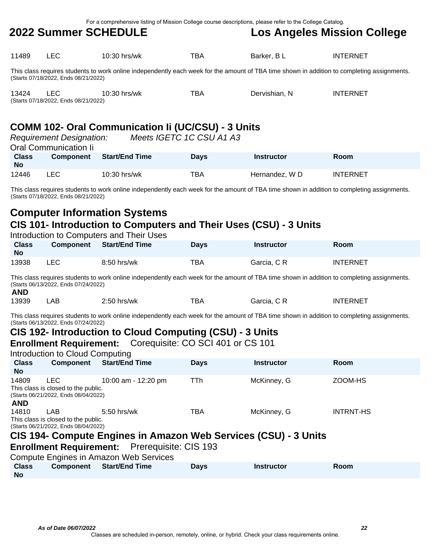For a comprehensive listing of Mission College course descriptions, please refer to the College Catalog.

| <b>2022 Summer SCHEDULE</b>                                                                                                                       |                                              |                                                                                                                                             |             | <b>Los Angeles Mission College</b> |                 |  |  |
|---------------------------------------------------------------------------------------------------------------------------------------------------|----------------------------------------------|---------------------------------------------------------------------------------------------------------------------------------------------|-------------|------------------------------------|-----------------|--|--|
| 11489                                                                                                                                             | LEC.                                         | $10:30$ hrs/wk                                                                                                                              | TBA         | Barker, BL                         | <b>INTERNET</b> |  |  |
|                                                                                                                                                   | (Starts 07/18/2022, Ends 08/21/2022)         | This class requires students to work online independently each week for the amount of TBA time shown in addition to completing assignments. |             |                                    |                 |  |  |
| 13424                                                                                                                                             | LEC.<br>(Starts 07/18/2022, Ends 08/21/2022) | $10:30$ hrs/wk                                                                                                                              | TBA         | Dervishian, N                      | INTERNET        |  |  |
| <b>COMM 102- Oral Communication Ii (UC/CSU) - 3 Units</b><br>Meets IGETC 1C CSU A1 A3<br><b>Requirement Designation:</b><br>Oral Communication li |                                              |                                                                                                                                             |             |                                    |                 |  |  |
| <b>Class</b><br><b>No</b>                                                                                                                         | Component                                    | <b>Start/End Time</b>                                                                                                                       | <b>Days</b> | <b>Instructor</b>                  | Room            |  |  |
| 12446                                                                                                                                             | <b>LEC</b>                                   | 10:30 hrs/wk                                                                                                                                | TBA         | Hernandez, WD                      | <b>INTERNET</b> |  |  |

This class requires students to work online independently each week for the amount of TBA time shown in addition to completing assignments. (Starts 07/18/2022, Ends 08/21/2022)

## **Computer Information Systems CIS 101- Introduction to Computers and Their Uses (CSU) - 3 Units**

Introduction to Computers and Their Uses

| <b>Class</b><br><b>No</b> | <b>Component</b> | <b>Start/End Time</b> | <b>Days</b> | <b>Instructor</b> | <b>Room</b>     |
|---------------------------|------------------|-----------------------|-------------|-------------------|-----------------|
| 13938                     | LEC.             | 8:50 hrs/wk           | TBA         | Garcia, C R       | <b>INTERNET</b> |

This class requires students to work online independently each week for the amount of TBA time shown in addition to completing assignments. (Starts 06/13/2022, Ends 07/24/2022) **AND**

| AIV   |     |                  |          |         |                 |
|-------|-----|------------------|----------|---------|-----------------|
| 13939 | LAB | 2:50<br>∖ hrs/wk | --<br>BА | Garcia. | <b>INTERNET</b> |

This class requires students to work online independently each week for the amount of TBA time shown in addition to completing assignments. (Starts 06/13/2022, Ends 07/24/2022)

### **CIS 192- Introduction to Cloud Computing (CSU) - 3 Units**

**Enrollment Requirement:** Corequisite: CO SCI 401 or CS 101

Introduction to Cloud Computing

|                                                                                                       | <b>INTERNATION CONTROLLING</b>                                                                                                                                                                                          |                       |             |                   |         |  |  |  |
|-------------------------------------------------------------------------------------------------------|-------------------------------------------------------------------------------------------------------------------------------------------------------------------------------------------------------------------------|-----------------------|-------------|-------------------|---------|--|--|--|
| <b>Class</b><br><b>No</b>                                                                             | Component                                                                                                                                                                                                               | <b>Start/End Time</b> | <b>Days</b> | <b>Instructor</b> | Room    |  |  |  |
| 14809<br><b>AND</b>                                                                                   | <b>LEC</b><br>This class is closed to the public.<br>(Starts 06/21/2022, Ends 08/04/2022)                                                                                                                               | 10:00 am - 12:20 pm   | <b>TTh</b>  | McKinney, G       | ZOOM-HS |  |  |  |
| 14810                                                                                                 | <b>LAB</b><br>$5:50$ hrs/wk<br><b>INTRNT-HS</b><br>TBA<br>McKinney, G<br>This class is closed to the public.<br>(Starts 06/21/2022, Ends 08/04/2022)<br>CIS 194- Compute Engines in Amazon Web Services (CSU) - 3 Units |                       |             |                   |         |  |  |  |
| <b>Enrollment Requirement:</b> Prerequisite: CIS 193<br><b>Compute Engines in Amazon Web Services</b> |                                                                                                                                                                                                                         |                       |             |                   |         |  |  |  |
| <b>Class</b><br><b>No</b>                                                                             | Component                                                                                                                                                                                                               | <b>Start/End Time</b> | <b>Days</b> | <b>Instructor</b> | Room    |  |  |  |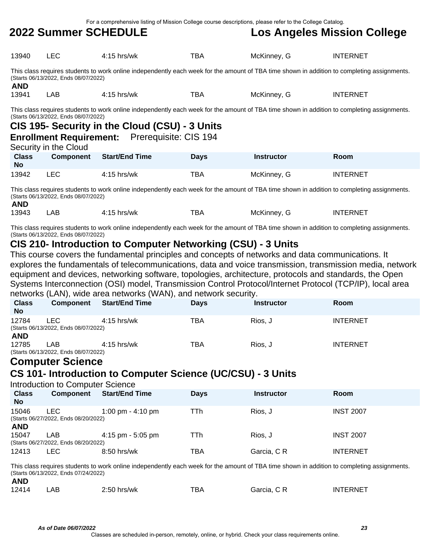For a comprehensive listing of Mission College course descriptions, please refer to the College Catalog.

| <b>2022 Summer SCHEDULE</b>                                                                                                                                                                                                                                                                                            |                  |                       | <b>Los Angeles Mission College</b> |                   |                 |  |
|------------------------------------------------------------------------------------------------------------------------------------------------------------------------------------------------------------------------------------------------------------------------------------------------------------------------|------------------|-----------------------|------------------------------------|-------------------|-----------------|--|
| 13940                                                                                                                                                                                                                                                                                                                  | <b>LEC</b>       | $4:15$ hrs/wk         | TBA                                | McKinney, G       | <b>INTERNET</b> |  |
| This class requires students to work online independently each week for the amount of TBA time shown in addition to completing assignments.<br>(Starts 06/13/2022, Ends 08/07/2022)<br><b>AND</b>                                                                                                                      |                  |                       |                                    |                   |                 |  |
| 13941                                                                                                                                                                                                                                                                                                                  | LAB              | $4:15$ hrs/wk         | TBA                                | McKinney, G       | <b>INTERNET</b> |  |
| This class requires students to work online independently each week for the amount of TBA time shown in addition to completing assignments.<br>(Starts 06/13/2022, Ends 08/07/2022)<br>CIS 195- Security in the Cloud (CSU) - 3 Units<br><b>Enrollment Requirement:</b> Prerequisite: CIS 194<br>Security in the Cloud |                  |                       |                                    |                   |                 |  |
| <b>Class</b><br>No                                                                                                                                                                                                                                                                                                     | <b>Component</b> | <b>Start/End Time</b> | <b>Days</b>                        | <b>Instructor</b> | Room            |  |
| 13942                                                                                                                                                                                                                                                                                                                  | <b>LEC</b>       | $4:15$ hrs/wk         | TBA                                | McKinney, G       | <b>INTERNET</b> |  |
| This class requires students to work online independently each week for the amount of TBA time shown in addition to completing assignments.                                                                                                                                                                            |                  |                       |                                    |                   |                 |  |

(Starts 06/13/2022, Ends 08/07/2022)

| <b>AND</b> |     |               |     |             |                 |
|------------|-----|---------------|-----|-------------|-----------------|
| 13943      | LAB | $4:15$ hrs/wk | тва | McKinney, G | <b>INTERNET</b> |

This class requires students to work online independently each week for the amount of TBA time shown in addition to completing assignments. (Starts 06/13/2022, Ends 08/07/2022)

#### **CIS 210- Introduction to Computer Networking (CSU) - 3 Units**

This course covers the fundamental principles and concepts of networks and data communications. It explores the fundamentals of telecommunications, data and voice transmission, transmission media, network equipment and devices, networking software, topologies, architecture, protocols and standards, the Open Systems Interconnection (OSI) model, Transmission Control Protocol/Internet Protocol (TCP/IP), local area networks (LAN), wide area networks (WAN), and network security.

| <b>Class</b><br><b>No</b> | <b>Component</b>                     | <b>Start/End Time</b> | Days | <b>Instructor</b> | <b>Room</b>     |
|---------------------------|--------------------------------------|-----------------------|------|-------------------|-----------------|
| 12784                     | _EC                                  | $4:15$ hrs/wk         | ТВА  | Rios. J           | <b>INTERNET</b> |
| <b>AND</b>                | (Starts 06/13/2022, Ends 08/07/2022) |                       |      |                   |                 |
| 12785                     | _AB                                  | $4:15$ hrs/wk         | TBA  | Rios. J           | <b>INTERNET</b> |
|                           | (Starts 06/13/2022, Ends 08/07/2022) |                       |      |                   |                 |

## **Computer Science**

## **CS 101- Introduction to Computer Science (UC/CSU) - 3 Units**

Introduction to Computer Science

| <b>Class</b><br><b>No</b> | <b>Component</b>                             | <b>Start/End Time</b> | <b>Days</b> | <b>Instructor</b> | <b>Room</b>      |
|---------------------------|----------------------------------------------|-----------------------|-------------|-------------------|------------------|
| 15046<br><b>AND</b>       | LEC.<br>(Starts 06/27/2022, Ends 08/20/2022) | 1:00 pm $-$ 4:10 pm   | TTh         | Rios. J           | <b>INST 2007</b> |
| 15047                     | LAB<br>(Starts 06/27/2022, Ends 08/20/2022)  | $4:15$ pm - 5:05 pm   | TTh         | Rios. J           | <b>INST 2007</b> |
| 12413                     | LEC.                                         | $8:50$ hrs/wk         | TBA         | Garcia, C R       | <b>INTERNET</b>  |

This class requires students to work online independently each week for the amount of TBA time shown in addition to completing assignments. (Starts 06/13/2022, Ends 07/24/2022)

| <b>AND</b> |     |             |     |             |                 |
|------------|-----|-------------|-----|-------------|-----------------|
| 12414      | LAB | 2:50 hrs/wk | TBA | Garcia, C R | <b>INTERNET</b> |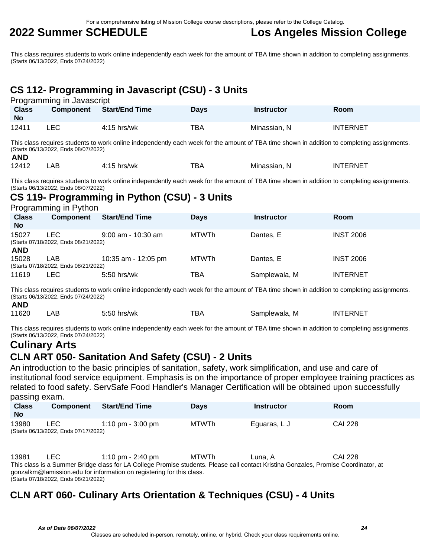This class requires students to work online independently each week for the amount of TBA time shown in addition to completing assignments. (Starts 06/13/2022, Ends 07/24/2022)

## **CS 112- Programming in Javascript (CSU) - 3 Units**

|                           | Programming in Javascript |                       |             |                   |                 |  |  |  |  |  |
|---------------------------|---------------------------|-----------------------|-------------|-------------------|-----------------|--|--|--|--|--|
| <b>Class</b><br><b>No</b> | Component                 | <b>Start/End Time</b> | <b>Davs</b> | <b>Instructor</b> | Room            |  |  |  |  |  |
| 12411                     | LEC.                      | $4:15$ hrs/wk         | TBA         | Minassian, N      | <b>INTERNET</b> |  |  |  |  |  |

This class requires students to work online independently each week for the amount of TBA time shown in addition to completing assignments. (Starts 06/13/2022, Ends 08/07/2022)

#### **AND**

| 1241.<br>. | $\mathbf{r}$<br>∼ | າrs/wk<br>nr. | ---<br>יט | N<br>Mir<br>יפו<br>$\sim$ | RNF.<br>IN 1 |
|------------|-------------------|---------------|-----------|---------------------------|--------------|
|            |                   |               |           |                           |              |

This class requires students to work online independently each week for the amount of TBA time shown in addition to completing assignments. (Starts 06/13/2022, Ends 08/07/2022)

#### **CS 119- Programming in Python (CSU) - 3 Units** Programming in Python

| <b>Class</b><br><b>No</b> | Component                                    | <b>Start/End Time</b> | <b>Days</b> | <b>Instructor</b> | <b>Room</b>      |
|---------------------------|----------------------------------------------|-----------------------|-------------|-------------------|------------------|
| 15027<br><b>AND</b>       | LEC.<br>(Starts 07/18/2022, Ends 08/21/2022) | $9:00$ am - 10:30 am  | MTWTh       | Dantes, E         | <b>INST 2006</b> |
| 15028                     | LAB<br>(Starts 07/18/2022, Ends 08/21/2022)  | 10:35 am - 12:05 pm   | MTWTh       | Dantes. E         | <b>INST 2006</b> |
| 11619                     | LEC                                          | $5:50$ hrs/wk         | TBA         | Samplewala, M     | <b>INTERNET</b>  |

This class requires students to work online independently each week for the amount of TBA time shown in addition to completing assignments. (Starts 06/13/2022, Ends 07/24/2022) **AND**

| ------- |     |             |     |               |                 |
|---------|-----|-------------|-----|---------------|-----------------|
| 11620   | AB. | 5:50 hrs/wk | TBA | Samplewala, M | <b>INTERNET</b> |

This class requires students to work online independently each week for the amount of TBA time shown in addition to completing assignments. (Starts 06/13/2022, Ends 07/24/2022)

#### **Culinary Arts CLN ART 050- Sanitation And Safety (CSU) - 2 Units**

An introduction to the basic principles of sanitation, safety, work simplification, and use and care of institutional food service equipment. Emphasis is on the importance of proper employee training practices as related to food safety. ServSafe Food Handler's Manager Certification will be obtained upon successfully passing exam.

| <b>Class</b><br>No | <b>Component</b>                             | <b>Start/End Time</b> | <b>Davs</b> | <b>Instructor</b> | Room           |
|--------------------|----------------------------------------------|-----------------------|-------------|-------------------|----------------|
| 13980              | LEC.<br>(Starts 06/13/2022, Ends 07/17/2022) | 1:10 pm - 3:00 pm     | MTWTh       | Equaras, L J      | <b>CAI 228</b> |

13981 LEC 1:10 pm - 2:40 pm MTWTh Luna, A CAI 228 This class is a Summer Bridge class for LA College Promise students. Please call contact Kristina Gonzales, Promise Coordinator, at gonzalkm@lamission.edu for information on registering for this class. (Starts 07/18/2022, Ends 08/21/2022)

## **CLN ART 060- Culinary Arts Orientation & Techniques (CSU) - 4 Units**

**As of Date 06/07/2022 24** Classes are scheduled in-person, remotely, online, or hybrid. Check your class requirements online.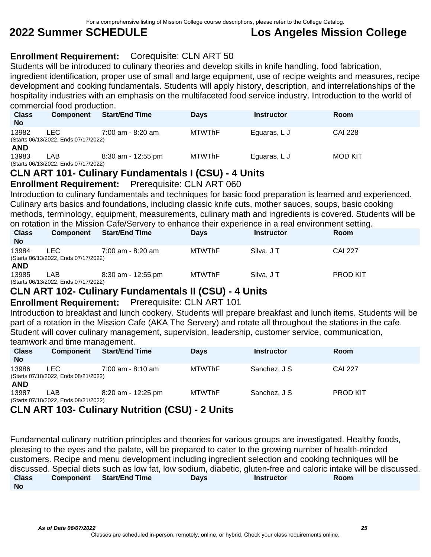#### **Enrollment Requirement:** Corequisite: CLN ART 50

Students will be introduced to culinary theories and develop skills in knife handling, food fabrication, ingredient identification, proper use of small and large equipment, use of recipe weights and measures, recipe development and cooking fundamentals. Students will apply history, description, and interrelationships of the hospitality industries with an emphasis on the multifaceted food service industry. Introduction to the world of commercial food production.

| <b>Class</b> | <b>Component</b>                     | <b>Start/End Time</b> | <b>Davs</b>   | <b>Instructor</b> | Room           |
|--------------|--------------------------------------|-----------------------|---------------|-------------------|----------------|
| <b>No</b>    |                                      |                       |               |                   |                |
| 13982        | LEC.                                 | $7:00$ am - 8:20 am   | <b>MTWThF</b> | Eguaras, L J      | <b>CAI 228</b> |
|              | (Starts 06/13/2022, Ends 07/17/2022) |                       |               |                   |                |
| <b>AND</b>   |                                      |                       |               |                   |                |
| 13983        | LAB                                  | $8:30$ am - 12:55 pm  | <b>MTWThF</b> | Eguaras, L J      | <b>MOD KIT</b> |
|              | (Starts 06/13/2022, Ends 07/17/2022) |                       |               |                   |                |

### **CLN ART 101- Culinary Fundamentals I (CSU) - 4 Units**

#### **Enrollment Requirement:** Prerequisite: CLN ART 060

Introduction to culinary fundamentals and techniques for basic food preparation is learned and experienced. Culinary arts basics and foundations, including classic knife cuts, mother sauces, soups, basic cooking methods, terminology, equipment, measurements, culinary math and ingredients is covered. Students will be on rotation in the Mission Cafe/Servery to enhance their experience in a real environment setting.

| <b>Class</b> | <b>Component</b>                         | <b>Start/End Time</b> | <b>Davs</b>   | <b>Instructor</b> | <b>Room</b>     |  |
|--------------|------------------------------------------|-----------------------|---------------|-------------------|-----------------|--|
| <b>No</b>    |                                          |                       |               |                   |                 |  |
| 13984        | _EC_                                     | $7:00$ am - 8:20 am   | <b>MTWThF</b> | Silva, JT         | <b>CAI 227</b>  |  |
|              | (Starts 06/13/2022, Ends 07/17/2022)     |                       |               |                   |                 |  |
| AND          |                                          |                       |               |                   |                 |  |
| 13985        | _AB                                      | $8:30$ am - 12:55 pm  | <b>MTWThF</b> | Silva, J T        | <b>PROD KIT</b> |  |
|              | $(0.4 - 0.0149/0.000 - 0.4607/47/0.000)$ |                       |               |                   |                 |  |

(Starts 06/13/2022, Ends 07/17/2022)

### **CLN ART 102- Culinary Fundamentals II (CSU) - 4 Units**

#### **Enrollment Requirement:** Prerequisite: CLN ART 101

Introduction to breakfast and lunch cookery. Students will prepare breakfast and lunch items. Students will be part of a rotation in the Mission Cafe (AKA The Servery) and rotate all throughout the stations in the cafe. Student will cover culinary management, supervision, leadership, customer service, communication,

#### teamwork and time management.

| <b>Class</b><br><b>No</b> | <b>Component</b>                             | <b>Start/End Time</b> | <b>Days</b>   | <b>Instructor</b> | <b>Room</b>     |
|---------------------------|----------------------------------------------|-----------------------|---------------|-------------------|-----------------|
| 13986<br><b>AND</b>       | LEC.<br>(Starts 07/18/2022, Ends 08/21/2022) | $7:00$ am - 8:10 am   | MTWThF        | Sanchez, J S      | <b>CAI 227</b>  |
| 13987                     | LAB.<br>(Starts 07/18/2022, Ends 08/21/2022) | 8:20 am - 12:25 pm    | <b>MTWThF</b> | Sanchez, J S      | <b>PROD KIT</b> |

### **CLN ART 103- Culinary Nutrition (CSU) - 2 Units**

Fundamental culinary nutrition principles and theories for various groups are investigated. Healthy foods, pleasing to the eyes and the palate, will be prepared to cater to the growing number of health-minded customers. Recipe and menu development including ingredient selection and cooking techniques will be discussed. Special diets such as low fat, low sodium, diabetic, gluten-free and caloric intake will be discussed. **Class No Component Start/End Time Days Instructor Room**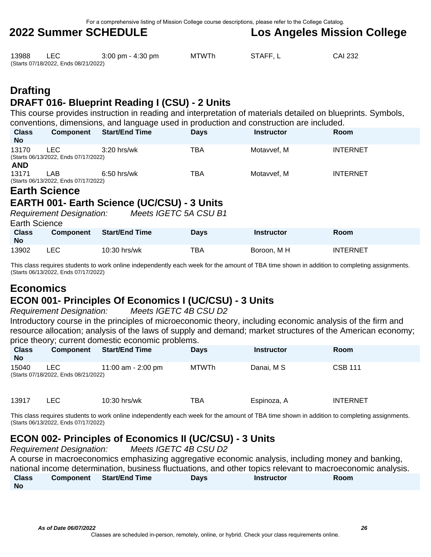13988 LEC 3:00 pm - 4:30 pm MTWTh STAFF, L CAI 232 (Starts 07/18/2022, Ends 08/21/2022)

| STAFF, L | <b>CAI 23</b> |
|----------|---------------|

# **Drafting DRAFT 016- Blueprint Reading I (CSU) - 2 Units**

This course provides instruction in reading and interpretation of materials detailed on blueprints. Symbols, conventions, dimensions, and language used in production and construction are included.

| <b>Class</b><br>No.                                      | Component                                    | <b>Start/End Time</b> | <b>Days</b> | <b>Instructor</b> | <b>Room</b>     |  |  |
|----------------------------------------------------------|----------------------------------------------|-----------------------|-------------|-------------------|-----------------|--|--|
| 13170                                                    | LEC.<br>(Starts 06/13/2022, Ends 07/17/2022) | $3:20$ hrs/wk         | TBA         | Motavvef, M       | <b>INTERNET</b> |  |  |
| <b>AND</b>                                               |                                              |                       |             |                   |                 |  |  |
| 13171                                                    | LAB.                                         | $6:50$ hrs/wk         | TBA         | Motavvef, M       | <b>INTERNET</b> |  |  |
|                                                          | (Starts 06/13/2022, Ends 07/17/2022)         |                       |             |                   |                 |  |  |
|                                                          | <b>Earth Science</b>                         |                       |             |                   |                 |  |  |
| <b>EARTH 001- Earth Science (UC/CSU) - 3 Units</b>       |                                              |                       |             |                   |                 |  |  |
| Meets IGETC 5A CSU B1<br><b>Requirement Designation:</b> |                                              |                       |             |                   |                 |  |  |
| <b>Earth Science</b>                                     |                                              |                       |             |                   |                 |  |  |

| <b>Class</b><br><b>No</b> | <b>Component</b> | <b>Start/End Time</b> | <b>Days</b> | <b>Instructor</b> | Room            |
|---------------------------|------------------|-----------------------|-------------|-------------------|-----------------|
| 13902                     | LEC              | $10:30$ hrs/wk        | <b>TBA</b>  | Boroon, M H       | <b>INTERNET</b> |

This class requires students to work online independently each week for the amount of TBA time shown in addition to completing assignments. (Starts 06/13/2022, Ends 07/17/2022)

# **Economics**

## **ECON 001- Principles Of Economics I (UC/CSU) - 3 Units**

Requirement Designation: Meets IGETC 4B CSU D2 Introductory course in the principles of microeconomic theory, including economic analysis of the firm and resource allocation; analysis of the laws of supply and demand; market structures of the American economy; price theory; current domestic economic problems.

| <b>Class</b><br><b>No</b> | <b>Component</b>                             | <b>Start/End Time</b> | <b>Davs</b> | <b>Instructor</b> | <b>Room</b>     |  |
|---------------------------|----------------------------------------------|-----------------------|-------------|-------------------|-----------------|--|
| 15040                     | LEC.<br>(Starts 07/18/2022, Ends 08/21/2022) | 11:00 am - 2:00 pm    | MTWTh       | Danai, M S        | <b>CSB 111</b>  |  |
| 13917                     | ∟EC                                          | $10:30$ hrs/wk        | TBA         | Espinoza, A       | <b>INTERNET</b> |  |

This class requires students to work online independently each week for the amount of TBA time shown in addition to completing assignments. (Starts 06/13/2022, Ends 07/17/2022)

#### **ECON 002- Principles of Economics II (UC/CSU) - 3 Units**

Requirement Designation: Meets IGETC 4B CSU D2 A course in macroeconomics emphasizing aggregative economic analysis, including money and banking, national income determination, business fluctuations, and other topics relevant to macroeconomic analysis. **Class No Component Start/End Time Days Instructor Room**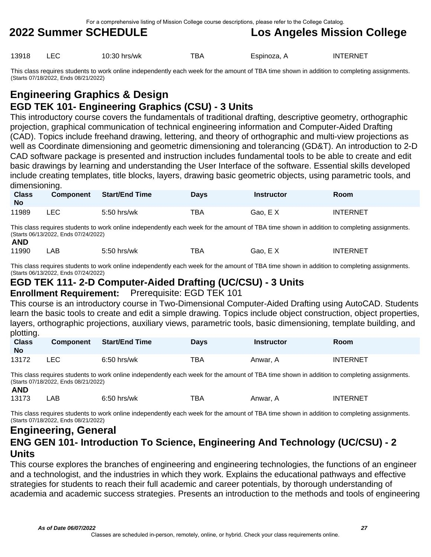For a comprehensive listing of Mission College course descriptions, please refer to the College Catalog.

| <b>2022 Summer SCHEDULE</b> |  |
|-----------------------------|--|
|-----------------------------|--|

**Los Angeles Mission College** 

13918 LEC 10:30 hrs/wk TBA Espinoza, A INTERNET

This class requires students to work online independently each week for the amount of TBA time shown in addition to completing assignments. (Starts 07/18/2022, Ends 08/21/2022)

## **Engineering Graphics & Design EGD TEK 101- Engineering Graphics (CSU) - 3 Units**

This introductory course covers the fundamentals of traditional drafting, descriptive geometry, orthographic projection, graphical communication of technical engineering information and Computer-Aided Drafting (CAD). Topics include freehand drawing, lettering, and theory of orthographic and multi-view projections as well as Coordinate dimensioning and geometric dimensioning and tolerancing (GD&T). An introduction to 2-D CAD software package is presented and instruction includes fundamental tools to be able to create and edit basic drawings by learning and understanding the User Interface of the software. Essential skills developed include creating templates, title blocks, layers, drawing basic geometric objects, using parametric tools, and dimensioning.

| <b>Class</b><br><b>No</b> | <b>Component</b> | <b>Start/End Time</b> | Days | <b>Instructor</b> | <b>Room</b>     |
|---------------------------|------------------|-----------------------|------|-------------------|-----------------|
| 11989                     | LEC              | 5:50 hrs/wk           | TBA  | Gao. E X          | <b>INTERNET</b> |

This class requires students to work online independently each week for the amount of TBA time shown in addition to completing assignments. (Starts 06/13/2022, Ends 07/24/2022) **AND**

| 11990 | _AB_ | ა:50-<br>' hrs/wk | тва | Gao.<br>- - - - | INTERNET |
|-------|------|-------------------|-----|-----------------|----------|

This class requires students to work online independently each week for the amount of TBA time shown in addition to completing assignments. (Starts 06/13/2022, Ends 07/24/2022)

### **EGD TEK 111- 2-D Computer-Aided Drafting (UC/CSU) - 3 Units**

#### **Enrollment Requirement:** Prerequisite: EGD TEK 101

This course is an introductory course in Two-Dimensional Computer-Aided Drafting using AutoCAD. Students learn the basic tools to create and edit a simple drawing. Topics include object construction, object properties, layers, orthographic projections, auxiliary views, parametric tools, basic dimensioning, template building, and plotting.

| <b>Class</b><br><b>No</b> | <b>Component</b> | <b>Start/End Time</b> | <b>Days</b> | <b>Instructor</b> | <b>Room</b>     |
|---------------------------|------------------|-----------------------|-------------|-------------------|-----------------|
| 13172                     | LEC              | $6:50$ hrs/wk         | ТВА         | Anwar. A          | <b>INTERNET</b> |

This class requires students to work online independently each week for the amount of TBA time shown in addition to completing assignments. (Starts 07/18/2022, Ends 08/21/2022) **AND**

| AND   |     |             |     |          |          |
|-------|-----|-------------|-----|----------|----------|
| 13173 | .AB | 6:50 hrs/wk | тва | Anwar. A | INTERNET |

This class requires students to work online independently each week for the amount of TBA time shown in addition to completing assignments. (Starts 07/18/2022, Ends 08/21/2022)

#### **Engineering, General ENG GEN 101- Introduction To Science, Engineering And Technology (UC/CSU) - 2 Units**

This course explores the branches of engineering and engineering technologies, the functions of an engineer and a technologist, and the industries in which they work. Explains the educational pathways and effective strategies for students to reach their full academic and career potentials, by thorough understanding of academia and academic success strategies. Presents an introduction to the methods and tools of engineering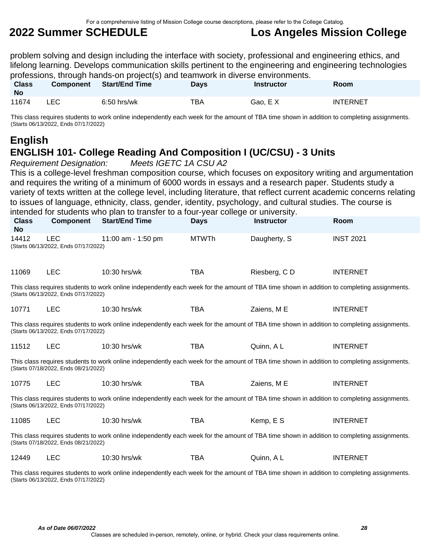problem solving and design including the interface with society, professional and engineering ethics, and lifelong learning. Develops communication skills pertinent to the engineering and engineering technologies professions, through hands-on project(s) and teamwork in diverse environments.

| <b>Class</b><br><b>No</b> | <b>Component</b> | <b>Start/End Time</b> | <b>Davs</b> | Instructor | <b>Room</b>     |
|---------------------------|------------------|-----------------------|-------------|------------|-----------------|
| 11674                     | LEC              | $6:50$ hrs/wk         | TBA         | Gao, EX    | <b>INTERNET</b> |

This class requires students to work online independently each week for the amount of TBA time shown in addition to completing assignments. (Starts 06/13/2022, Ends 07/17/2022)

### **English ENGLISH 101- College Reading And Composition I (UC/CSU) - 3 Units**

Requirement Designation: Meets IGETC 1A CSU A2

This is a college-level freshman composition course, which focuses on expository writing and argumentation and requires the writing of a minimum of 6000 words in essays and a research paper. Students study a variety of texts written at the college level, including literature, that reflect current academic concerns relating to issues of language, ethnicity, class, gender, identity, psychology, and cultural studies. The course is intended for students who plan to transfer to a four-year college or university.

| <b>Class</b><br>No                                                                                                                                                                  | <b>Component</b>                                   | <b>Start/End Time</b>                                                                                                                       | <b>Days</b>  | <b>Instructor</b> | Room             |  |
|-------------------------------------------------------------------------------------------------------------------------------------------------------------------------------------|----------------------------------------------------|---------------------------------------------------------------------------------------------------------------------------------------------|--------------|-------------------|------------------|--|
| 14412                                                                                                                                                                               | <b>LEC</b><br>(Starts 06/13/2022, Ends 07/17/2022) | 11:00 am - 1:50 pm                                                                                                                          | <b>MTWTh</b> | Daugherty, S      | <b>INST 2021</b> |  |
| 11069                                                                                                                                                                               | <b>LEC</b>                                         | 10:30 hrs/wk                                                                                                                                | <b>TBA</b>   | Riesberg, CD      | <b>INTERNET</b>  |  |
|                                                                                                                                                                                     | (Starts 06/13/2022, Ends 07/17/2022)               | This class requires students to work online independently each week for the amount of TBA time shown in addition to completing assignments. |              |                   |                  |  |
| 10771                                                                                                                                                                               | <b>LEC</b>                                         | 10:30 hrs/wk                                                                                                                                | <b>TBA</b>   | Zaiens, M E       | <b>INTERNET</b>  |  |
|                                                                                                                                                                                     | (Starts 06/13/2022, Ends 07/17/2022)               | This class requires students to work online independently each week for the amount of TBA time shown in addition to completing assignments. |              |                   |                  |  |
| 11512                                                                                                                                                                               | <b>LEC</b>                                         | 10:30 hrs/wk                                                                                                                                | TBA          | Quinn, A L        | <b>INTERNET</b>  |  |
|                                                                                                                                                                                     | (Starts 07/18/2022, Ends 08/21/2022)               | This class requires students to work online independently each week for the amount of TBA time shown in addition to completing assignments. |              |                   |                  |  |
| 10775                                                                                                                                                                               | <b>LEC</b>                                         | 10:30 hrs/wk                                                                                                                                | <b>TBA</b>   | Zaiens, M E       | <b>INTERNET</b>  |  |
|                                                                                                                                                                                     | (Starts 06/13/2022, Ends 07/17/2022)               | This class requires students to work online independently each week for the amount of TBA time shown in addition to completing assignments. |              |                   |                  |  |
| 11085                                                                                                                                                                               | <b>LEC</b>                                         | 10:30 hrs/wk                                                                                                                                | <b>TBA</b>   | Kemp, E S         | <b>INTERNET</b>  |  |
| This class requires students to work online independently each week for the amount of TBA time shown in addition to completing assignments.<br>(Starts 07/18/2022, Ends 08/21/2022) |                                                    |                                                                                                                                             |              |                   |                  |  |
| 12449                                                                                                                                                                               | <b>LEC</b>                                         | 10:30 hrs/wk                                                                                                                                | <b>TBA</b>   | Quinn, A L        | <b>INTERNET</b>  |  |
| This class requires students to work online independently each week for the amount of TBA time shown in addition to completing assignments.<br>(Starts 06/13/2022, Ends 07/17/2022) |                                                    |                                                                                                                                             |              |                   |                  |  |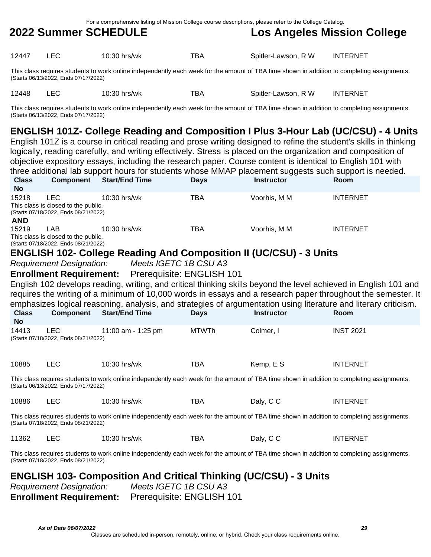|                                  | <b>2022 Summer SCHEDULE</b>                                                               | For a comprehensive listing of Mission College course descriptions, please refer to the College Catalog.                                                                                                                                                                                                                                                       |                                          |                     | <b>Los Angeles Mission College</b>                                                                                                                                                                                                                                                                                                                           |
|----------------------------------|-------------------------------------------------------------------------------------------|----------------------------------------------------------------------------------------------------------------------------------------------------------------------------------------------------------------------------------------------------------------------------------------------------------------------------------------------------------------|------------------------------------------|---------------------|--------------------------------------------------------------------------------------------------------------------------------------------------------------------------------------------------------------------------------------------------------------------------------------------------------------------------------------------------------------|
| 12447                            | <b>LEC</b>                                                                                | 10:30 hrs/wk                                                                                                                                                                                                                                                                                                                                                   | <b>TBA</b>                               | Spitler-Lawson, R W | <b>INTERNET</b>                                                                                                                                                                                                                                                                                                                                              |
|                                  | (Starts 06/13/2022, Ends 07/17/2022)                                                      | This class requires students to work online independently each week for the amount of TBA time shown in addition to completing assignments.                                                                                                                                                                                                                    |                                          |                     |                                                                                                                                                                                                                                                                                                                                                              |
| 12448                            | <b>LEC</b>                                                                                | 10:30 hrs/wk                                                                                                                                                                                                                                                                                                                                                   | <b>TBA</b>                               | Spitler-Lawson, R W | <b>INTERNET</b>                                                                                                                                                                                                                                                                                                                                              |
|                                  | (Starts 06/13/2022, Ends 07/17/2022)                                                      | This class requires students to work online independently each week for the amount of TBA time shown in addition to completing assignments.                                                                                                                                                                                                                    |                                          |                     |                                                                                                                                                                                                                                                                                                                                                              |
| <b>Class</b>                     | <b>Component</b>                                                                          | logically, reading carefully, and writing effectively. Stress is placed on the organization and composition of<br>objective expository essays, including the research paper. Course content is identical to English 101 with<br>three additional lab support hours for students whose MMAP placement suggests such support is needed.<br><b>Start/End Time</b> | <b>Days</b>                              | <b>Instructor</b>   | <b>ENGLISH 101Z- College Reading and Composition I Plus 3-Hour Lab (UC/CSU) - 4 Units</b><br>English 101Z is a course in critical reading and prose writing designed to refine the student's skills in thinking<br>Room                                                                                                                                      |
| <b>No</b><br>15218<br><b>AND</b> | <b>LEC</b><br>This class is closed to the public.<br>(Starts 07/18/2022, Ends 08/21/2022) | 10:30 hrs/wk                                                                                                                                                                                                                                                                                                                                                   | <b>TBA</b>                               | Voorhis, M M        | <b>INTERNET</b>                                                                                                                                                                                                                                                                                                                                              |
| 15219                            | <b>LAB</b><br>This class is closed to the public.<br>(Starts 07/18/2022, Ends 08/21/2022) | 10:30 hrs/wk                                                                                                                                                                                                                                                                                                                                                   | <b>TBA</b>                               | Voorhis, M M        | <b>INTERNET</b>                                                                                                                                                                                                                                                                                                                                              |
| <b>Class</b><br><b>No</b>        | <b>Requirement Designation:</b><br><b>Enrollment Requirement:</b><br><b>Component</b>     | <b>ENGLISH 102- College Reading And Composition II (UC/CSU) - 3 Units</b><br>Meets IGETC 1B CSU A3<br><b>Start/End Time</b>                                                                                                                                                                                                                                    | Prerequisite: ENGLISH 101<br><b>Days</b> | <b>Instructor</b>   | English 102 develops reading, writing, and critical thinking skills beyond the level achieved in English 101 and<br>requires the writing of a minimum of 10,000 words in essays and a research paper throughout the semester. It<br>emphasizes logical reasoning, analysis, and strategies of argumentation using literature and literary criticism.<br>Room |
| 14413                            | <b>LEC</b><br>(Starts 07/18/2022, Ends 08/21/2022)                                        | 11:00 am - 1:25 pm                                                                                                                                                                                                                                                                                                                                             | <b>MTWTh</b>                             | Colmer, I           | <b>INST 2021</b>                                                                                                                                                                                                                                                                                                                                             |
| 10885                            | <b>LEC</b>                                                                                | 10:30 hrs/wk                                                                                                                                                                                                                                                                                                                                                   | <b>TBA</b>                               | Kemp, E S           | <b>INTERNET</b>                                                                                                                                                                                                                                                                                                                                              |
|                                  | (Starts 06/13/2022, Ends 07/17/2022)                                                      | This class requires students to work online independently each week for the amount of TBA time shown in addition to completing assignments.                                                                                                                                                                                                                    |                                          |                     |                                                                                                                                                                                                                                                                                                                                                              |
| 10886                            | LEC                                                                                       | 10:30 hrs/wk                                                                                                                                                                                                                                                                                                                                                   | <b>TBA</b>                               | Daly, CC            | <b>INTERNET</b>                                                                                                                                                                                                                                                                                                                                              |
|                                  | (Starts 07/18/2022, Ends 08/21/2022)                                                      | This class requires students to work online independently each week for the amount of TBA time shown in addition to completing assignments.                                                                                                                                                                                                                    |                                          |                     |                                                                                                                                                                                                                                                                                                                                                              |
| 11362                            | <b>LEC</b>                                                                                | 10:30 hrs/wk                                                                                                                                                                                                                                                                                                                                                   | <b>TBA</b>                               | Daly, C C           | <b>INTERNET</b>                                                                                                                                                                                                                                                                                                                                              |
|                                  | (Starts 07/18/2022, Ends 08/21/2022)                                                      | This class requires students to work online independently each week for the amount of TBA time shown in addition to completing assignments.                                                                                                                                                                                                                    |                                          |                     |                                                                                                                                                                                                                                                                                                                                                              |
|                                  | <b>Requirement Designation:</b>                                                           | <b>ENGLISH 103- Composition And Critical Thinking (UC/CSU) - 3 Units</b><br>Meets IGETC 1B CSU A3                                                                                                                                                                                                                                                              |                                          |                     |                                                                                                                                                                                                                                                                                                                                                              |

**Enrollment Requirement:** Prerequisite: ENGLISH 101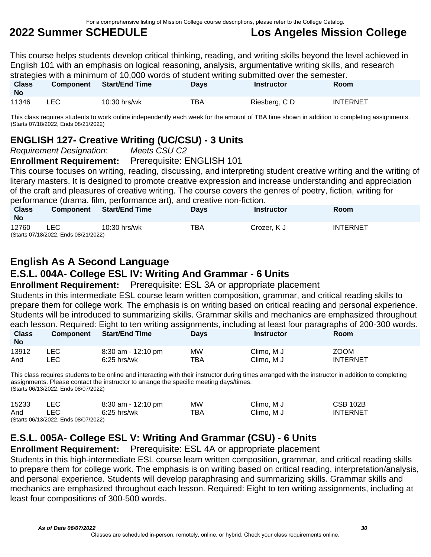This course helps students develop critical thinking, reading, and writing skills beyond the level achieved in English 101 with an emphasis on logical reasoning, analysis, argumentative writing skills, and research strategies with a minimum of 10,000 words of student writing submitted over the semester.

| <b>Class</b><br><b>No</b> | <b>Component</b> | <b>Start/End Time</b> | Days | <b>Instructor</b> | <b>Room</b>     |
|---------------------------|------------------|-----------------------|------|-------------------|-----------------|
| 11346                     | ∟EC              | $10:30$ hrs/wk        | тва  | Riesberg, CD      | <b>INTERNET</b> |

This class requires students to work online independently each week for the amount of TBA time shown in addition to completing assignments. (Starts 07/18/2022, Ends 08/21/2022)

### **ENGLISH 127- Creative Writing (UC/CSU) - 3 Units**

Requirement Designation: Meets CSU C2

**Enrollment Requirement:** Prerequisite: ENGLISH 101

This course focuses on writing, reading, discussing, and interpreting student creative writing and the writing of literary masters. It is designed to promote creative expression and increase understanding and appreciation of the craft and pleasures of creative writing. The course covers the genres of poetry, fiction, writing for performance (drama, film, performance art), and creative non-fiction.

| <b>Class</b><br><b>No</b> | <b>Component</b>                     | Start/End Time | Davs | Instructor  | <b>Room</b>     |  |  |  |
|---------------------------|--------------------------------------|----------------|------|-------------|-----------------|--|--|--|
| 12760                     | LEC                                  | $10:30$ hrs/wk | TBA  | Crozer. K J | <b>INTERNET</b> |  |  |  |
|                           | (Starts 07/18/2022, Ends 08/21/2022) |                |      |             |                 |  |  |  |

## **English As A Second Language**

#### **E.S.L. 004A- College ESL IV: Writing And Grammar - 6 Units**

**Enrollment Requirement:** Prerequisite: ESL 3A or appropriate placement

Students in this intermediate ESL course learn written composition, grammar, and critical reading skills to prepare them for college work. The emphasis is on writing based on critical reading and personal experience. Students will be introduced to summarizing skills. Grammar skills and mechanics are emphasized throughout each lesson. Required: Eight to ten writing assignments, including at least four paragraphs of 200-300 words.

| <b>Class</b><br><b>No</b> | <b>Component</b> | <b>Start/End Time</b> | Days | <b>Instructor</b> | <b>Room</b>     |
|---------------------------|------------------|-----------------------|------|-------------------|-----------------|
| 13912                     | LEC              | 8:30 am - 12:10 pm    | MW   | Climo, M J        | <b>ZOOM</b>     |
| And                       | ∟EC.             | $6:25$ hrs/wk         | TBA  | Climo, M J        | <b>INTERNET</b> |

This class requires students to be online and interacting with their instructor during times arranged with the instructor in addition to completing assignments. Please contact the instructor to arrange the specific meeting days/times. (Starts 06/13/2022, Ends 08/07/2022)

| 15233 | LEC.                                 | $8:30$ am - 12:10 pm | МW  | Climo. M J | <b>CSB 102B</b> |
|-------|--------------------------------------|----------------------|-----|------------|-----------------|
| And   | LEC.                                 | $6:25$ hrs/wk        | TBA | Climo. M J | INTERNET        |
|       | (Starts 06/13/2022, Ends 08/07/2022) |                      |     |            |                 |

## **E.S.L. 005A- College ESL V: Writing And Grammar (CSU) - 6 Units**

**Enrollment Requirement:** Prerequisite: ESL 4A or appropriate placement

Students in this high-intermediate ESL course learn written composition, grammar, and critical reading skills to prepare them for college work. The emphasis is on writing based on critical reading, interpretation/analysis, and personal experience. Students will develop paraphrasing and summarizing skills. Grammar skills and mechanics are emphasized throughout each lesson. Required: Eight to ten writing assignments, including at least four compositions of 300-500 words.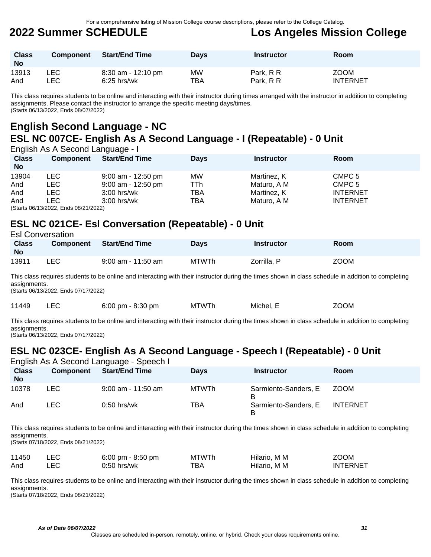| <b>Class</b><br><b>No</b> | <b>Component</b> | <b>Start/End Time</b> | <b>Days</b> | <b>Instructor</b> | Room            |
|---------------------------|------------------|-----------------------|-------------|-------------------|-----------------|
| 13913                     | LEC              | 8:30 am - 12:10 pm    | MW.         | Park, R R         | <b>ZOOM</b>     |
| And                       | ∟EC I            | 6:25 hrs/wk           | <b>TBA</b>  | Park. R R         | <b>INTERNET</b> |

This class requires students to be online and interacting with their instructor during times arranged with the instructor in addition to completing assignments. Please contact the instructor to arrange the specific meeting days/times. (Starts 06/13/2022, Ends 08/07/2022)

## **English Second Language - NC ESL NC 007CE- English As A Second Language - I (Repeatable) - 0 Unit**

English As A Second Language - I

| <b>Class</b><br><b>No</b> | <b>Component</b>                     | <b>Start/End Time</b> | <b>Days</b> | <b>Instructor</b> | <b>Room</b>       |  |
|---------------------------|--------------------------------------|-----------------------|-------------|-------------------|-------------------|--|
| 13904                     | LEC.                                 | $9:00$ am - 12:50 pm  | <b>MW</b>   | Martinez, K       | CMPC <sub>5</sub> |  |
| And                       | LEC.                                 | $9:00$ am - 12:50 pm  | TTh         | Maturo, A M       | CMPC <sub>5</sub> |  |
| And                       | LEC.                                 | $3:00$ hrs/wk         | TBA         | Martinez, K       | <b>INTERNET</b>   |  |
| And                       | _EC                                  | $3:00$ hrs/wk         | TBA         | Maturo, A M       | <b>INTERNET</b>   |  |
|                           | (Starts 06/13/2022, Ends 08/21/2022) |                       |             |                   |                   |  |

#### **ESL NC 021CE- Esl Conversation (Repeatable) - 0 Unit**

| <b>Esl Conversation</b> |  |
|-------------------------|--|
|-------------------------|--|

| <b>Class</b><br>No | <b>Component</b> | <b>Start/End Time</b> | Days         | <b>Instructor</b> | <b>Room</b> |
|--------------------|------------------|-----------------------|--------------|-------------------|-------------|
| 13911              | LEC              | $9:00$ am - 11:50 am  | <b>MTWTh</b> | Zorrilla, P       | <b>ZOOM</b> |

This class requires students to be online and interacting with their instructor during the times shown in class schedule in addition to completing assignments.

(Starts 06/13/2022, Ends 07/17/2022)

| 11449 | $6:00 \text{ pm} - 8:30 \text{ pm}$ | <b>MTWTh</b> | Michel. | <b>ZOOM</b> |
|-------|-------------------------------------|--------------|---------|-------------|
|       |                                     |              |         |             |

This class requires students to be online and interacting with their instructor during the times shown in class schedule in addition to completing assignments.

(Starts 06/13/2022, Ends 07/17/2022)

## **ESL NC 023CE- English As A Second Language - Speech I (Repeatable) - 0 Unit**

|                           |                  | English As A Second Language - Speech I |             |                           |                 |
|---------------------------|------------------|-----------------------------------------|-------------|---------------------------|-----------------|
| <b>Class</b><br><b>No</b> | <b>Component</b> | <b>Start/End Time</b>                   | <b>Days</b> | <b>Instructor</b>         | <b>Room</b>     |
| 10378                     | LEC.             | $9:00$ am - 11:50 am                    | MTWTh       | Sarmiento-Sanders, E<br>в | ZOOM            |
| And                       | LEC.             | $0:50$ hrs/wk                           | TBA         | Sarmiento-Sanders, E<br>в | <b>INTERNET</b> |

This class requires students to be online and interacting with their instructor during the times shown in class schedule in addition to completing assignments.

(Starts 07/18/2022, Ends 08/21/2022)

| 11450 | $6:00 \text{ pm} - 8:50 \text{ pm}$ | <b>MTWTh</b> | Hilario, M M | ZOOM            |
|-------|-------------------------------------|--------------|--------------|-----------------|
| And   | $0:50$ hrs/wk                       | тва          | Hilario. M M | <b>INTERNET</b> |

This class requires students to be online and interacting with their instructor during the times shown in class schedule in addition to completing assignments.

(Starts 07/18/2022, Ends 08/21/2022)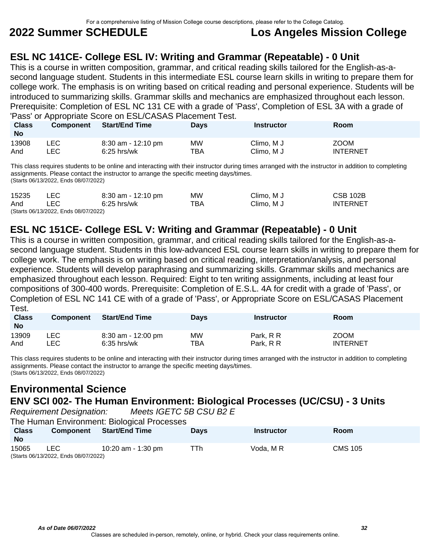### **ESL NC 141CE- College ESL IV: Writing and Grammar (Repeatable) - 0 Unit**

This is a course in written composition, grammar, and critical reading skills tailored for the English-as-asecond language student. Students in this intermediate ESL course learn skills in writing to prepare them for college work. The emphasis is on writing based on critical reading and personal experience. Students will be introduced to summarizing skills. Grammar skills and mechanics are emphasized throughout each lesson. Prerequisite: Completion of ESL NC 131 CE with a grade of 'Pass', Completion of ESL 3A with a grade of 'Pass' or Appropriate Score on ESL/CASAS Placement Test.

|                           |              | ass of Appropriate Occite on LOL/OAOAO Flacement Test. |             |                          |                                |  |
|---------------------------|--------------|--------------------------------------------------------|-------------|--------------------------|--------------------------------|--|
| <b>Class</b><br><b>No</b> |              | <b>Component</b> Start/End Time                        | <b>Davs</b> | <b>Instructor</b>        | Room                           |  |
| 13908<br>And              | ∟EC.<br>∟EC. | 8:30 am - 12:10 pm<br>6:25 hrs/wk                      | МW<br>TBA   | Climo, M J<br>Climo, M J | <b>ZOOM</b><br><b>INTERNET</b> |  |

This class requires students to be online and interacting with their instructor during times arranged with the instructor in addition to completing assignments. Please contact the instructor to arrange the specific meeting days/times. (Starts 06/13/2022, Ends 08/07/2022)

| 15235 | LEC.                                 | $8:30$ am - 12:10 pm | <b>MW</b> | Climo. M J | <b>CSB 102B</b> |
|-------|--------------------------------------|----------------------|-----------|------------|-----------------|
| And   | ∟EC I                                | 6:25 hrs/wk          | ⊤ва       | Climo. M J | <b>INTERNET</b> |
|       | (Starts 06/13/2022, Ends 08/07/2022) |                      |           |            |                 |

#### **ESL NC 151CE- College ESL V: Writing and Grammar (Repeatable) - 0 Unit**

This is a course in written composition, grammar, and critical reading skills tailored for the English-as-asecond language student. Students in this low-advanced ESL course learn skills in writing to prepare them for college work. The emphasis is on writing based on critical reading, interpretation/analysis, and personal experience. Students will develop paraphrasing and summarizing skills. Grammar skills and mechanics are emphasized throughout each lesson. Required: Eight to ten writing assignments, including at least four compositions of 300-400 words. Prerequisite: Completion of E.S.L. 4A for credit with a grade of 'Pass', or Completion of ESL NC 141 CE with of a grade of 'Pass', or Appropriate Score on ESL/CASAS Placement Test.

| <b>Class</b><br><b>No</b> | <b>Component</b> | <b>Start/End Time</b> | <b>Days</b> | <b>Instructor</b> | Room            |
|---------------------------|------------------|-----------------------|-------------|-------------------|-----------------|
| 13909                     | LEC.             | 8:30 am - 12:00 pm    | MW          | Park, R R         | <b>ZOOM</b>     |
| And                       | ∟EC-             | $6:35$ hrs/wk         | TBA         | Park, R R         | <b>INTERNET</b> |

This class requires students to be online and interacting with their instructor during times arranged with the instructor in addition to completing assignments. Please contact the instructor to arrange the specific meeting days/times. (Starts 06/13/2022, Ends 08/07/2022)

#### **Environmental Science ENV SCI 002- The Human Environment: Biological Processes (UC/CSU) - 3 Units**

Requirement Designation: Meets IGETC 5B CSU B2 E

The Human Environment: Biological Processes

| <b>Class</b><br><b>No</b> | <b>Component</b>                     | Start/End Time     | <b>Davs</b> | Instructor | <b>Room</b>    |  |  |
|---------------------------|--------------------------------------|--------------------|-------------|------------|----------------|--|--|
| 15065                     | <b>LEC</b>                           | 10:20 am - 1:30 pm | ™⊤⊓         | Voda. M R  | <b>CMS 105</b> |  |  |
|                           | (Starts 06/13/2022, Ends 08/07/2022) |                    |             |            |                |  |  |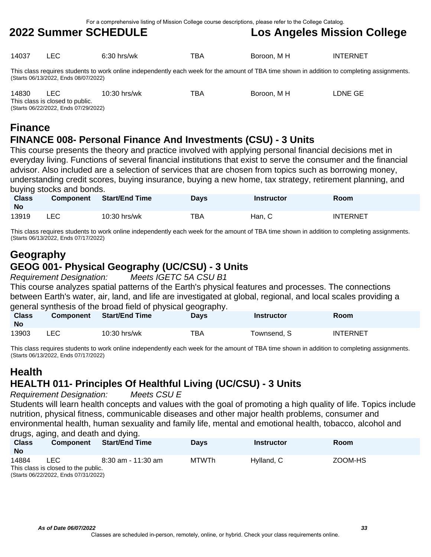For a comprehensive listing of Mission College course descriptions, please refer to the College Catalog.

| <b>2022 Summer SCHEDULE</b> |                                                                                 |                |     |             | <b>Los Angeles Mission College</b>                                                                                                          |  |  |
|-----------------------------|---------------------------------------------------------------------------------|----------------|-----|-------------|---------------------------------------------------------------------------------------------------------------------------------------------|--|--|
| 14037                       | LEC.                                                                            | $6:30$ hrs/wk  | TBA | Boroon, M H | <b>INTERNET</b>                                                                                                                             |  |  |
|                             | (Starts 06/13/2022, Ends 08/07/2022)                                            |                |     |             | This class requires students to work online independently each week for the amount of TBA time shown in addition to completing assignments. |  |  |
| 14830                       | LEC.<br>This class is closed to public.<br>(Starts 06/22/2022, Ends 07/29/2022) | $10:30$ hrs/wk | TBA | Boroon, M H | LDNE GE                                                                                                                                     |  |  |

## **Finance**

#### **FINANCE 008- Personal Finance And Investments (CSU) - 3 Units**

This course presents the theory and practice involved with applying personal financial decisions met in everyday living. Functions of several financial institutions that exist to serve the consumer and the financial advisor. Also included are a selection of services that are chosen from topics such as borrowing money, understanding credit scores, buying insurance, buying a new home, tax strategy, retirement planning, and buying stocks and bonds.

| <b>Class</b><br><b>No</b> | <b>Component</b> | <b>Start/End Time</b> | Days | <b>Instructor</b> | Room            |
|---------------------------|------------------|-----------------------|------|-------------------|-----------------|
| 13919                     | LEC              | $10:30$ hrs/wk        | тва  | Han. C            | <b>INTERNET</b> |

This class requires students to work online independently each week for the amount of TBA time shown in addition to completing assignments. (Starts 06/13/2022, Ends 07/17/2022)

# **Geography**

### **GEOG 001- Physical Geography (UC/CSU) - 3 Units**

Requirement Designation: Meets IGETC 5A CSU B1

This course analyzes spatial patterns of the Earth's physical features and processes. The connections between Earth's water, air, land, and life are investigated at global, regional, and local scales providing a general synthesis of the broad field of physical geography.

| <b>Class</b><br><b>No</b> | <b>Component</b> | <b>Start/End Time</b> | <b>Days</b> | <b>Instructor</b> | Room            |
|---------------------------|------------------|-----------------------|-------------|-------------------|-----------------|
| 13903                     | LEC.             | $10:30$ hrs/wk        | тва         | Townsend. S       | <b>INTERNET</b> |

This class requires students to work online independently each week for the amount of TBA time shown in addition to completing assignments. (Starts 06/13/2022, Ends 07/17/2022)

## **Health HEALTH 011- Principles Of Healthful Living (UC/CSU) - 3 Units**

Requirement Designation: Meets CSU E

Students will learn health concepts and values with the goal of promoting a high quality of life. Topics include nutrition, physical fitness, communicable diseases and other major health problems, consumer and environmental health, human sexuality and family life, mental and emotional health, tobacco, alcohol and drugs, aging, and death and dying.

| <b>Class</b><br><b>No</b>           | <b>Component</b>                     | <b>Start/End Time</b> | Days   | <b>Instructor</b> | <b>Room</b> |  |  |
|-------------------------------------|--------------------------------------|-----------------------|--------|-------------------|-------------|--|--|
| 14884                               | LEC.                                 | $8:30$ am - 11:30 am  | MTWTh. | Hylland, C        | ZOOM-HS     |  |  |
| This class is closed to the public. |                                      |                       |        |                   |             |  |  |
|                                     | (Starts 06/22/2022, Ends 07/31/2022) |                       |        |                   |             |  |  |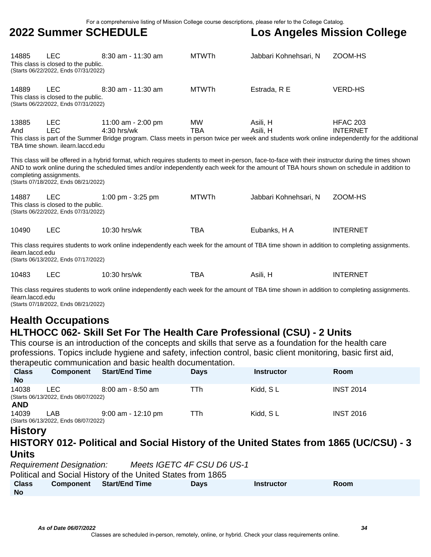|                                                                                                    | <b>2022 Summer SCHEDULE</b>                                                                                                                                                                                                                                                                      |                  | <b>Los Angeles Mission College</b> |                                    |
|----------------------------------------------------------------------------------------------------|--------------------------------------------------------------------------------------------------------------------------------------------------------------------------------------------------------------------------------------------------------------------------------------------------|------------------|------------------------------------|------------------------------------|
| 14885<br><b>LEC</b><br>This class is closed to the public.<br>(Starts 06/22/2022, Ends 07/31/2022) | $8:30$ am - 11:30 am                                                                                                                                                                                                                                                                             | <b>MTWTh</b>     | Jabbari Kohnehsari, N              | ZOOM-HS                            |
| 14889<br><b>LEC</b><br>This class is closed to the public.<br>(Starts 06/22/2022, Ends 07/31/2022) | $8:30$ am - 11:30 am                                                                                                                                                                                                                                                                             | <b>MTWTh</b>     | Estrada, R E                       | <b>VERD-HS</b>                     |
| 13885<br><b>LEC</b><br><b>LEC</b><br>And<br>TBA time shown, ilearn.laccd.edu                       | 11:00 am - 2:00 pm<br>$4:30$ hrs/wk<br>This class is part of the Summer Bridge program. Class meets in person twice per week and students work online independently for the additional                                                                                                           | MW<br><b>TBA</b> | Asili, H<br>Asili, H               | <b>HFAC 203</b><br><b>INTERNET</b> |
| completing assignments.<br>(Starts 07/18/2022, Ends 08/21/2022)                                    | This class will be offered in a hybrid format, which requires students to meet in-person, face-to-face with their instructor during the times shown<br>AND to work online during the scheduled times and/or independently each week for the amount of TBA hours shown on schedule in addition to |                  |                                    |                                    |
| 14887<br><b>LEC</b><br>This class is closed to the public.<br>(Starts 06/22/2022, Ends 07/31/2022) | 1:00 pm - $3:25$ pm                                                                                                                                                                                                                                                                              | <b>MTWTh</b>     | Jabbari Kohnehsari, N              | ZOOM-HS                            |
| 10490<br><b>LEC</b>                                                                                | $10:30$ hrs/wk                                                                                                                                                                                                                                                                                   | <b>TBA</b>       | Eubanks, H A                       | <b>INTERNET</b>                    |
| ilearn.laccd.edu<br>(Starts 06/13/2022, Ends 07/17/2022)                                           | This class requires students to work online independently each week for the amount of TBA time shown in addition to completing assignments.                                                                                                                                                      |                  |                                    |                                    |
| <b>LEC</b><br>10483                                                                                | 10:30 hrs/wk                                                                                                                                                                                                                                                                                     | <b>TBA</b>       | Asili, H                           | <b>INTERNET</b>                    |

This class requires students to work online independently each week for the amount of TBA time shown in addition to completing assignments. ilearn.laccd.edu

(Starts 07/18/2022, Ends 08/21/2022)

#### **Health Occupations HLTHOCC 062- Skill Set For The Health Care Professional (CSU) - 2 Units**

This course is an introduction of the concepts and skills that serve as a foundation for the health care professions. Topics include hygiene and safety, infection control, basic client monitoring, basic first aid, therapeutic communication and basic health documentation.

| <b>Class</b><br><b>No</b> | <b>Component</b>                            | <b>Start/End Time</b> | <b>Davs</b> | <b>Instructor</b> | <b>Room</b>      |
|---------------------------|---------------------------------------------|-----------------------|-------------|-------------------|------------------|
| 14038<br><b>AND</b>       | LEC<br>(Starts 06/13/2022, Ends 08/07/2022) | $8:00$ am - $8:50$ am | TTh         | Kidd, SL          | <b>INST 2014</b> |
| 14039                     | LAB<br>(Starts 06/13/2022, Ends 08/07/2022) | $9:00$ am - 12:10 pm  | TTh         | Kidd, SL          | <b>INST 2016</b> |

# **History**

#### **HISTORY 012- Political and Social History of the United States from 1865 (UC/CSU) - 3 Units**

|              | <b>Requirement Designation:</b> |                                                             | Meets IGETC 4F CSU D6 US-1 |                   |      |  |
|--------------|---------------------------------|-------------------------------------------------------------|----------------------------|-------------------|------|--|
|              |                                 | Political and Social History of the United States from 1865 |                            |                   |      |  |
| <b>Class</b> | Component                       | Start/End Time                                              | <b>Davs</b>                | <b>Instructor</b> | Room |  |
| <b>No</b>    |                                 |                                                             |                            |                   |      |  |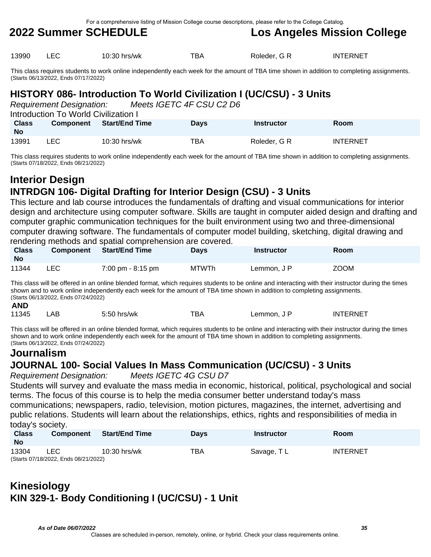| For a comprehensive listing of Mission College course descriptions, please refer to the College Catalog. |  |
|----------------------------------------------------------------------------------------------------------|--|
|                                                                                                          |  |
|                                                                                                          |  |

| <b>2022 Summer SCHEDULE</b> |                                      |                |     |              | <b>Los Angeles Mission College</b>                                                                                                          |  |  |
|-----------------------------|--------------------------------------|----------------|-----|--------------|---------------------------------------------------------------------------------------------------------------------------------------------|--|--|
| 13990                       | LEC.                                 | $10:30$ hrs/wk | TBA | Roleder, G R | <b>INTERNET</b>                                                                                                                             |  |  |
|                             | (Starts 06/13/2022, Ends 07/17/2022) |                |     |              | This class requires students to work online independently each week for the amount of TBA time shown in addition to completing assignments. |  |  |

## **HISTORY 086- Introduction To World Civilization I (UC/CSU) - 3 Units**

|                                      | <b>Requirement Designation:</b> | Meets IGETC 4F CSU C2 D6 |             |                   |                 |  |
|--------------------------------------|---------------------------------|--------------------------|-------------|-------------------|-----------------|--|
| Introduction To World Civilization I |                                 |                          |             |                   |                 |  |
| <b>Class</b>                         | <b>Component</b>                | <b>Start/End Time</b>    | <b>Days</b> | <b>Instructor</b> | Room            |  |
| <b>No</b>                            |                                 |                          |             |                   |                 |  |
| 13991                                | LEC.                            | $10:30$ hrs/wk           | TBA         | Roleder, G R      | <b>INTERNET</b> |  |

This class requires students to work online independently each week for the amount of TBA time shown in addition to completing assignments. (Starts 07/18/2022, Ends 08/21/2022)

## **Interior Design INTRDGN 106- Digital Drafting for Interior Design (CSU) - 3 Units**

This lecture and lab course introduces the fundamentals of drafting and visual communications for interior design and architecture using computer software. Skills are taught in computer aided design and drafting and computer graphic communication techniques for the built environment using two and three-dimensional computer drawing software. The fundamentals of computer model building, sketching, digital drawing and rendering methods and spatial comprehension are covered.

| <b>Class</b><br><b>No</b> | <b>Component</b> | <b>Start/End Time</b> | Days         | <b>Instructor</b> | Room        |
|---------------------------|------------------|-----------------------|--------------|-------------------|-------------|
| 11344                     | LEC.             | 7:00 pm - 8:15 pm     | <b>MTWTh</b> | Lemmon, J P       | <b>ZOOM</b> |

This class will be offered in an online blended format, which requires students to be online and interacting with their instructor during the times shown and to work online independently each week for the amount of TBA time shown in addition to completing assignments. (Starts 06/13/2022, Ends 07/24/2022) **AND**

| .     |     |             |     |             |                 |
|-------|-----|-------------|-----|-------------|-----------------|
| 11345 | LAB | 5:50 hrs/wk | тва | ∟emmon. J P | <b>INTERNET</b> |

This class will be offered in an online blended format, which requires students to be online and interacting with their instructor during the times shown and to work online independently each week for the amount of TBA time shown in addition to completing assignments. (Starts 06/13/2022, Ends 07/24/2022)

# **Journalism**

### **JOURNAL 100- Social Values In Mass Communication (UC/CSU) - 3 Units**

Requirement Designation: Meets IGETC 4G CSU D7

Students will survey and evaluate the mass media in economic, historical, political, psychological and social terms. The focus of this course is to help the media consumer better understand today's mass communications; newspapers, radio, television, motion pictures, magazines, the internet, advertising and public relations. Students will learn about the relationships, ethics, rights and responsibilities of media in today's society.

| <b>Class</b><br><b>No</b> | <b>Component</b>                     | Start/End Time | <b>Days</b> | Instructor | Room            |
|---------------------------|--------------------------------------|----------------|-------------|------------|-----------------|
| 13304                     | _EC                                  | 10:30 hrs/wk   | ТВА         | Savage, TL | <b>INTERNET</b> |
|                           | (Starts 07/18/2022, Ends 08/21/2022) |                |             |            |                 |

## **Kinesiology KIN 329-1- Body Conditioning I (UC/CSU) - 1 Unit**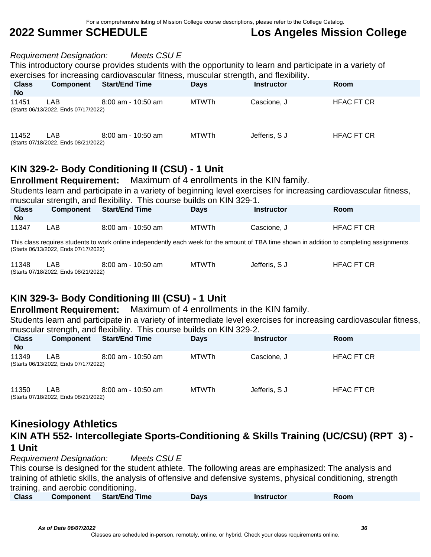#### Requirement Designation: Meets CSU E

This introductory course provides students with the opportunity to learn and participate in a variety of exercises for increasing cardiovascular fitness, muscular strength, and flexibility.

| <b>Class</b><br><b>No</b> | <b>Component</b>                            | <b>Start/End Time</b> | <b>Days</b>  | <b>Instructor</b> | <b>Room</b>       |
|---------------------------|---------------------------------------------|-----------------------|--------------|-------------------|-------------------|
| 11451                     | LAB<br>(Starts 06/13/2022, Ends 07/17/2022) | $8:00$ am - 10:50 am  | MTWTh        | Cascione, J       | <b>HFAC FT CR</b> |
| 11452                     | LAB<br>(Starts 07/18/2022, Ends 08/21/2022) | $8:00$ am - 10:50 am  | <b>MTWTh</b> | Jefferis, S J     | <b>HFAC FT CR</b> |

### **KIN 329-2- Body Conditioning II (CSU) - 1 Unit**

**Enrollment Requirement:** Maximum of 4 enrollments in the KIN family.

Students learn and participate in a variety of beginning level exercises for increasing cardiovascular fitness, muscular strength, and flexibility. This course builds on KIN 329-1.

| <b>Class</b><br><b>No</b> | <b>Component</b> | <b>Start/End Time</b> | Days  | <b>Instructor</b> | <b>Room</b>       |
|---------------------------|------------------|-----------------------|-------|-------------------|-------------------|
| 11347                     | _AB .            | $8:00$ am - 10:50 am  | MTWTh | Cascione. J       | <b>HFAC FT CR</b> |

This class requires students to work online independently each week for the amount of TBA time shown in addition to completing assignments. (Starts 06/13/2022, Ends 07/17/2022)

| 11348 | LAB.                                 | 8:00 am - 10:50 am | MTWTh | Jefferis, S J | <b>HFAC FT CR</b> |
|-------|--------------------------------------|--------------------|-------|---------------|-------------------|
|       | (Starts 07/18/2022, Ends 08/21/2022) |                    |       |               |                   |

## **KIN 329-3- Body Conditioning III (CSU) - 1 Unit**

**Enrollment Requirement:** Maximum of 4 enrollments in the KIN family.

Students learn and participate in a variety of intermediate level exercises for increasing cardiovascular fitness, muscular strength, and flexibility. This course builds on KIN 329-2.

| <b>Class</b><br><b>No</b> | <b>Component</b>                            | <b>Start/End Time</b> | <b>Days</b> | <b>Instructor</b> | Room              |
|---------------------------|---------------------------------------------|-----------------------|-------------|-------------------|-------------------|
| 11349                     | LAB<br>(Starts 06/13/2022, Ends 07/17/2022) | 8:00 am - 10:50 am    | MTWTh       | Cascione, J       | <b>HFAC FT CR</b> |
| 11350                     | LAB<br>(Starts 07/18/2022, Ends 08/21/2022) | $8:00$ am - 10:50 am  | MTWTh       | Jefferis, S J     | <b>HFAC FT CR</b> |

#### **Kinesiology Athletics**

**KIN ATH 552- Intercollegiate Sports-Conditioning & Skills Training (UC/CSU) (RPT 3) - 1 Unit**

Requirement Designation: Meets CSU E

This course is designed for the student athlete. The following areas are emphasized: The analysis and training of athletic skills, the analysis of offensive and defensive systems, physical conditioning, strength training, and aerobic conditioning.

| <b>Class</b> | <b>Component</b> | <b>Start/End Time</b> | Days | <b>Instructor</b> | Room |
|--------------|------------------|-----------------------|------|-------------------|------|
|              |                  |                       |      |                   |      |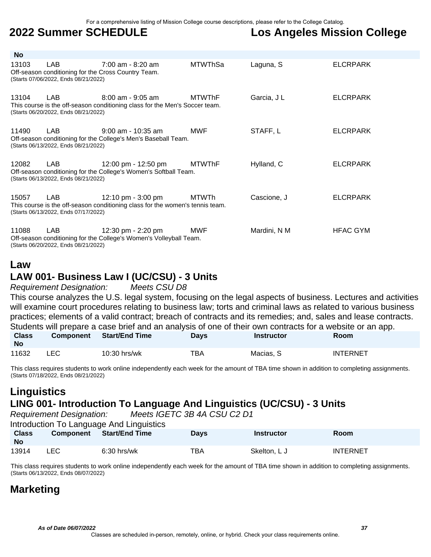| <b>No</b> |                                                    |                                                                                                      |                |              |                 |
|-----------|----------------------------------------------------|------------------------------------------------------------------------------------------------------|----------------|--------------|-----------------|
| 13103     | <b>LAB</b><br>(Starts 07/06/2022, Ends 08/21/2022) | 7:00 am - 8:20 am<br>Off-season conditioning for the Cross Country Team.                             | <b>MTWThSa</b> | Laguna, S    | <b>ELCRPARK</b> |
| 13104     | LAB<br>(Starts 06/20/2022, Ends 08/21/2022)        | $8:00$ am - $9:05$ am<br>This course is the off-season conditioning class for the Men's Soccer team. | <b>MTWThF</b>  | Garcia, J L  | <b>ELCRPARK</b> |
| 11490     | LAB<br>(Starts 06/13/2022, Ends 08/21/2022)        | $9:00$ am - 10:35 am<br>Off-season conditioning for the College's Men's Baseball Team.               | MWF            | STAFF, L     | <b>ELCRPARK</b> |
| 12082     | <b>LAB</b><br>(Starts 06/13/2022, Ends 08/21/2022) | 12:00 pm - 12:50 pm<br>Off-season conditioning for the College's Women's Softball Team.              | <b>MTWThF</b>  | Hylland, C   | <b>ELCRPARK</b> |
| 15057     | LAB<br>(Starts 06/13/2022, Ends 07/17/2022)        | 12:10 pm - 3:00 pm<br>This course is the off-season conditioning class for the women's tennis team.  | MTWTh          | Cascione, J  | <b>ELCRPARK</b> |
| 11088     | LAB<br>(Starts 06/20/2022, Ends 08/21/2022)        | 12:30 pm - 2:20 pm<br>Off-season conditioning for the College's Women's Volleyball Team.             | MWF            | Mardini, N M | <b>HFAC GYM</b> |

#### **Law**

#### **LAW 001- Business Law I (UC/CSU) - 3 Units**

Requirement Designation: Meets CSU D8

This course analyzes the U.S. legal system, focusing on the legal aspects of business. Lectures and activities will examine court procedures relating to business law; torts and criminal laws as related to various business practices; elements of a valid contract; breach of contracts and its remedies; and, sales and lease contracts. Students will prepare a case brief and an analysis of one of their own contracts for a website or an app.

| <b>Class</b><br><b>No</b> | <b>Component</b> | <b>Start/End Time</b> | Davs | Instructor | Room            |
|---------------------------|------------------|-----------------------|------|------------|-----------------|
| 11632                     | ∟EC              | $10:30$ hrs/wk        | TBA  | Macias, S  | <b>INTERNET</b> |

This class requires students to work online independently each week for the amount of TBA time shown in addition to completing assignments. (Starts 07/18/2022, Ends 08/21/2022)

#### **Linguistics LING 001- Introduction To Language And Linguistics (UC/CSU) - 3 Units**

Requirement Designation: Meets IGETC 3B 4A CSU C2 D1

| Introduction To Language And Linguistics |           |                       |             |                   |                 |  |  |
|------------------------------------------|-----------|-----------------------|-------------|-------------------|-----------------|--|--|
| <b>Class</b><br><b>No</b>                | Component | <b>Start/End Time</b> | <b>Davs</b> | <b>Instructor</b> | <b>Room</b>     |  |  |
| 13914                                    | LEC.      | $6:30$ hrs/wk         | <b>TBA</b>  | Skelton, L J      | <b>INTERNET</b> |  |  |

This class requires students to work online independently each week for the amount of TBA time shown in addition to completing assignments. (Starts 06/13/2022, Ends 08/07/2022)

## **Marketing**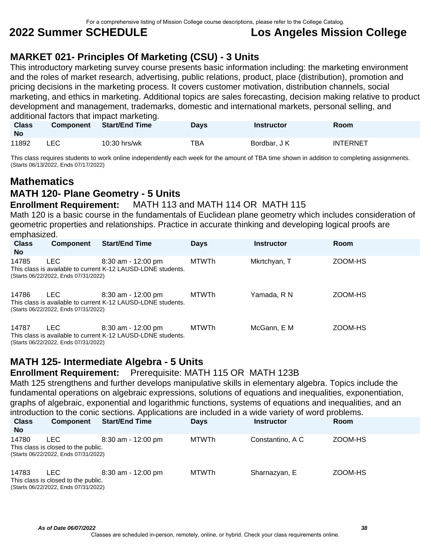## **MARKET 021- Principles Of Marketing (CSU) - 3 Units**

This introductory marketing survey course presents basic information including: the marketing environment and the roles of market research, advertising, public relations, product, place (distribution), promotion and pricing decisions in the marketing process. It covers customer motivation, distribution channels, social marketing, and ethics in marketing. Additional topics are sales forecasting, decision making relative to product development and management, trademarks, domestic and international markets, personal selling, and additional factors that impact marketing.

| <b>Class</b><br><b>No</b> | <b>Component</b> | Start/End Time | Days | <b>Instructor</b> | Room            |
|---------------------------|------------------|----------------|------|-------------------|-----------------|
| 11892                     | LEC              | 10:30 hrs/wk   | тва  | Bordbar, J K      | <b>INTERNET</b> |

This class requires students to work online independently each week for the amount of TBA time shown in addition to completing assignments. (Starts 06/13/2022, Ends 07/17/2022)

## **Mathematics**

#### **MATH 120- Plane Geometry - 5 Units**

#### **Enrollment Requirement:** MATH 113 and MATH 114 OR MATH 115

Math 120 is a basic course in the fundamentals of Euclidean plane geometry which includes consideration of geometric properties and relationships. Practice in accurate thinking and developing logical proofs are emphasized.

| <b>Class</b><br><b>No</b> | <b>Component</b>                             | <b>Start/End Time</b>                                                                | <b>Days</b>  | <b>Instructor</b> | <b>Room</b> |
|---------------------------|----------------------------------------------|--------------------------------------------------------------------------------------|--------------|-------------------|-------------|
| 14785                     | LEC.<br>(Starts 06/22/2022, Ends 07/31/2022) | 8:30 am - 12:00 pm<br>This class is available to current K-12 LAUSD-LDNE students.   | <b>MTWTh</b> | Mkrtchyan, T      | ZOOM-HS     |
| 14786                     | LEC.<br>(Starts 06/22/2022, Ends 07/31/2022) | $8:30$ am - 12:00 pm<br>This class is available to current K-12 LAUSD-LDNE students. | <b>MTWTh</b> | Yamada, R N       | ZOOM-HS     |
| 14787                     | LEC.<br>(Starts 06/22/2022, Ends 07/31/2022) | $8:30$ am - 12:00 pm<br>This class is available to current K-12 LAUSD-LDNE students. | <b>MTWTh</b> | McGann, E M       | ZOOM-HS     |

#### **MATH 125- Intermediate Algebra - 5 Units**

#### **Enrollment Requirement:** Prerequisite: MATH 115 OR MATH 123B

Math 125 strengthens and further develops manipulative skills in elementary algebra. Topics include the fundamental operations on algebraic expressions, solutions of equations and inequalities, exponentiation, graphs of algebraic, exponential and logarithmic functions, systems of equations and inequalities, and an introduction to the conic sections. Applications are included in a wide variety of word problems.

| <b>Class</b><br><b>No</b> | <b>Component</b>                                                                          | <b>Start/End Time</b> | <b>Days</b> | <b>Instructor</b> | Room    |
|---------------------------|-------------------------------------------------------------------------------------------|-----------------------|-------------|-------------------|---------|
| 14780                     | LEC.<br>This class is closed to the public.<br>(Starts 06/22/2022, Ends 07/31/2022)       | $8:30$ am - 12:00 pm  | MTWTh       | Constantino, A C  | ZOOM-HS |
| 14783                     | <b>LEC</b><br>This class is closed to the public.<br>(Starts 06/22/2022, Ends 07/31/2022) | $8:30$ am - 12:00 pm  | MTWTh       | Sharnazyan, E     | ZOOM-HS |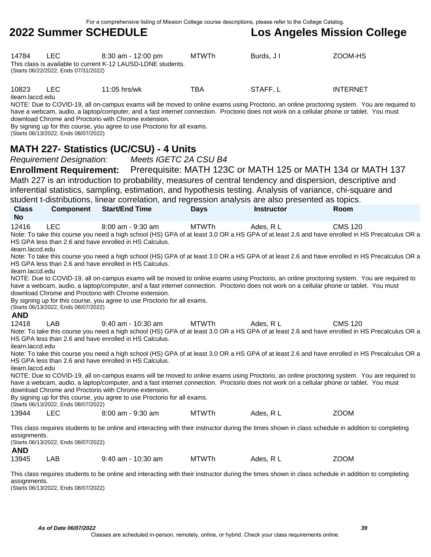| 14784            | LEC.<br>(Starts 06/22/2022, Ends 07/31/2022) | 8:30 am - 12:00 pm<br>This class is available to current K-12 LAUSD-LDNE students.                                             | MTWTh | Burds, J I | ZOOM-HS         |
|------------------|----------------------------------------------|--------------------------------------------------------------------------------------------------------------------------------|-------|------------|-----------------|
| 10823            | TEC.                                         | $11:05$ hrs/wk                                                                                                                 | TBA   | STAFF.L    | <b>INTERNET</b> |
| ilearn.laccd.edu |                                              | NOTE: Due to COVID-19, all on-campus exams will be moved to online exams using Proctorio, an online proctoring system. You are |       |            |                 |

NOTE: Due to COVID-19, all on-campus exams will be moved to online exams using Proctorio, an online proctoring system. You are required to have a webcam, audio, a laptop/computer, and a fast internet connection. Proctorio does not work on a cellular phone or tablet. You must download Chrome and Proctorio with Chrome extension.

By signing up for this course, you agree to use Proctorio for all exams. (Starts 06/13/2022, Ends 08/07/2022)

#### **MATH 227- Statistics (UC/CSU) - 4 Units**

Requirement Designation: Meets IGETC 2A CSU B4

**Enrollment Requirement:** Prerequisite: MATH 123C or MATH 125 or MATH 134 or MATH 137 Math 227 is an introduction to probability, measures of central tendency and dispersion, descriptive and inferential statistics, sampling, estimation, and hypothesis testing. Analysis of variance, chi-square and student t-distributions, linear correlation, and regression analysis are also presented as topics. **Class Component Start/End Time Days Instructor Room**

**No** 12416 LEC 8:00 am - 9:30 am MTWTh Ades, R L CMS 120 Note: To take this course you need a high school (HS) GPA of at least 3.0 OR a HS GPA of at least 2.6 and have enrolled in HS Precalculus OR a HS GPA less than 2.6 and have enrolled in HS Calculus.

ilearn.laccd.edu

Note: To take this course you need a high school (HS) GPA of at least 3.0 OR a HS GPA of at least 2.6 and have enrolled in HS Precalculus OR a HS GPA less than 2.6 and have enrolled in HS Calculus.

ilearn.laccd.edu

NOTE: Due to COVID-19, all on-campus exams will be moved to online exams using Proctorio, an online proctoring system. You are required to have a webcam, audio, a laptop/computer, and a fast internet connection. Proctorio does not work on a cellular phone or tablet. You must download Chrome and Proctorio with Chrome extension.

By signing up for this course, you agree to use Proctorio for all exams.

(Starts 06/13/2022, Ends 08/07/2022)

#### **AND**

| 12418 | _AB_ | 9:40 am - 10:30 am                                                                                                                             | MTWTh | Ades. R L | CMS 120 |  |
|-------|------|------------------------------------------------------------------------------------------------------------------------------------------------|-------|-----------|---------|--|
|       |      | Note: To take this course you need a high school (HS) GPA of at least 3.0 OR a HS GPA of at least 2.6 and have enrolled in HS Precalculus OR a |       |           |         |  |
|       |      | HS GPA less than 2.6 and have enrolled in HS Calculus.                                                                                         |       |           |         |  |

ilearn.laccd.edu

Note: To take this course you need a high school (HS) GPA of at least 3.0 OR a HS GPA of at least 2.6 and have enrolled in HS Precalculus OR a HS GPA less than 2.6 and have enrolled in HS Calculus.

ilearn.laccd.edu

NOTE: Due to COVID-19, all on-campus exams will be moved to online exams using Proctorio, an online proctoring system. You are required to have a webcam, audio, a laptop/computer, and a fast internet connection. Proctorio does not work on a cellular phone or tablet. You must download Chrome and Proctorio with Chrome extension.

By signing up for this course, you agree to use Proctorio for all exams.

(Starts 06/13/2022, Ends 08/07/2022)

| 13944 |  | 8:00 am - 9:30 am | MTWTh | Ades, R L | ZOOM |
|-------|--|-------------------|-------|-----------|------|
|-------|--|-------------------|-------|-----------|------|

This class requires students to be online and interacting with their instructor during the times shown in class schedule in addition to completing assignments.

(Starts 06/13/2022, Ends 08/07/2022)

| 13945 | .AB | $9:40$ am - 10:30 am | <b>MTWTh</b> | Ades. R L | <b>ZOOM</b> |
|-------|-----|----------------------|--------------|-----------|-------------|
|-------|-----|----------------------|--------------|-----------|-------------|

This class requires students to be online and interacting with their instructor during the times shown in class schedule in addition to completing assignments.

(Starts 06/13/2022, Ends 08/07/2022)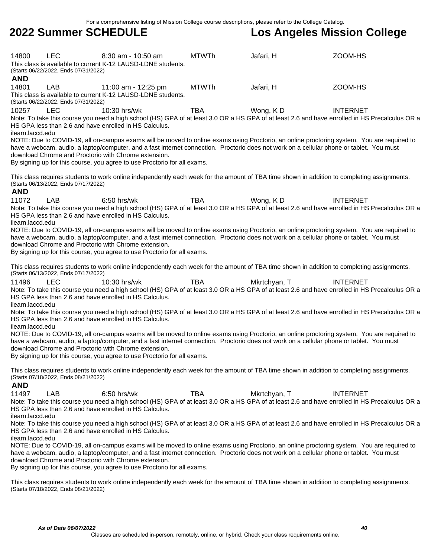| <b>2022 Summer SCHEDULE</b>                                               | For a complementive insurig of mission College course descriptions, please relef to the College Catalog.                                                                                                                                                                     |              |              | <b>Los Angeles Mission College</b>                                                                                                                                |
|---------------------------------------------------------------------------|------------------------------------------------------------------------------------------------------------------------------------------------------------------------------------------------------------------------------------------------------------------------------|--------------|--------------|-------------------------------------------------------------------------------------------------------------------------------------------------------------------|
| 14800<br><b>LEC</b><br>(Starts 06/22/2022, Ends 07/31/2022)<br><b>AND</b> | 8:30 am - 10:50 am<br>This class is available to current K-12 LAUSD-LDNE students.                                                                                                                                                                                           | <b>MTWTh</b> | Jafari, H    | ZOOM-HS                                                                                                                                                           |
| 14801<br>LAB<br>(Starts 06/22/2022, Ends 07/31/2022)                      | 11:00 am - 12:25 pm<br>This class is available to current K-12 LAUSD-LDNE students.                                                                                                                                                                                          | <b>MTWTh</b> | Jafari, H    | ZOOM-HS                                                                                                                                                           |
| 10257<br><b>LEC</b><br>ilearn.laccd.edu                                   | 10:30 hrs/wk<br>HS GPA less than 2.6 and have enrolled in HS Calculus.                                                                                                                                                                                                       | <b>TBA</b>   | Wong, KD     | <b>INTERNET</b><br>Note: To take this course you need a high school (HS) GPA of at least 3.0 OR a HS GPA of at least 2.6 and have enrolled in HS Precalculus OR a |
|                                                                           | have a webcam, audio, a laptop/computer, and a fast internet connection. Proctorio does not work on a cellular phone or tablet. You must<br>download Chrome and Proctorio with Chrome extension.<br>By signing up for this course, you agree to use Proctorio for all exams. |              |              | NOTE: Due to COVID-19, all on-campus exams will be moved to online exams using Proctorio, an online proctoring system. You are required to                        |
| (Starts 06/13/2022, Ends 07/17/2022)<br><b>AND</b>                        |                                                                                                                                                                                                                                                                              |              |              | This class requires students to work online independently each week for the amount of TBA time shown in addition to completing assignments.                       |
| 11072<br>LAB<br>ilearn.laccd.edu                                          | 6:50 hrs/wk<br>HS GPA less than 2.6 and have enrolled in HS Calculus.                                                                                                                                                                                                        | TBA          | Wong, KD     | <b>INTERNET</b><br>Note: To take this course you need a high school (HS) GPA of at least 3.0 OR a HS GPA of at least 2.6 and have enrolled in HS Precalculus OR a |
|                                                                           | have a webcam, audio, a laptop/computer, and a fast internet connection. Proctorio does not work on a cellular phone or tablet. You must<br>download Chrome and Proctorio with Chrome extension.<br>By signing up for this course, you agree to use Proctorio for all exams. |              |              | NOTE: Due to COVID-19, all on-campus exams will be moved to online exams using Proctorio, an online proctoring system. You are required to                        |
| (Starts 06/13/2022, Ends 07/17/2022)                                      |                                                                                                                                                                                                                                                                              |              |              | This class requires students to work online independently each week for the amount of TBA time shown in addition to completing assignments.                       |
| <b>LEC</b><br>11496<br>ilearn.laccd.edu                                   | 10:30 hrs/wk<br>HS GPA less than 2.6 and have enrolled in HS Calculus.                                                                                                                                                                                                       | <b>TBA</b>   | Mkrtchyan, T | <b>INTERNET</b><br>Note: To take this course you need a high school (HS) GPA of at least 3.0 OR a HS GPA of at least 2.6 and have enrolled in HS Precalculus OR a |
| ilearn.laccd.edu                                                          | HS GPA less than 2.6 and have enrolled in HS Calculus.                                                                                                                                                                                                                       |              |              | Note: To take this course you need a high school (HS) GPA of at least 3.0 OR a HS GPA of at least 2.6 and have enrolled in HS Precalculus OR a                    |
|                                                                           | have a webcam, audio, a laptop/computer, and a fast internet connection. Proctorio does not work on a cellular phone or tablet. You must<br>download Chrome and Proctorio with Chrome extension.<br>By signing up for this course, you agree to use Proctorio for all exams. |              |              | NOTE: Due to COVID-19, all on-campus exams will be moved to online exams using Proctorio, an online proctoring system. You are required to                        |
| (Starts 07/18/2022, Ends 08/21/2022)<br><b>AND</b>                        |                                                                                                                                                                                                                                                                              |              |              | This class requires students to work online independently each week for the amount of TBA time shown in addition to completing assignments.                       |
| 11497<br><b>LAB</b><br>ilearn.laccd.edu                                   | 6:50 hrs/wk<br>HS GPA less than 2.6 and have enrolled in HS Calculus.                                                                                                                                                                                                        | <b>TBA</b>   | Mkrtchyan, T | <b>INTERNET</b><br>Note: To take this course you need a high school (HS) GPA of at least 3.0 OR a HS GPA of at least 2.6 and have enrolled in HS Precalculus OR a |
| ilearn.laccd.edu                                                          | HS GPA less than 2.6 and have enrolled in HS Calculus.                                                                                                                                                                                                                       |              |              | Note: To take this course you need a high school (HS) GPA of at least 3.0 OR a HS GPA of at least 2.6 and have enrolled in HS Precalculus OR a                    |
|                                                                           | have a webcam, audio, a laptop/computer, and a fast internet connection. Proctorio does not work on a cellular phone or tablet. You must<br>download Chrome and Proctorio with Chrome extension.<br>By signing up for this course, you agree to use Proctorio for all exams. |              |              | NOTE: Due to COVID-19, all on-campus exams will be moved to online exams using Proctorio, an online proctoring system. You are required to                        |
| (Starts 07/18/2022, Ends 08/21/2022)                                      |                                                                                                                                                                                                                                                                              |              |              | This class requires students to work online independently each week for the amount of TBA time shown in addition to completing assignments.                       |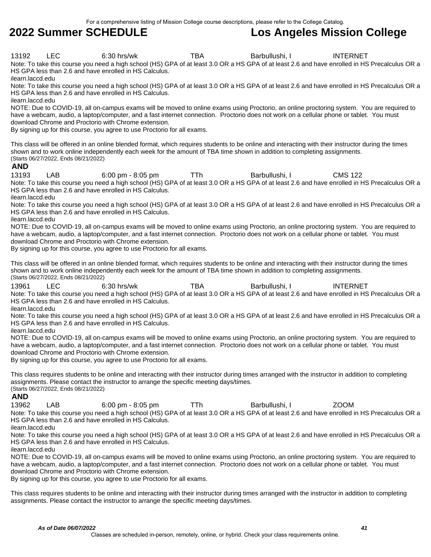13192 LEC 6:30 hrs/wk TBA Barbullushi, I INTERNET

Note: To take this course you need a high school (HS) GPA of at least 3.0 OR a HS GPA of at least 2.6 and have enrolled in HS Precalculus OR a HS GPA less than 2.6 and have enrolled in HS Calculus.

ilearn.laccd.edu

Note: To take this course you need a high school (HS) GPA of at least 3.0 OR a HS GPA of at least 2.6 and have enrolled in HS Precalculus OR a HS GPA less than 2.6 and have enrolled in HS Calculus.

ilearn.laccd.edu

NOTE: Due to COVID-19, all on-campus exams will be moved to online exams using Proctorio, an online proctoring system. You are required to have a webcam, audio, a laptop/computer, and a fast internet connection. Proctorio does not work on a cellular phone or tablet. You must download Chrome and Proctorio with Chrome extension.

By signing up for this course, you agree to use Proctorio for all exams.

This class will be offered in an online blended format, which requires students to be online and interacting with their instructor during the times shown and to work online independently each week for the amount of TBA time shown in addition to completing assignments. (Starts 06/27/2022, Ends 08/21/2022)

#### **AND**

13193 LAB 6:00 pm - 8:05 pm TTh Barbullushi, I CMS 122 Note: To take this course you need a high school (HS) GPA of at least 3.0 OR a HS GPA of at least 2.6 and have enrolled in HS Precalculus OR a HS GPA less than 2.6 and have enrolled in HS Calculus.

ilearn.laccd.edu

Note: To take this course you need a high school (HS) GPA of at least 3.0 OR a HS GPA of at least 2.6 and have enrolled in HS Precalculus OR a HS GPA less than 2.6 and have enrolled in HS Calculus.

ilearn.laccd.edu

NOTE: Due to COVID-19, all on-campus exams will be moved to online exams using Proctorio, an online proctoring system. You are required to have a webcam, audio, a laptop/computer, and a fast internet connection. Proctorio does not work on a cellular phone or tablet. You must download Chrome and Proctorio with Chrome extension.

By signing up for this course, you agree to use Proctorio for all exams.

This class will be offered in an online blended format, which requires students to be online and interacting with their instructor during the times shown and to work online independently each week for the amount of TBA time shown in addition to completing assignments. (Starts 06/27/2022, Ends 08/21/2022)

13961 LEC 6:30 hrs/wk TBA Barbullushi, I INTERNET Note: To take this course you need a high school (HS) GPA of at least 3.0 OR a HS GPA of at least 2.6 and have enrolled in HS Precalculus OR a HS GPA less than 2.6 and have enrolled in HS Calculus.

ilearn.laccd.edu

Note: To take this course you need a high school (HS) GPA of at least 3.0 OR a HS GPA of at least 2.6 and have enrolled in HS Precalculus OR a HS GPA less than 2.6 and have enrolled in HS Calculus.

ilearn.laccd.edu

NOTE: Due to COVID-19, all on-campus exams will be moved to online exams using Proctorio, an online proctoring system. You are required to have a webcam, audio, a laptop/computer, and a fast internet connection. Proctorio does not work on a cellular phone or tablet. You must download Chrome and Proctorio with Chrome extension.

By signing up for this course, you agree to use Proctorio for all exams.

This class requires students to be online and interacting with their instructor during times arranged with the instructor in addition to completing assignments. Please contact the instructor to arrange the specific meeting days/times. (Starts 06/27/2022, Ends 08/21/2022)

#### **AND**

13962 LAB 6:00 pm - 8:05 pm TTh Barbullushi, I ZOOM Note: To take this course you need a high school (HS) GPA of at least 3.0 OR a HS GPA of at least 2.6 and have enrolled in HS Precalculus OR a HS GPA less than 2.6 and have enrolled in HS Calculus.

ilearn.laccd.edu

Note: To take this course you need a high school (HS) GPA of at least 3.0 OR a HS GPA of at least 2.6 and have enrolled in HS Precalculus OR a HS GPA less than 2.6 and have enrolled in HS Calculus.

ilearn.laccd.edu

NOTE: Due to COVID-19, all on-campus exams will be moved to online exams using Proctorio, an online proctoring system. You are required to have a webcam, audio, a laptop/computer, and a fast internet connection. Proctorio does not work on a cellular phone or tablet. You must download Chrome and Proctorio with Chrome extension.

By signing up for this course, you agree to use Proctorio for all exams.

This class requires students to be online and interacting with their instructor during times arranged with the instructor in addition to completing assignments. Please contact the instructor to arrange the specific meeting days/times.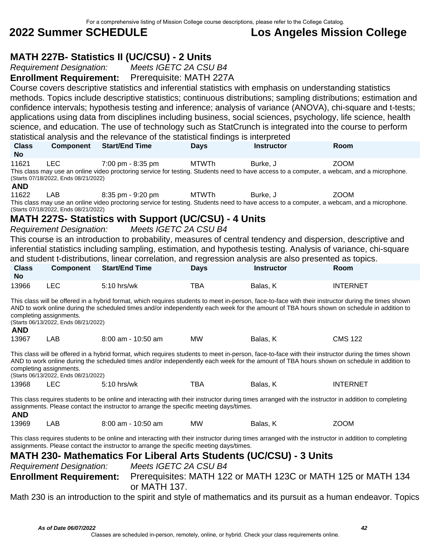#### **MATH 227B- Statistics II (UC/CSU) - 2 Units**

Requirement Designation: Meets IGETC 2A CSU B4 **Enrollment Requirement:** Prerequisite: MATH 227A

Course covers descriptive statistics and inferential statistics with emphasis on understanding statistics methods. Topics include descriptive statistics; continuous distributions; sampling distributions; estimation and confidence intervals; hypothesis testing and inference; analysis of variance (ANOVA), chi-square and t-tests; applications using data from disciplines including business, social sciences, psychology, life science, health science, and education. The use of technology such as StatCrunch is integrated into the course to perform statistical analysis and the relevance of the statistical findings is interpreted

| <b>Class</b><br><b>No</b>                                                                                                                  | <b>Component</b> | <b>Start/End Time</b> | <b>Davs</b> | <b>Instructor</b> | <b>Room</b> |
|--------------------------------------------------------------------------------------------------------------------------------------------|------------------|-----------------------|-------------|-------------------|-------------|
| 11621                                                                                                                                      | LEC.             | 7:00 pm - 8:35 pm     | MTWTh       | Burke. J          | ZOOM        |
| This class may use an online video proctoring service for testing. Students need to have access to a computer, a webcam, and a microphone. |                  |                       |             |                   |             |
| (Starts 07/18/2022, Ends 08/21/2022)                                                                                                       |                  |                       |             |                   |             |

#### **AND**

11622 LAB 8:35 pm - 9:20 pm MTWTh Burke, J ZOOM This class may use an online video proctoring service for testing. Students need to have access to a computer, a webcam, and a microphone. (Starts 07/18/2022, Ends 08/21/2022)

#### **MATH 227S- Statistics with Support (UC/CSU) - 4 Units**

Requirement Designation: Meets IGETC 2A CSU B4

This course is an introduction to probability, measures of central tendency and dispersion, descriptive and inferential statistics including sampling, estimation, and hypothesis testing. Analysis of variance, chi-square and student t-distributions, linear correlation, and regression analysis are also presented as topics.

| <b>Class</b><br><b>No</b>                                                                                                                                                                                                                                                                                                                                                         | Component  | <b>Start/End Time</b>                                                                                                                               | <b>Days</b> | <b>Instructor</b> | <b>Room</b>     |
|-----------------------------------------------------------------------------------------------------------------------------------------------------------------------------------------------------------------------------------------------------------------------------------------------------------------------------------------------------------------------------------|------------|-----------------------------------------------------------------------------------------------------------------------------------------------------|-------------|-------------------|-----------------|
| 13966                                                                                                                                                                                                                                                                                                                                                                             | <b>LEC</b> | $5:10$ hrs/wk                                                                                                                                       | TBA         | Balas, K          | <b>INTERNET</b> |
| This class will be offered in a hybrid format, which requires students to meet in-person, face-to-face with their instructor during the times shown<br>AND to work online during the scheduled times and/or independently each week for the amount of TBA hours shown on schedule in addition to<br>completing assignments.<br>(Starts 06/13/2022, Ends 08/21/2022)<br><b>AND</b> |            |                                                                                                                                                     |             |                   |                 |
| 13967                                                                                                                                                                                                                                                                                                                                                                             | LAB        | $8:00$ am - 10:50 am                                                                                                                                | MW.         | Balas, K          | <b>CMS 122</b>  |
| This class will be offered in a hybrid format, which requires students to meet in-person, face-to-face with their instructor during the times shown<br>AND to work online during the scheduled times and/or independently each week for the amount of TBA hours shown on schedule in addition to<br>completing assignments.<br>(Starts 06/13/2022, Ends 08/21/2022)               |            |                                                                                                                                                     |             |                   |                 |
| 13968                                                                                                                                                                                                                                                                                                                                                                             | <b>LEC</b> | $5:10$ hrs/wk                                                                                                                                       | TBA         | Balas, K          | <b>INTERNET</b> |
| This class requires students to be online and interacting with their instructor during times arranged with the instructor in addition to completing<br>assignments. Please contact the instructor to arrange the specific meeting days/times.<br><b>AND</b>                                                                                                                       |            |                                                                                                                                                     |             |                   |                 |
| 13969                                                                                                                                                                                                                                                                                                                                                                             | LAB        | $8:00$ am - 10:50 am                                                                                                                                | MW.         | Balas, K          | <b>ZOOM</b>     |
|                                                                                                                                                                                                                                                                                                                                                                                   |            | This elece requires students to be enline and interacting with their instructor during times errogaed with the instructor in addition to completing |             |                   |                 |

This class requires students to be online and interacting with their instructor during times arranged with the instructor in addition to completing assignments. Please contact the instructor to arrange the specific meeting days/times.

|                                 | <b>MATH 230- Mathematics For Liberal Arts Students (UC/CSU) - 3 Units</b>                                                                                                                                                                           |
|---------------------------------|-----------------------------------------------------------------------------------------------------------------------------------------------------------------------------------------------------------------------------------------------------|
| <b>Requirement Designation:</b> | Meets IGETC 2A CSU B4                                                                                                                                                                                                                               |
| <b>Enrollment Requirement:</b>  | Prerequisites: MATH 122 or MATH 123C or MATH 125 or MATH 134                                                                                                                                                                                        |
|                                 | or MATH 137.<br><b>A dool is a distributed and the second of the second construction of the second construction of the second construction of the second construction of the second construction of the second construction of the second const</b> |

Math 230 is an introduction to the spirit and style of mathematics and its pursuit as a human endeavor. Topics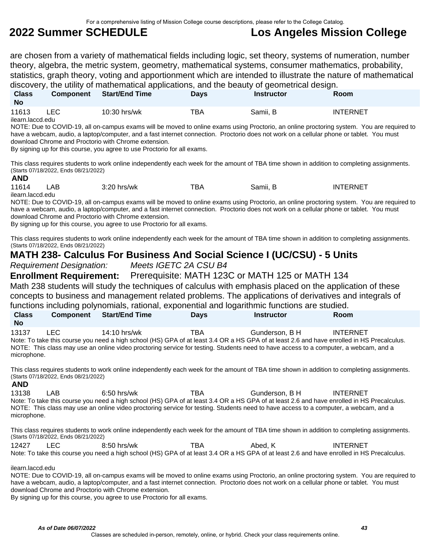For a comprehensive listing of Mission College course descriptions, please refer to the College Catalog.

## **2022 Summer SCHEDULE Los Angeles Mission College**

are chosen from a variety of mathematical fields including logic, set theory, systems of numeration, number theory, algebra, the metric system, geometry, mathematical systems, consumer mathematics, probability, statistics, graph theory, voting and apportionment which are intended to illustrate the nature of mathematical discovery, the utility of mathematical applications, and the beauty of geometrical design.

**Class No Component Start/End Time Days Instructor Room** 11613 LEC 10:30 hrs/wk TBA Samii, B INTERNET

ilearn.laccd.edu

NOTE: Due to COVID-19, all on-campus exams will be moved to online exams using Proctorio, an online proctoring system. You are required to have a webcam, audio, a laptop/computer, and a fast internet connection. Proctorio does not work on a cellular phone or tablet. You must download Chrome and Proctorio with Chrome extension.

By signing up for this course, you agree to use Proctorio for all exams.

This class requires students to work online independently each week for the amount of TBA time shown in addition to completing assignments. (Starts 07/18/2022, Ends 08/21/2022)

#### **AND**

11614 LAB 3:20 hrs/wk TBA Samii, B INTERNET ilearn.laccd.edu

NOTE: Due to COVID-19, all on-campus exams will be moved to online exams using Proctorio, an online proctoring system. You are required to have a webcam, audio, a laptop/computer, and a fast internet connection. Proctorio does not work on a cellular phone or tablet. You must download Chrome and Proctorio with Chrome extension.

By signing up for this course, you agree to use Proctorio for all exams.

This class requires students to work online independently each week for the amount of TBA time shown in addition to completing assignments. (Starts 07/18/2022, Ends 08/21/2022)

## **MATH 238- Calculus For Business And Social Science I (UC/CSU) - 5 Units**

Requirement Designation: Meets IGETC 2A CSU B4

**Enrollment Requirement:** Prerequisite: MATH 123C or MATH 125 or MATH 134

Math 238 students will study the techniques of calculus with emphasis placed on the application of these concepts to business and management related problems. The applications of derivatives and integrals of functions including polynomials, rational, exponential and logarithmic functions are studied.

|                           |           |                       |             | runcuono including polynomiais, rational, exponential and logantinino functions are studied.                                                                |                 |  |
|---------------------------|-----------|-----------------------|-------------|-------------------------------------------------------------------------------------------------------------------------------------------------------------|-----------------|--|
| <b>Class</b><br><b>No</b> | Component | <b>Start/End Time</b> | <b>Davs</b> | Instructor                                                                                                                                                  | Room            |  |
| 13137                     | LEC.      | 14:10 hrs/wk          | TBA         | Gunderson, B H<br>Note: To take this course you need a bigh school (HS) GPA of at least 3 4 OR a HS GPA of at least 2 6 and have enrolled in HS Precalculus | <b>INTERNET</b> |  |
|                           |           |                       |             |                                                                                                                                                             |                 |  |

ed a high school (HS) GPA of at least 3.4 OR a HS GPA of at least 2.6 and have enrolled in I NOTE: This class may use an online video proctoring service for testing. Students need to have access to a computer, a webcam, and a microphone.

This class requires students to work online independently each week for the amount of TBA time shown in addition to completing assignments. (Starts 07/18/2022, Ends 08/21/2022)

**AND**

13138 LAB 6:50 hrs/wk TBA Gunderson, B H INTERNET Note: To take this course you need a high school (HS) GPA of at least 3.4 OR a HS GPA of at least 2.6 and have enrolled in HS Precalculus. NOTE: This class may use an online video proctoring service for testing. Students need to have access to a computer, a webcam, and a microphone.

This class requires students to work online independently each week for the amount of TBA time shown in addition to completing assignments. (Starts 07/18/2022, Ends 08/21/2022)

12427 LEC 8:50 hrs/wk TBA Abed, K INTERNET Note: To take this course you need a high school (HS) GPA of at least 3.4 OR a HS GPA of at least 2.6 and have enrolled in HS Precalculus.

ilearn.laccd.edu

NOTE: Due to COVID-19, all on-campus exams will be moved to online exams using Proctorio, an online proctoring system. You are required to have a webcam, audio, a laptop/computer, and a fast internet connection. Proctorio does not work on a cellular phone or tablet. You must download Chrome and Proctorio with Chrome extension.

By signing up for this course, you agree to use Proctorio for all exams.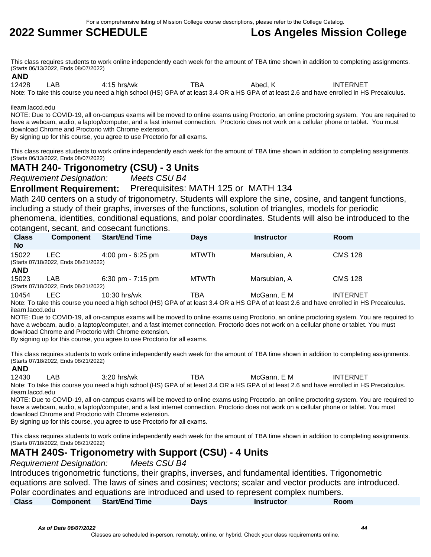This class requires students to work online independently each week for the amount of TBA time shown in addition to completing assignments. (Starts 06/13/2022, Ends 08/07/2022)

#### **AND**

12428 LAB 4:15 hrs/wk TBA Abed, K INTERNET Note: To take this course you need a high school (HS) GPA of at least 3.4 OR a HS GPA of at least 2.6 and have enrolled in HS Precalculus.

#### ilearn.laccd.edu

NOTE: Due to COVID-19, all on-campus exams will be moved to online exams using Proctorio, an online proctoring system. You are required to have a webcam, audio, a laptop/computer, and a fast internet connection. Proctorio does not work on a cellular phone or tablet. You must download Chrome and Proctorio with Chrome extension.

By signing up for this course, you agree to use Proctorio for all exams.

This class requires students to work online independently each week for the amount of TBA time shown in addition to completing assignments. (Starts 06/13/2022, Ends 08/07/2022)

#### **MATH 240- Trigonometry (CSU) - 3 Units**

Requirement Designation: Meets CSU B4

#### **Enrollment Requirement:** Prerequisites: MATH 125 or MATH 134

Math 240 centers on a study of trigonometry. Students will explore the sine, cosine, and tangent functions, including a study of their graphs, inverses of the functions, solution of triangles, models for periodic phenomena, identities, conditional equations, and polar coordinates. Students will also be introduced to the cotangent, secant, and cosecant functions.

| <b>Class</b><br><b>No</b> | <b>Component</b>                            | <b>Start/End Time</b>                                                                                                                    | <b>Days</b> | <b>Instructor</b> | Room            |
|---------------------------|---------------------------------------------|------------------------------------------------------------------------------------------------------------------------------------------|-------------|-------------------|-----------------|
| 15022                     | ∟EC<br>(Starts 07/18/2022, Ends 08/21/2022) | $4:00 \text{ pm} - 6:25 \text{ pm}$                                                                                                      | MTWTh       | Marsubian, A      | <b>CMS 128</b>  |
| <b>AND</b>                |                                             |                                                                                                                                          |             |                   |                 |
| 15023                     | LAB                                         | $6:30 \text{ pm} - 7:15 \text{ pm}$                                                                                                      | MTWTh       | Marsubian, A      | <b>CMS 128</b>  |
|                           | (Starts 07/18/2022, Ends 08/21/2022)        |                                                                                                                                          |             |                   |                 |
| 10454                     | LEC                                         | $10:30$ hrs/wk                                                                                                                           | TBA         | McGann, E M       | <b>INTERNET</b> |
|                           |                                             | Note To take this course you pead a bigh ashael (HO) CDA of at least 3 4 OD a HC CDA of at least 3 6 and have envelled in HC Dreaslaulus |             |                   |                 |

Note: To take this course you need a high school (HS) GPA of at least 3.4 OR a HS GPA of at least 2.6 and have enrolled in HS Precalculus. ilearn.laccd.edu

NOTE: Due to COVID-19, all on-campus exams will be moved to online exams using Proctorio, an online proctoring system. You are required to have a webcam, audio, a laptop/computer, and a fast internet connection. Proctorio does not work on a cellular phone or tablet. You must download Chrome and Proctorio with Chrome extension.

By signing up for this course, you agree to use Proctorio for all exams.

This class requires students to work online independently each week for the amount of TBA time shown in addition to completing assignments. (Starts 07/18/2022, Ends 08/21/2022)

#### **AND**

12430 LAB 3:20 hrs/wk TBA McGann, E M INTERNET Note: To take this course you need a high school (HS) GPA of at least 3.4 OR a HS GPA of at least 2.6 and have enrolled in HS Precalculus. ilearn.laccd.edu

NOTE: Due to COVID-19, all on-campus exams will be moved to online exams using Proctorio, an online proctoring system. You are required to have a webcam, audio, a laptop/computer, and a fast internet connection. Proctorio does not work on a cellular phone or tablet. You must download Chrome and Proctorio with Chrome extension.

By signing up for this course, you agree to use Proctorio for all exams.

This class requires students to work online independently each week for the amount of TBA time shown in addition to completing assignments. (Starts 07/18/2022, Ends 08/21/2022)

#### **MATH 240S- Trigonometry with Support (CSU) - 4 Units**

Requirement Designation: Meets CSU B4

Introduces trigonometric functions, their graphs, inverses, and fundamental identities. Trigonometric equations are solved. The laws of sines and cosines; vectors; scalar and vector products are introduced. Polar coordinates and equations are introduced and used to represent complex numbers. **Class Component Start/End Time Days Instructor Room**

**As of Date 06/07/2022 44**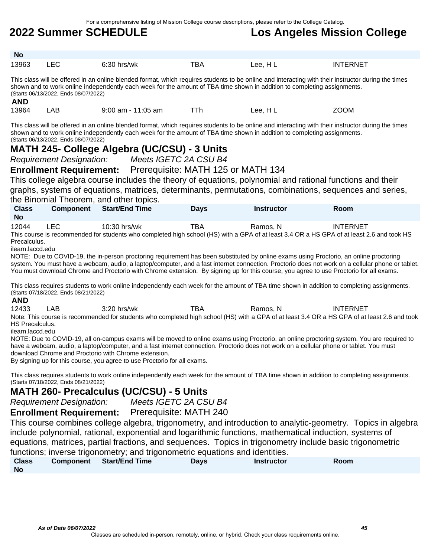| <b>No</b> |         |             |            |          |              |
|-----------|---------|-------------|------------|----------|--------------|
| 13963     | EΩ<br>ᄕ | ን:30 hrs/wk | <b>TBA</b> | ∟ee<br>- | ERNET:<br>IN |

This class will be offered in an online blended format, which requires students to be online and interacting with their instructor during the times shown and to work online independently each week for the amount of TBA time shown in addition to completing assignments. (Starts 06/13/2022, Ends 08/07/2022) **AND**

13964 LAB 9:00 am - 11:05 am TTh Lee, H L ZOOM

This class will be offered in an online blended format, which requires students to be online and interacting with their instructor during the times shown and to work online independently each week for the amount of TBA time shown in addition to completing assignments. (Starts 06/13/2022, Ends 08/07/2022)

#### **MATH 245- College Algebra (UC/CSU) - 3 Units**

Requirement Designation: Meets IGETC 2A CSU B4

**Enrollment Requirement:** Prerequisite: MATH 125 or MATH 134

This college algebra course includes the theory of equations, polynomial and rational functions and their graphs, systems of equations, matrices, determinants, permutations, combinations, sequences and series, the Binomial Theorem, and other topics.

| <b>Class</b><br><b>No</b> | <b>Component</b> | <b>Start/End Time</b>                                                                                                                                              | Days | <b>Instructor</b> | Room            |
|---------------------------|------------------|--------------------------------------------------------------------------------------------------------------------------------------------------------------------|------|-------------------|-----------------|
| 12044                     | LEC              | $10:30$ hrs/wk<br>This comes is accounted alterated and considerable distribution of $\theta$ (0) with a ODA of attent O.A.DD. THO ODA of attent O.O. and the U.O. | TBA  | Ramos. N          | <b>INTERNET</b> |

This course is recommended for students who completed high school (HS) with a GPA of at least 3.4 OR a HS GPA of at least 2.6 and took HS Precalculus.

ilearn.laccd.edu

NOTE: Due to COVID-19, the in-person proctoring requirement has been substituted by online exams using Proctorio, an online proctoring system. You must have a webcam, audio, a laptop/computer, and a fast internet connection. Proctorio does not work on a cellular phone or tablet. You must download Chrome and Proctorio with Chrome extension. By signing up for this course, you agree to use Proctorio for all exams.

This class requires students to work online independently each week for the amount of TBA time shown in addition to completing assignments. (Starts 07/18/2022, Ends 08/21/2022)

#### **AND**

12433 LAB 3:20 hrs/wk TBA Ramos, N INTERNET Note: This course is recommended for students who completed high school (HS) with a GPA of at least 3.4 OR a HS GPA of at least 2.6 and took HS Precalculus.

ilearn.laccd.edu

NOTE: Due to COVID-19, all on-campus exams will be moved to online exams using Proctorio, an online proctoring system. You are required to have a webcam, audio, a laptop/computer, and a fast internet connection. Proctorio does not work on a cellular phone or tablet. You must download Chrome and Proctorio with Chrome extension.

By signing up for this course, you agree to use Proctorio for all exams.

This class requires students to work online independently each week for the amount of TBA time shown in addition to completing assignments. (Starts 07/18/2022, Ends 08/21/2022)

### **MATH 260- Precalculus (UC/CSU) - 5 Units**

Requirement Designation: Meets IGETC 2A CSU B4

**Enrollment Requirement:** Prerequisite: MATH 240

This course combines college algebra, trigonometry, and introduction to analytic-geometry. Topics in algebra include polynomial, rational, exponential and logarithmic functions, mathematical induction, systems of equations, matrices, partial fractions, and sequences. Topics in trigonometry include basic trigonometric functions; inverse trigonometry; and trigonometric equations and identities.

|              | $\sim$ $\sim$ |                                 |      |                   |      |  |
|--------------|---------------|---------------------------------|------|-------------------|------|--|
| <b>Class</b> |               | <b>Component</b> Start/End Time | Days | <b>Instructor</b> | Room |  |
| <b>No</b>    |               |                                 |      |                   |      |  |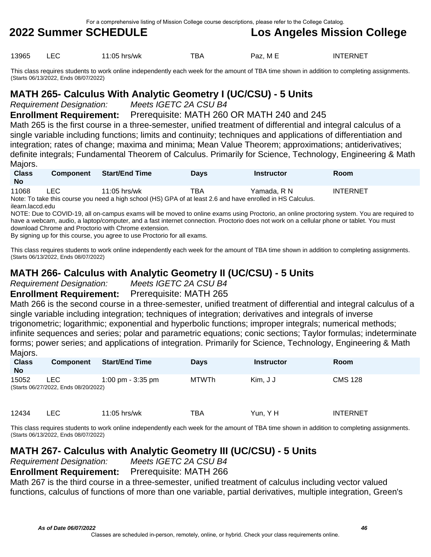For a comprehensive listing of Mission College course descriptions, please refer to the College Catalog.

| <b>2022 Summer SCHEDULE</b> | <b>Los Angeles Mission College</b> |
|-----------------------------|------------------------------------|
|                             |                                    |

13965 LEC 11:05 hrs/wk TBA Paz, M E INTERNET

This class requires students to work online independently each week for the amount of TBA time shown in addition to completing assignments. (Starts 06/13/2022, Ends 08/07/2022)

#### **MATH 265- Calculus With Analytic Geometry I (UC/CSU) - 5 Units**

Requirement Designation: Meets IGETC 2A CSU B4

**Enrollment Requirement:** Prerequisite: MATH 260 OR MATH 240 and 245

Math 265 is the first course in a three-semester, unified treatment of differential and integral calculus of a single variable including functions; limits and continuity; techniques and applications of differentiation and integration; rates of change; maxima and minima; Mean Value Theorem; approximations; antiderivatives; definite integrals; Fundamental Theorem of Calculus. Primarily for Science, Technology, Engineering & Math Majors.

| <b>Class</b><br><b>No</b> | <b>Component</b> | <b>Start/End Time</b> | Days | Instructor                                                                                                 | Room     |
|---------------------------|------------------|-----------------------|------|------------------------------------------------------------------------------------------------------------|----------|
| 11068                     | LEC              | $11:05$ hrs/wk        | ТВА  | Yamada. R N                                                                                                | INTERNET |
|                           |                  |                       |      | Note: To take this course you need a bigh school (HS) GPA of at least 2.6 and have enrolled in HS Calculus |          |

Note: To take this course you need a high school (HS) GPA of at least 2.6 and have enrolled in HS Calculus. ilearn.laccd.edu

NOTE: Due to COVID-19, all on-campus exams will be moved to online exams using Proctorio, an online proctoring system. You are required to have a webcam, audio, a laptop/computer, and a fast internet connection. Proctorio does not work on a cellular phone or tablet. You must download Chrome and Proctorio with Chrome extension.

By signing up for this course, you agree to use Proctorio for all exams.

This class requires students to work online independently each week for the amount of TBA time shown in addition to completing assignments. (Starts 06/13/2022, Ends 08/07/2022)

#### **MATH 266- Calculus with Analytic Geometry II (UC/CSU) - 5 Units**

Requirement Designation: Meets IGETC 2A CSU B4

**Enrollment Requirement:** Prerequisite: MATH 265

Math 266 is the second course in a three-semester, unified treatment of differential and integral calculus of a single variable including integration; techniques of integration; derivatives and integrals of inverse trigonometric; logarithmic; exponential and hyperbolic functions; improper integrals; numerical methods; infinite sequences and series; polar and parametric equations; conic sections; Taylor formulas; indeterminate forms; power series; and applications of integration. Primarily for Science, Technology, Engineering & Math Majors.

| <b>Class</b><br><b>No</b> | <b>Component</b>                                   | <b>Start/End Time</b> | Days  | <b>Instructor</b> | <b>Room</b>     |
|---------------------------|----------------------------------------------------|-----------------------|-------|-------------------|-----------------|
| 15052                     | <b>LEC</b><br>(Starts 06/27/2022, Ends 08/20/2022) | 1:00 pm $-$ 3:35 pm   | MTWTh | Kim, J J          | <b>CMS 128</b>  |
| 12434                     | LEC.                                               | $11:05$ hrs/wk        | TBA   | Yun, Y H          | <b>INTERNET</b> |

This class requires students to work online independently each week for the amount of TBA time shown in addition to completing assignments. (Starts 06/13/2022, Ends 08/07/2022)

## **MATH 267- Calculus with Analytic Geometry III (UC/CSU) - 5 Units**

Requirement Designation: Meets IGETC 2A CSU B4

**Enrollment Requirement:** Prerequisite: MATH 266

Math 267 is the third course in a three-semester, unified treatment of calculus including vector valued functions, calculus of functions of more than one variable, partial derivatives, multiple integration, Green's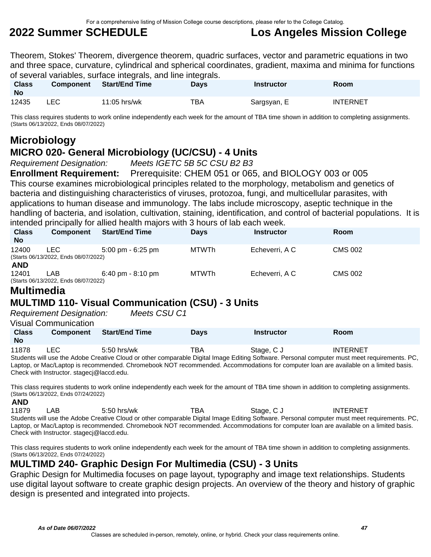Theorem, Stokes' Theorem, divergence theorem, quadric surfaces, vector and parametric equations in two and three space, curvature, cylindrical and spherical coordinates, gradient, maxima and minima for functions of several variables, surface integrals, and line integrals.

| <b>Class</b><br>No | <b>Component</b> | Start/End Time | Days | <b>Instructor</b> | Room            |
|--------------------|------------------|----------------|------|-------------------|-----------------|
| 12435              | LEC.             | $11:05$ hrs/wk | TBA  | Sargsyan, E       | <b>INTERNET</b> |

This class requires students to work online independently each week for the amount of TBA time shown in addition to completing assignments. (Starts 06/13/2022, Ends 08/07/2022)

# **Microbiology**

#### **MICRO 020- General Microbiology (UC/CSU) - 4 Units**

Requirement Designation: Meets IGETC 5B 5C CSU B2 B3

**Enrollment Requirement:** Prerequisite: CHEM 051 or 065, and BIOLOGY 003 or 005 This course examines microbiological principles related to the morphology, metabolism and genetics of bacteria and distinguishing characteristics of viruses, protozoa, fungi, and multicellular parasites, with applications to human disease and immunology. The labs include microscopy, aseptic technique in the handling of bacteria, and isolation, cultivation, staining, identification, and control of bacterial populations. It is intended principally for allied health majors with 3 hours of lab each week.

| <b>Class</b><br><b>No</b> | <b>Component</b>                     | <b>Start/End Time</b>               | <b>Davs</b>  | <b>Instructor</b> | Room           |  |  |  |
|---------------------------|--------------------------------------|-------------------------------------|--------------|-------------------|----------------|--|--|--|
| 12400                     | _EC.                                 | $5:00 \text{ pm} - 6:25 \text{ pm}$ | <b>MTWTh</b> | Echeverri. A C    | CMS 002        |  |  |  |
|                           | (Starts 06/13/2022, Ends 08/07/2022) |                                     |              |                   |                |  |  |  |
| <b>AND</b>                |                                      |                                     |              |                   |                |  |  |  |
| 12401                     | -AB                                  | 6:40 pm - 8:10 pm                   | <b>MTWTh</b> | Echeverri, A C    | <b>CMS 002</b> |  |  |  |
|                           | (Starts 06/13/2022, Ends 08/07/2022) |                                     |              |                   |                |  |  |  |

## **Multimedia**

#### **MULTIMD 110- Visual Communication (CSU) - 3 Units**

|   | <b>Requirement Designation:</b> | Meets CSU C1 |
|---|---------------------------------|--------------|
| . |                                 |              |

Visual Communication

| <b>Class</b><br><b>No</b> | <b>Component</b> | <b>Start/End Time</b> | Days     | <b>Instructor</b>  | Room            |     |
|---------------------------|------------------|-----------------------|----------|--------------------|-----------------|-----|
| 11878                     | LEC<br>.         | 5:50 hrs/wk           | TBA<br>. | Stage, C J<br>____ | <b>INTERNET</b> | ___ |

Students will use the Adobe Creative Cloud or other comparable Digital Image Editing Software. Personal computer must meet requirements. PC, Laptop, or Mac/Laptop is recommended. Chromebook NOT recommended. Accommodations for computer loan are available on a limited basis. Check with Instructor. stagecj@laccd.edu.

This class requires students to work online independently each week for the amount of TBA time shown in addition to completing assignments. (Starts 06/13/2022, Ends 07/24/2022)

#### **AND**

11879 LAB 5:50 hrs/wk TBA Stage, C J INTERNET Students will use the Adobe Creative Cloud or other comparable Digital Image Editing Software. Personal computer must meet requirements. PC, Laptop, or Mac/Laptop is recommended. Chromebook NOT recommended. Accommodations for computer loan are available on a limited basis. Check with Instructor. stagecj@laccd.edu.

This class requires students to work online independently each week for the amount of TBA time shown in addition to completing assignments. (Starts 06/13/2022, Ends 07/24/2022)

## **MULTIMD 240- Graphic Design For Multimedia (CSU) - 3 Units**

Graphic Design for Multimedia focuses on page layout, typography and image text relationships. Students use digital layout software to create graphic design projects. An overview of the theory and history of graphic design is presented and integrated into projects.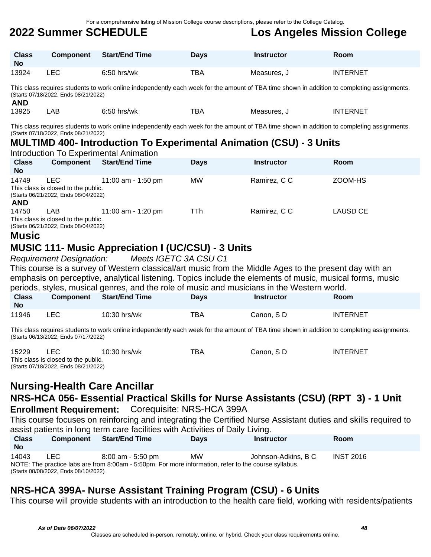| <b>2022 Summer SCHEDULE</b> | <b>Los Angeles Mission College</b> |
|-----------------------------|------------------------------------|
|                             |                                    |

| <b>Class</b><br><b>No</b> | <b>Component</b> | <b>Start/End Time</b> | <b>Days</b> | <b>Instructor</b> | <b>Room</b>     |
|---------------------------|------------------|-----------------------|-------------|-------------------|-----------------|
| 13924                     | LEC              | $6:50$ hrs/wk         | TBA         | Measures, J       | <b>INTERNET</b> |

This class requires students to work online independently each week for the amount of TBA time shown in addition to completing assignments. (Starts 07/18/2022, Ends 08/21/2022) **AND**

| 13925 | AB | $6:50$ hrs/wk | тва | Measures.<br>. | TERNET<br>INTE |
|-------|----|---------------|-----|----------------|----------------|
|       |    |               |     |                |                |

This class requires students to work online independently each week for the amount of TBA time shown in addition to completing assignments. (Starts 07/18/2022, Ends 08/21/2022)

#### **MULTIMD 400- Introduction To Experimental Animation (CSU) - 3 Units**

Introduction To Experimental Animation

| <b>Class</b><br><b>No</b>            | <b>Component</b>                                                                    | <b>Start/End Time</b> | <b>Days</b> | <b>Instructor</b> | <b>Room</b>     |
|--------------------------------------|-------------------------------------------------------------------------------------|-----------------------|-------------|-------------------|-----------------|
| 14749                                | LEC.<br>This class is closed to the public.<br>(Starts 06/21/2022, Ends 08/04/2022) | 11:00 am - 1:50 pm    | <b>MW</b>   | Ramirez, C C      | ZOOM-HS         |
| <b>AND</b><br>14750<br><b>BALLET</b> | LAB<br>This class is closed to the public.<br>(Starts 06/21/2022, Ends 08/04/2022)  | 11:00 am - 1:20 pm    | TTh         | Ramirez, C C      | <b>LAUSD CE</b> |

#### **Music**

#### **MUSIC 111- Music Appreciation I (UC/CSU) - 3 Units**

|                                                                                            |  |                                                | <b>MUSIC TIT-MUSIC Appreciation L(UC/CSU) - 3 UNITS</b> |                   |                                                                                                          |  |  |
|--------------------------------------------------------------------------------------------|--|------------------------------------------------|---------------------------------------------------------|-------------------|----------------------------------------------------------------------------------------------------------|--|--|
|                                                                                            |  | Requirement Designation: Meets IGETC 3A CSU C1 |                                                         |                   |                                                                                                          |  |  |
|                                                                                            |  |                                                |                                                         |                   | This course is a survey of Western classical/art music from the Middle Ages to the present day with an   |  |  |
|                                                                                            |  |                                                |                                                         |                   | emphasis on perceptive, analytical listening. Topics include the elements of music, musical forms, music |  |  |
| periods, styles, musical genres, and the role of music and musicians in the Western world. |  |                                                |                                                         |                   |                                                                                                          |  |  |
| <b>Class</b>                                                                               |  | <b>Component</b> Start/End Time                | <b>Davs</b>                                             | <b>Instructor</b> | Room                                                                                                     |  |  |
| No.                                                                                        |  |                                                |                                                         |                   |                                                                                                          |  |  |

11946 LEC 10:30 hrs/wk TBA Canon, S D INTERNET

This class requires students to work online independently each week for the amount of TBA time shown in addition to completing assignments. (Starts 06/13/2022, Ends 07/17/2022)

| 15229 | LEC.                                 | $10:30$ hrs/wk | TBA | Canon, SD | <b>INTERNET</b> |
|-------|--------------------------------------|----------------|-----|-----------|-----------------|
|       | This class is closed to the public.  |                |     |           |                 |
|       | (Starts 07/18/2022, Ends 08/21/2022) |                |     |           |                 |

## **Nursing-Health Care Ancillar**

#### **NRS-HCA 056- Essential Practical Skills for Nurse Assistants (CSU) (RPT 3) - 1 Unit Enrollment Requirement:** Corequisite: NRS-HCA 399A

This course focuses on reinforcing and integrating the Certified Nurse Assistant duties and skills required to assist patients in long term care facilities with Activities of Daily Living.

| <b>Class</b><br><b>No</b> | <b>Component</b>                             | <b>Start/End Time</b>                                                                                                      | <b>Davs</b> | <b>Instructor</b>   | Room             |
|---------------------------|----------------------------------------------|----------------------------------------------------------------------------------------------------------------------------|-------------|---------------------|------------------|
| 14043                     | LEC.<br>(Starts 08/08/2022, Ends 08/10/2022) | 8:00 am - 5:50 pm<br>NOTE: The practice labs are from 8:00am - 5:50pm. For more information, refer to the course syllabus. | <b>MW</b>   | Johnson-Adkins, B C | <b>INST 2016</b> |

# **NRS-HCA 399A- Nurse Assistant Training Program (CSU) - 6 Units**

This course will provide students with an introduction to the health care field, working with residents/patients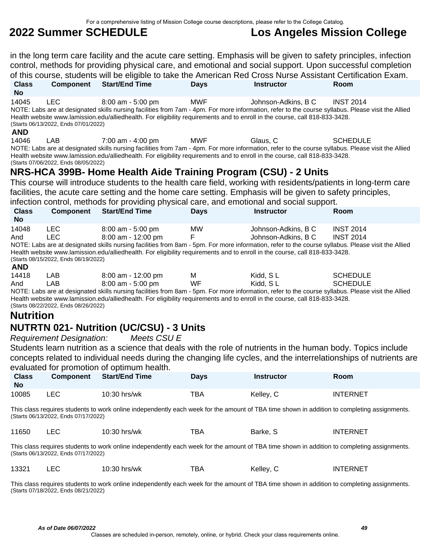in the long term care facility and the acute care setting. Emphasis will be given to safety principles, infection control, methods for providing physical care, and emotional and social support. Upon successful completion of this course, students will be eligible to take the American Red Cross Nurse Assistant Certification Exam.<br>Class Component Start/End Time Davs Instructor Boom

| <b>Class</b>                                                                                                                                       | <b>Component</b>                     | <b>Start/End Time</b> | <b>Days</b> | <b>Instructor</b>                                                                                                                                  | <b>Room</b>      |  |  |  |
|----------------------------------------------------------------------------------------------------------------------------------------------------|--------------------------------------|-----------------------|-------------|----------------------------------------------------------------------------------------------------------------------------------------------------|------------------|--|--|--|
| No.                                                                                                                                                |                                      |                       |             |                                                                                                                                                    |                  |  |  |  |
| 14045                                                                                                                                              | LEC.                                 | $8:00$ am - 5:00 pm   | MWF         | Johnson-Adkins, B C                                                                                                                                | <b>INST 2014</b> |  |  |  |
|                                                                                                                                                    |                                      |                       |             | NOTE: Labs are at designated skills nursing facilities from 7am - 4pm. For more information, refer to the course syllabus. Please visit the Allied |                  |  |  |  |
|                                                                                                                                                    |                                      |                       |             | Health website www.lamission.edu/alliedhealth. For eligibility requirements and to enroll in the course, call 818-833-3428.                        |                  |  |  |  |
|                                                                                                                                                    | (Starts 06/13/2022, Ends 07/01/2022) |                       |             |                                                                                                                                                    |                  |  |  |  |
| <b>AND</b>                                                                                                                                         |                                      |                       |             |                                                                                                                                                    |                  |  |  |  |
| 14046                                                                                                                                              | LAB.                                 | 7:00 am - 4:00 pm     | MWF         | Glaus, C                                                                                                                                           | <b>SCHEDULE</b>  |  |  |  |
| NOTE: Labs are at designated skills nursing facilities from 7am - 4pm. For more information, refer to the course syllabus. Please visit the Allied |                                      |                       |             |                                                                                                                                                    |                  |  |  |  |
| Health website www.lamission.edu/alliedhealth. For eligibility requirements and to enroll in the course, call 818-833-3428.                        |                                      |                       |             |                                                                                                                                                    |                  |  |  |  |
|                                                                                                                                                    | (Starts 07/06/2022, Ends 08/05/2022) |                       |             |                                                                                                                                                    |                  |  |  |  |
|                                                                                                                                                    |                                      |                       |             | NDS-HCA 300R- Home Health Aide Training Drogram (CSLI) - 2 Llnite                                                                                  |                  |  |  |  |

#### **NRS-HCA 399B- Home Health Aide Training Program (CSU) - 2 Units**

This course will introduce students to the health care field, working with residents/patients in long-term care facilities, the acute care setting and the home care setting. Emphasis will be given to safety principles,

infection control, methods for providing physical care, and emotional and social support.

| <b>Class</b>                                                                                                                                       | <b>Component</b> | <b>Start/End Time</b> | <b>Davs</b> | <b>Instructor</b>                                                                                                           | Room             |  |  |  |
|----------------------------------------------------------------------------------------------------------------------------------------------------|------------------|-----------------------|-------------|-----------------------------------------------------------------------------------------------------------------------------|------------------|--|--|--|
| <b>No</b>                                                                                                                                          |                  |                       |             |                                                                                                                             |                  |  |  |  |
| 14048                                                                                                                                              | LEC.             | $8:00$ am - 5:00 pm   | МW          | Johnson-Adkins, B C                                                                                                         | <b>INST 2014</b> |  |  |  |
| And                                                                                                                                                | LEC.             | $8:00$ am - 12:00 pm  |             | Johnson-Adkins. B C                                                                                                         | <b>INST 2014</b> |  |  |  |
| NOTE: Labs are at designated skills nursing facilities from 8am - 5pm. For more information, refer to the course syllabus. Please visit the Allied |                  |                       |             |                                                                                                                             |                  |  |  |  |
|                                                                                                                                                    |                  |                       |             | Health website www.lamission.edu/alliedhealth. For eligibility requirements and to enroll in the course, call 818-833-3428. |                  |  |  |  |

(Starts 08/15/2022, Ends 08/19/2022)

#### **AND**

**Class** 

| 14418 | LAB. | $8:00$ am - 12:00 pm | м  | Kidd. S L                                                                                                                                          | <b>SCHEDULE</b> |
|-------|------|----------------------|----|----------------------------------------------------------------------------------------------------------------------------------------------------|-----------------|
| And   | LAB. | $8:00$ am - 5:00 pm  | WF | Kidd. S L                                                                                                                                          | <b>SCHEDULE</b> |
|       |      |                      |    | NOTE: Labe are at decignated ckille purcing facilities from Ram - 5pm. For more information, refer to the course syllabus. Please visit the Allied |                 |

NOTE: Labs are at designated skills nursing facilities from 8am - 5pm. For more information, refer to the course syllabus. Please visit the Allied Health website www.lamission.edu/alliedhealth. For eligibility requirements and to enroll in the course, call 818-833-3428. (Starts 08/22/2022, Ends 08/26/2022)

#### **Nutrition**

## **NUTRTN 021- Nutrition (UC/CSU) - 3 Units**

Requirement Designation: Meets CSU E

Students learn nutrition as a science that deals with the role of nutrients in the human body. Topics include concepts related to individual needs during the changing life cycles, and the interrelationships of nutrients are evaluated for promotion of optimum health.

| <b>Class</b><br>No | <b>Component</b> | <b>Start/End Time</b> | <b>Days</b> | <b>Instructor</b> | Room     |
|--------------------|------------------|-----------------------|-------------|-------------------|----------|
| 10085              | LEC              | $10:30$ hrs/wk        | тва         | Kelley, C         | INTERNET |

This class requires students to work online independently each week for the amount of TBA time shown in addition to completing assignments. (Starts 06/13/2022, Ends 07/17/2022)

|  | 11650 |  | 10:30 hrs/wk | тва | Barke, S | INTERNET |
|--|-------|--|--------------|-----|----------|----------|
|--|-------|--|--------------|-----|----------|----------|

This class requires students to work online independently each week for the amount of TBA time shown in addition to completing assignments. (Starts 06/13/2022, Ends 07/17/2022)

13321 LEC 10:30 hrs/wk TBA Kelley, C INTERNET

This class requires students to work online independently each week for the amount of TBA time shown in addition to completing assignments. (Starts 07/18/2022, Ends 08/21/2022)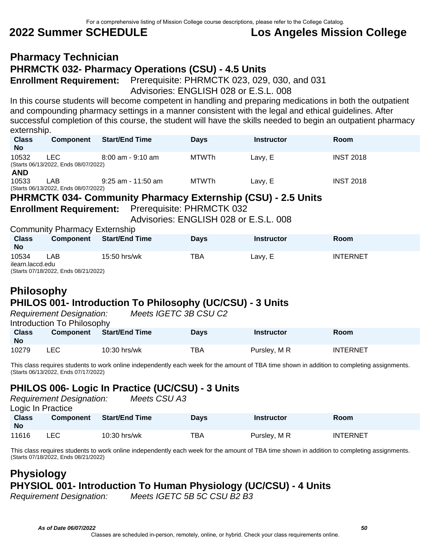# **Pharmacy Technician**

#### **PHRMCTK 032- Pharmacy Operations (CSU) - 4.5 Units**

**Enrollment Requirement:** Prerequisite: PHRMCTK 023, 029, 030, and 031

Advisories: ENGLISH 028 or E.S.L. 008

In this course students will become competent in handling and preparing medications in both the outpatient and compounding pharmacy settings in a manner consistent with the legal and ethical guidelines. After successful completion of this course, the student will have the skills needed to begin an outpatient pharmacy externship.

| <b>Class</b> | <b>Component</b>                     | <b>Start/End Time</b> | <b>Days</b> | <b>Instructor</b> | <b>Room</b>      |
|--------------|--------------------------------------|-----------------------|-------------|-------------------|------------------|
| <b>No</b>    |                                      |                       |             |                   |                  |
| 10532        | _EC.                                 | $8:00$ am - 9:10 am   | MTWTh       | Lavy, E           | <b>INST 2018</b> |
|              | (Starts 06/13/2022, Ends 08/07/2022) |                       |             |                   |                  |
| <b>AND</b>   |                                      |                       |             |                   |                  |
| 10533        | -AB                                  | $9:25$ am - 11:50 am  | MTWTh       | Lavy, E           | <b>INST 2018</b> |
|              | (Starts 06/13/2022, Ends 08/07/2022) |                       |             |                   |                  |

#### **PHRMCTK 034- Community Pharmacy Externship (CSU) - 2.5 Units**

**Enrollment Requirement:** Prerequisite: PHRMCTK 032

Advisories: ENGLISH 028 or E.S.L. 008

| <b>Community Pharmacy Externship</b> |                                             |                       |             |                   |                 |  |  |
|--------------------------------------|---------------------------------------------|-----------------------|-------------|-------------------|-----------------|--|--|
| <b>Class</b><br><b>No</b>            | Component                                   | <b>Start/End Time</b> | <b>Davs</b> | <b>Instructor</b> | Room            |  |  |
| 10534<br>ilearn.laccd.edu            | LAB<br>(Starts 07/18/2022, Ends 08/21/2022) | 15:50 hrs/wk          | TBA         | Lavy, E           | <b>INTERNET</b> |  |  |

## **Philosophy**

#### **PHILOS 001- Introduction To Philosophy (UC/CSU) - 3 Units**

|                           | <b>Requirement Designation:</b><br>Introduction To Philosophy | Meets IGETC 3B CSU C2 |             |                   |                 |
|---------------------------|---------------------------------------------------------------|-----------------------|-------------|-------------------|-----------------|
| <b>Class</b><br><b>No</b> | <b>Component</b>                                              | <b>Start/End Time</b> | <b>Days</b> | <b>Instructor</b> | Room            |
| 10279                     | ∟EC l                                                         | $10:30$ hrs/wk        | TBA         | Pursley, M R      | <b>INTERNET</b> |

This class requires students to work online independently each week for the amount of TBA time shown in addition to completing assignments. (Starts 06/13/2022, Ends 07/17/2022)

## **PHILOS 006- Logic In Practice (UC/CSU) - 3 Units**

| Logic In Practice         | <b>Requirement Designation:</b> | Meets CSU A3          |             |                   |                 |
|---------------------------|---------------------------------|-----------------------|-------------|-------------------|-----------------|
| <b>Class</b><br><b>No</b> | <b>Component</b>                | <b>Start/End Time</b> | <b>Davs</b> | <b>Instructor</b> | Room            |
| 11616                     | ∟EC l                           | $10:30$ hrs/wk        | TBA         | Pursley, M R      | <b>INTERNET</b> |

This class requires students to work online independently each week for the amount of TBA time shown in addition to completing assignments. (Starts 07/18/2022, Ends 08/21/2022)

# **Physiology PHYSIOL 001- Introduction To Human Physiology (UC/CSU) - 4 Units**

Requirement Designation: Meets IGETC 5B 5C CSU B2 B3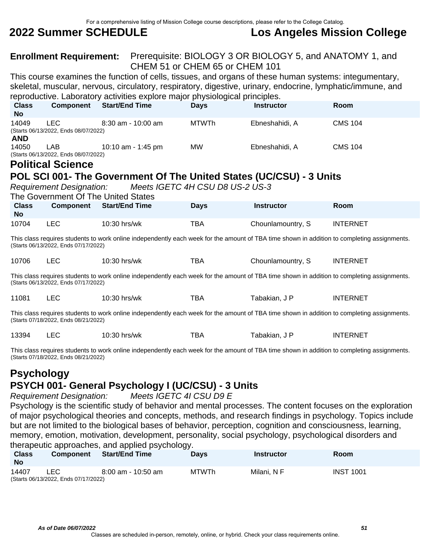#### **Enrollment Requirement:** Prerequisite: BIOLOGY 3 OR BIOLOGY 5, and ANATOMY 1, and CHEM 51 or CHEM 65 or CHEM 101

This course examines the function of cells, tissues, and organs of these human systems: integumentary, skeletal, muscular, nervous, circulatory, respiratory, digestive, urinary, endocrine, lymphatic/immune, and reproductive. Laboratory activities explore major physiological principles.

| <b>Class</b><br><b>No</b> | Component                                          | <b>Start/End Time</b>                                                                                                                       | <b>Days</b>                     | <b>Instructor</b> | Room            |
|---------------------------|----------------------------------------------------|---------------------------------------------------------------------------------------------------------------------------------------------|---------------------------------|-------------------|-----------------|
| 14049<br><b>AND</b>       | <b>LEC</b><br>(Starts 06/13/2022, Ends 08/07/2022) | 8:30 am - 10:00 am                                                                                                                          | <b>MTWTh</b>                    | Ebneshahidi, A    | <b>CMS 104</b>  |
| 14050                     | LAB<br>(Starts 06/13/2022, Ends 08/07/2022)        | 10:10 am - 1:45 pm                                                                                                                          | MW                              | Ebneshahidi, A    | <b>CMS 104</b>  |
|                           | <b>Political Science</b>                           |                                                                                                                                             |                                 |                   |                 |
|                           |                                                    | POL SCI 001- The Government Of The United States (UC/CSU) - 3 Units                                                                         |                                 |                   |                 |
|                           | <b>Requirement Designation:</b>                    |                                                                                                                                             | Meets IGETC 4H CSU D8 US-2 US-3 |                   |                 |
|                           |                                                    | The Government Of The United States                                                                                                         |                                 |                   |                 |
| <b>Class</b><br><b>No</b> | <b>Component</b>                                   | <b>Start/End Time</b>                                                                                                                       | <b>Days</b>                     | <b>Instructor</b> | Room            |
| 10704                     | <b>LEC</b>                                         | 10:30 hrs/wk                                                                                                                                | TBA                             | Chounlamountry, S | <b>INTERNET</b> |
|                           | (Starts 06/13/2022, Ends 07/17/2022)               | This class requires students to work online independently each week for the amount of TBA time shown in addition to completing assignments. |                                 |                   |                 |
| 10706                     | <b>LEC</b>                                         | 10:30 hrs/wk                                                                                                                                | TBA                             | Chounlamountry, S | <b>INTERNET</b> |
|                           | (Starts 06/13/2022, Ends 07/17/2022)               | This class requires students to work online independently each week for the amount of TBA time shown in addition to completing assignments. |                                 |                   |                 |
| 11081                     | <b>LEC</b>                                         | 10:30 hrs/wk                                                                                                                                | TBA                             | Tabakian, J P     | <b>INTERNET</b> |
|                           | (Starts 07/18/2022, Ends 08/21/2022)               | This class requires students to work online independently each week for the amount of TBA time shown in addition to completing assignments. |                                 |                   |                 |
| 13394                     | <b>LEC</b>                                         | 10:30 hrs/wk                                                                                                                                | <b>TBA</b>                      | Tabakian, J P     | <b>INTERNET</b> |

This class requires students to work online independently each week for the amount of TBA time shown in addition to completing assignments. (Starts 07/18/2022, Ends 08/21/2022)

## **Psychology PSYCH 001- General Psychology I (UC/CSU) - 3 Units**

Requirement Designation: Meets IGETC 4I CSU D9 E

Psychology is the scientific study of behavior and mental processes. The content focuses on the exploration of major psychological theories and concepts, methods, and research findings in psychology. Topics include but are not limited to the biological bases of behavior, perception, cognition and consciousness, learning, memory, emotion, motivation, development, personality, social psychology, psychological disorders and therapeutic approaches, and applied psychology.

| <b>Class</b><br><b>No</b> | <b>Component</b>                     | <b>Start/End Time</b> | ັ<br><b>Davs</b> | <b>Instructor</b> | Room             |
|---------------------------|--------------------------------------|-----------------------|------------------|-------------------|------------------|
| 14407                     | LEC.                                 | 8:00 am - 10:50 am    | MTWTh            | Milani. N F       | <b>INST 1001</b> |
|                           | (Starts 06/13/2022, Ends 07/17/2022) |                       |                  |                   |                  |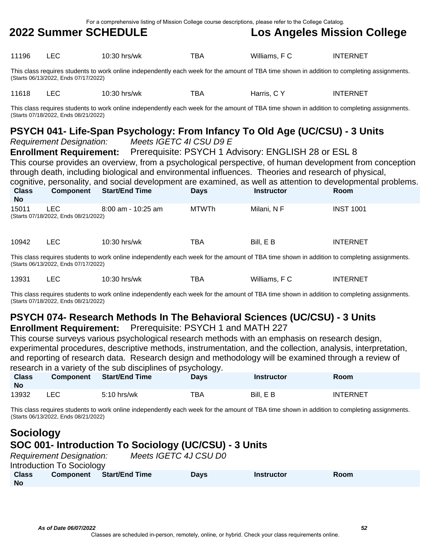For a comprehensive listing of Mission College course descriptions, please refer to the College Catalog.

|                           | <b>2022 Summer SCHEDULE</b>                                                                                                                                                                                                                                                                                                                                                                                                                                                                                                                                                                                                                           |                                                                                                                                             |              |               | <b>Los Angeles Mission College</b> |  |  |  |
|---------------------------|-------------------------------------------------------------------------------------------------------------------------------------------------------------------------------------------------------------------------------------------------------------------------------------------------------------------------------------------------------------------------------------------------------------------------------------------------------------------------------------------------------------------------------------------------------------------------------------------------------------------------------------------------------|---------------------------------------------------------------------------------------------------------------------------------------------|--------------|---------------|------------------------------------|--|--|--|
| 11196                     | <b>LEC</b>                                                                                                                                                                                                                                                                                                                                                                                                                                                                                                                                                                                                                                            | $10:30$ hrs/wk                                                                                                                              | TBA          | Williams, F C | <b>INTERNET</b>                    |  |  |  |
|                           | (Starts 06/13/2022, Ends 07/17/2022)                                                                                                                                                                                                                                                                                                                                                                                                                                                                                                                                                                                                                  | This class requires students to work online independently each week for the amount of TBA time shown in addition to completing assignments. |              |               |                                    |  |  |  |
| 11618                     | <b>LEC</b>                                                                                                                                                                                                                                                                                                                                                                                                                                                                                                                                                                                                                                            | 10:30 hrs/wk                                                                                                                                | TBA          | Harris, C Y   | <b>INTERNET</b>                    |  |  |  |
|                           | (Starts 07/18/2022, Ends 08/21/2022)                                                                                                                                                                                                                                                                                                                                                                                                                                                                                                                                                                                                                  | This class requires students to work online independently each week for the amount of TBA time shown in addition to completing assignments. |              |               |                                    |  |  |  |
| <b>Class</b><br><b>No</b> | PSYCH 041- Life-Span Psychology: From Infancy To Old Age (UC/CSU) - 3 Units<br><b>Requirement Designation:</b><br>Meets IGETC 4I CSU D9 E<br><b>Enrollment Requirement:</b> Prerequisite: PSYCH 1 Advisory: ENGLISH 28 or ESL 8<br>This course provides an overview, from a psychological perspective, of human development from conception<br>through death, including biological and environmental influences. Theories and research of physical,<br>cognitive, personality, and social development are examined, as well as attention to developmental problems.<br><b>Start/End Time</b><br>Component<br><b>Instructor</b><br>Room<br><b>Days</b> |                                                                                                                                             |              |               |                                    |  |  |  |
| 15011                     | <b>LEC</b><br>(Starts 07/18/2022, Ends 08/21/2022)                                                                                                                                                                                                                                                                                                                                                                                                                                                                                                                                                                                                    | 8:00 am - 10:25 am                                                                                                                          | <b>MTWTh</b> | Milani, NF    | <b>INST 1001</b>                   |  |  |  |
| 10942                     | <b>LEC</b>                                                                                                                                                                                                                                                                                                                                                                                                                                                                                                                                                                                                                                            | 10:30 hrs/wk                                                                                                                                | <b>TBA</b>   | Bill, E B     | <b>INTERNET</b>                    |  |  |  |
|                           | (Starts 06/13/2022, Ends 07/17/2022)                                                                                                                                                                                                                                                                                                                                                                                                                                                                                                                                                                                                                  | This class requires students to work online independently each week for the amount of TBA time shown in addition to completing assignments. |              |               |                                    |  |  |  |

13931 LEC 10:30 hrs/wk TBA Williams, F C INTERNET

This class requires students to work online independently each week for the amount of TBA time shown in addition to completing assignments. (Starts 07/18/2022, Ends 08/21/2022)

# **PSYCH 074- Research Methods In The Behavioral Sciences (UC/CSU) - 3 Units**

**Enrollment Requirement:** Prerequisite: PSYCH 1 and MATH 227

This course surveys various psychological research methods with an emphasis on research design, experimental procedures, descriptive methods, instrumentation, and the collection, analysis, interpretation, and reporting of research data. Research design and methodology will be examined through a review of research in a variety of the sub disciplines of psychology.

| <b>Class</b><br><b>No</b> | <b>Component</b> | <b>Start/End Time</b> | ັ<br><b>Days</b> | <b>Instructor</b> | Room            |
|---------------------------|------------------|-----------------------|------------------|-------------------|-----------------|
| 13932                     | LEC              | 5:10 hrs/wk           | тва              | Bill, E B         | <b>INTERNET</b> |

This class requires students to work online independently each week for the amount of TBA time shown in addition to completing assignments. (Starts 06/13/2022, Ends 08/21/2022)

## **Sociology SOC 001- Introduction To Sociology (UC/CSU) - 3 Units**

| <b>Requirement Designation:</b> |                          | Meets IGETC 4J CSU D0 |                   |      |  |
|---------------------------------|--------------------------|-----------------------|-------------------|------|--|
| Introduction To Sociology       |                          |                       |                   |      |  |
| <b>Class</b><br><b>No</b>       | Component Start/End Time | <b>Davs</b>           | <b>Instructor</b> | Room |  |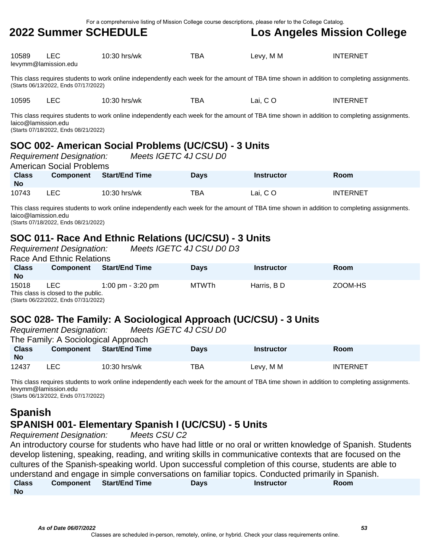|       | <b>2022 Summer SCHEDULE</b>          |                                                                                                                                             |     | <b>Los Angeles Mission College</b> |                 |  |
|-------|--------------------------------------|---------------------------------------------------------------------------------------------------------------------------------------------|-----|------------------------------------|-----------------|--|
| 10589 | LEC.<br>levymm@lamission.edu         | $10:30$ hrs/wk                                                                                                                              | TBA | Levy, M M                          | <b>INTERNET</b> |  |
|       | (Starts 06/13/2022, Ends 07/17/2022) | This class requires students to work online independently each week for the amount of TBA time shown in addition to completing assignments. |     |                                    |                 |  |
| 10595 | LEC.                                 | $10:30$ hrs/wk                                                                                                                              | TBA | Lai, CO                            | <b>INTERNET</b> |  |
|       |                                      | This class requires students to work online independently each week for the amount of TBA time shown in addition to completing assignments. |     |                                    |                 |  |

laico@lamission.edu (Starts 07/18/2022, Ends 08/21/2022)

## **SOC 002- American Social Problems (UC/CSU) - 3 Units**

|                           | <b>Requirement Designation:</b><br><b>American Social Problems</b> | Meets IGETC 4J CSU D0 |             |                   |                 |
|---------------------------|--------------------------------------------------------------------|-----------------------|-------------|-------------------|-----------------|
| <b>Class</b><br><b>No</b> | <b>Component</b>                                                   | <b>Start/End Time</b> | <b>Davs</b> | <b>Instructor</b> | <b>Room</b>     |
| 10743                     | LEC .                                                              | 10:30 hrs/wk          | TBA         | Lai. CO           | <b>INTERNET</b> |

This class requires students to work online independently each week for the amount of TBA time shown in addition to completing assignments. laico@lamission.edu (Starts 07/18/2022, Ends 08/21/2022)

### **SOC 011- Race And Ethnic Relations (UC/CSU) - 3 Units**

|              | <b>Requirement Designation:</b>      |                       | Meets IGETC 4J CSU D0 D3 |                   |         |  |
|--------------|--------------------------------------|-----------------------|--------------------------|-------------------|---------|--|
|              | <b>Race And Ethnic Relations</b>     |                       |                          |                   |         |  |
| <b>Class</b> | <b>Component</b>                     | <b>Start/End Time</b> | <b>Days</b>              | <b>Instructor</b> | Room    |  |
| <b>No</b>    |                                      |                       |                          |                   |         |  |
| 15018        | LEC.                                 | 1:00 pm - 3:20 pm     | MTWTh                    | Harris, B D       | ZOOM-HS |  |
|              | This class is closed to the public.  |                       |                          |                   |         |  |
|              | (Starts 06/22/2022, Ends 07/31/2022) |                       |                          |                   |         |  |

## **SOC 028- The Family: A Sociological Approach (UC/CSU) - 3 Units**

Requirement Designation: Meets IGETC 4J CSU D0  $T_{\text{max}}$ : A  $\Omega_{\text{max}}$ 

|                           | The Family: A Sociological Approach |                       |      |                   |                 |  |  |  |  |  |
|---------------------------|-------------------------------------|-----------------------|------|-------------------|-----------------|--|--|--|--|--|
| <b>Class</b><br><b>No</b> | <b>Component</b>                    | <b>Start/End Time</b> | Davs | <b>Instructor</b> | Room            |  |  |  |  |  |
| 12437                     | ∟EC.                                | $10:30$ hrs/wk        | TBA  | Levy, M M         | <b>INTERNET</b> |  |  |  |  |  |

This class requires students to work online independently each week for the amount of TBA time shown in addition to completing assignments. levymm@lamission.edu

(Starts 06/13/2022, Ends 07/17/2022)

#### **Spanish SPANISH 001- Elementary Spanish I (UC/CSU) - 5 Units**

Requirement Designation: Meets CSU C2

An introductory course for students who have had little or no oral or written knowledge of Spanish. Students develop listening, speaking, reading, and writing skills in communicative contexts that are focused on the cultures of the Spanish-speaking world. Upon successful completion of this course, students are able to understand and engage in simple conversations on familiar topics. Conducted primarily in Spanish. **Class No Component Start/End Time Days Instructor Room**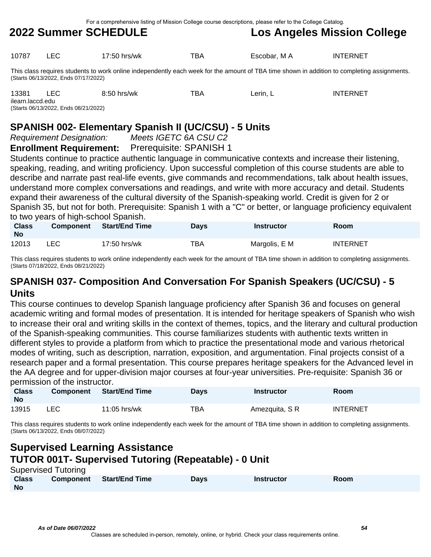For a comprehensive listing of Mission College course descriptions, please refer to the College Catalog.

| <b>2022 Summer SCHEDULE</b> |                                              |                |     |              | <b>Los Angeles Mission College</b>                                                                                                          |  |  |
|-----------------------------|----------------------------------------------|----------------|-----|--------------|---------------------------------------------------------------------------------------------------------------------------------------------|--|--|
| 10787                       | LEC.                                         | $17:50$ hrs/wk | TBA | Escobar, M A | <b>INTERNET</b>                                                                                                                             |  |  |
|                             | (Starts 06/13/2022, Ends 07/17/2022)         |                |     |              | This class requires students to work online independently each week for the amount of TBA time shown in addition to completing assignments. |  |  |
| 13381<br>ilearn.laccd.edu   | LEC.<br>(Starts 06/13/2022, Ends 08/21/2022) | $8:50$ hrs/wk  | TBA | Lerin. L     | <b>INTERNET</b>                                                                                                                             |  |  |
|                             |                                              |                |     |              |                                                                                                                                             |  |  |

#### **SPANISH 002- Elementary Spanish II (UC/CSU) - 5 Units**

Requirement Designation: Meets IGETC 6A CSU C2

**Enrollment Requirement:** Prerequisite: SPANISH 1

Students continue to practice authentic language in communicative contexts and increase their listening, speaking, reading, and writing proficiency. Upon successful completion of this course students are able to describe and narrate past real-life events, give commands and recommendations, talk about health issues, understand more complex conversations and readings, and write with more accuracy and detail. Students expand their awareness of the cultural diversity of the Spanish-speaking world. Credit is given for 2 or Spanish 35, but not for both. Prerequisite: Spanish 1 with a "C" or better, or language proficiency equivalent to two years of high-school Spanish.

| <b>Class</b><br><b>No</b> | <b>Component</b> | <b>Start/End Time</b> | <b>Days</b> | <b>Instructor</b> | <b>Room</b>     |
|---------------------------|------------------|-----------------------|-------------|-------------------|-----------------|
| 12013                     | LEC              | 17:50 hrs/wk          | тва         | Margolis, E M     | <b>INTERNET</b> |

This class requires students to work online independently each week for the amount of TBA time shown in addition to completing assignments. (Starts 07/18/2022, Ends 08/21/2022)

#### **SPANISH 037- Composition And Conversation For Spanish Speakers (UC/CSU) - 5 Units**

This course continues to develop Spanish language proficiency after Spanish 36 and focuses on general academic writing and formal modes of presentation. It is intended for heritage speakers of Spanish who wish to increase their oral and writing skills in the context of themes, topics, and the literary and cultural production of the Spanish-speaking communities. This course familiarizes students with authentic texts written in different styles to provide a platform from which to practice the presentational mode and various rhetorical modes of writing, such as description, narration, exposition, and argumentation. Final projects consist of a research paper and a formal presentation. This course prepares heritage speakers for the Advanced level in the AA degree and for upper-division major courses at four-year universities. Pre-requisite: Spanish 36 or permission of the instructor.

| <b>Class</b><br><b>No</b> | <b>Component</b> | <b>Start/End Time</b> | Days | <b>Instructor</b> | <b>Room</b>     |
|---------------------------|------------------|-----------------------|------|-------------------|-----------------|
| 13915                     | LEC              | $11:05$ hrs/wk        | TBA  | Amezquita, S R    | <b>INTERNET</b> |

This class requires students to work online independently each week for the amount of TBA time shown in addition to completing assignments. (Starts 06/13/2022, Ends 08/07/2022)

### **Supervised Learning Assistance TUTOR 001T- Supervised Tutoring (Repeatable) - 0 Unit**

Supervised Tutoring

| <b>Class</b> | <b>Component</b> Start/End Time | <b>Days</b> | <b>Instructor</b> | <b>Room</b> |
|--------------|---------------------------------|-------------|-------------------|-------------|
| No           |                                 |             |                   |             |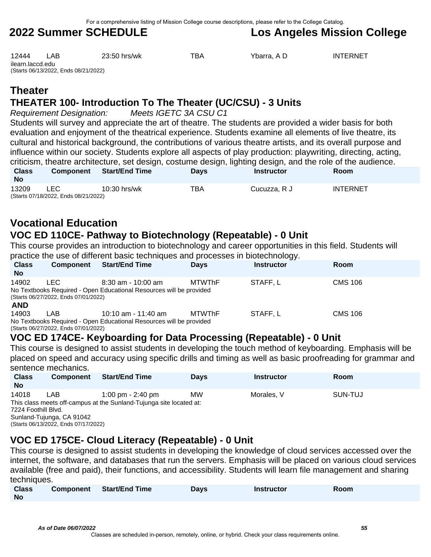12444 LAB 23:50 hrs/wk TBA Ybarra, A D INTERNET ilearn.laccd.edu (Starts 06/13/2022, Ends 08/21/2022)

# **Theater**

### **THEATER 100- Introduction To The Theater (UC/CSU) - 3 Units**

Requirement Designation: Meets IGETC 3A CSU C1

Students will survey and appreciate the art of theatre. The students are provided a wider basis for both evaluation and enjoyment of the theatrical experience. Students examine all elements of live theatre, its cultural and historical background, the contributions of various theatre artists, and its overall purpose and influence within our society. Students explore all aspects of play production: playwriting, directing, acting, criticism, theatre architecture, set design, costume design, lighting design, and the role of the audience.

| <b>Class</b><br><b>No</b> | <b>Component</b>                     | <b>Start/End Time</b> | <b>Davs</b> | <b>Instructor</b> | <b>Room</b>     |  |  |  |
|---------------------------|--------------------------------------|-----------------------|-------------|-------------------|-----------------|--|--|--|
| 13209                     | LEC                                  | $10:30$ hrs/wk        | TBA         | Cucuzza. R J      | <b>INTERNET</b> |  |  |  |
|                           | (Starts 07/18/2022, Ends 08/21/2022) |                       |             |                   |                 |  |  |  |

### **Vocational Education VOC ED 110CE- Pathway to Biotechnology (Repeatable) - 0 Unit**

This course provides an introduction to biotechnology and career opportunities in this field. Students will practice the use of different basic techniques and processes in biotechnology.

| <b>Class</b><br><b>No</b> | <b>Component</b>                             | <b>Start/End Time</b>                                                                       | <b>Davs</b> | <b>Instructor</b> | <b>Room</b>    |
|---------------------------|----------------------------------------------|---------------------------------------------------------------------------------------------|-------------|-------------------|----------------|
| 14902                     | LEC.<br>(Starts 06/27/2022, Ends 07/01/2022) | $8:30$ am - 10:00 am<br>No Textbooks Required - Open Educational Resources will be provided | MTWThF      | STAFF. L          | <b>CMS 106</b> |
| <b>AND</b><br>14903       | LAB<br>(Starts 06/27/2022, Ends 07/01/2022)  | 10:10 am - 11:40 am<br>No Textbooks Required - Open Educational Resources will be provided  | MTWThF      | STAFF. L          | <b>CMS 106</b> |

#### **VOC ED 174CE- Keyboarding for Data Processing (Repeatable) - 0 Unit**

This course is designed to assist students in developing the touch method of keyboarding. Emphasis will be placed on speed and accuracy using specific drills and timing as well as basic proofreading for grammar and sentence mechanics.

|                              | <u>oon ito noo in iddi idi iloo:</u>                                     |                                                                                          |             |            |         |
|------------------------------|--------------------------------------------------------------------------|------------------------------------------------------------------------------------------|-------------|------------|---------|
| <b>Class</b><br><b>No</b>    | <b>Component</b>                                                         | <b>Start/End Time</b>                                                                    | <b>Davs</b> | Instructor | Room    |
| 14018<br>7224 Foothill Blvd. | LAB<br>Sunland-Tujunga, CA 91042<br>(Starts 06/13/2022, Ends 07/17/2022) | 1:00 pm - 2:40 pm<br>This class meets off-campus at the Sunland-Tujunga site located at: | МW          | Morales, V | SUN-TUJ |

#### **VOC ED 175CE- Cloud Literacy (Repeatable) - 0 Unit**

This course is designed to assist students in developing the knowledge of cloud services accessed over the internet, the software, and databases that run the servers. Emphasis will be placed on various cloud services available (free and paid), their functions, and accessibility. Students will learn file management and sharing techniques.

| <b>Class</b><br><b>No</b> | Component Start/End Time | <b>Days</b> | <b>Instructor</b> | Room |
|---------------------------|--------------------------|-------------|-------------------|------|
|                           |                          |             |                   |      |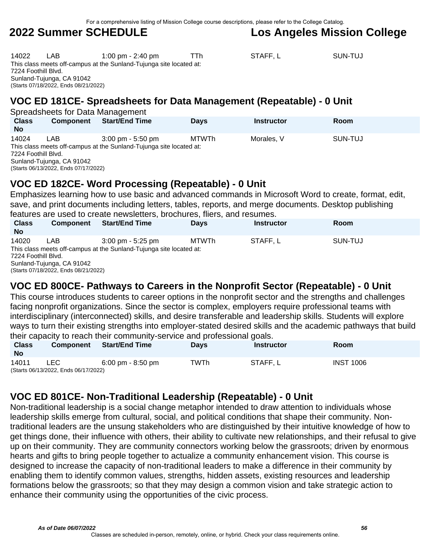14022 LAB 1:00 pm - 2:40 pm TTh STAFF, L SUN-TUJ This class meets off-campus at the Sunland-Tujunga site located at: 7224 Foothill Blvd. Sunland-Tujunga, CA 91042 (Starts 07/18/2022, Ends 08/21/2022)

#### **VOC ED 181CE- Spreadsheets for Data Management (Repeatable) - 0 Unit** Spreadsheets for Data Manage

|                              | Spreadsfields for Data Management                                        |                                                                                                            |             |                   |             |
|------------------------------|--------------------------------------------------------------------------|------------------------------------------------------------------------------------------------------------|-------------|-------------------|-------------|
| <b>Class</b><br><b>No</b>    | <b>Component</b>                                                         | <b>Start/End Time</b>                                                                                      | <b>Days</b> | <b>Instructor</b> | <b>Room</b> |
| 14024<br>7224 Foothill Blvd. | LAB<br>Sunland-Tujunga, CA 91042<br>(Starts 06/13/2022, Ends 07/17/2022) | $3:00 \text{ pm} - 5:50 \text{ pm}$<br>This class meets off-campus at the Sunland-Tujunga site located at: | MTWTh       | Morales. V        | SUN-TUJ     |

#### **VOC ED 182CE- Word Processing (Repeatable) - 0 Unit**

Emphasizes learning how to use basic and advanced commands in Microsoft Word to create, format, edit, save, and print documents including letters, tables, reports, and merge documents. Desktop publishing features are used to create newsletters, brochures, fliers, and resumes.

| <b>Class</b><br><b>No</b>    | <b>Component</b>                                                  | <b>Start/End Time</b>                                                                              | <b>Days</b> | <b>Instructor</b> | <b>Room</b> |
|------------------------------|-------------------------------------------------------------------|----------------------------------------------------------------------------------------------------|-------------|-------------------|-------------|
| 14020<br>7224 Foothill Blvd. | LAB                                                               | $3:00 \text{ pm}$ - 5:25 pm<br>This class meets off-campus at the Sunland-Tujunga site located at: | MTWTh       | STAFF. L          | SUN-TUJ     |
|                              | Sunland-Tujunga, CA 91042<br>(Starts 07/18/2022, Ends 08/21/2022) |                                                                                                    |             |                   |             |

#### **VOC ED 800CE- Pathways to Careers in the Nonprofit Sector (Repeatable) - 0 Unit**

This course introduces students to career options in the nonprofit sector and the strengths and challenges facing nonprofit organizations. Since the sector is complex, employers require professional teams with interdisciplinary (interconnected) skills, and desire transferable and leadership skills. Students will explore ways to turn their existing strengths into employer-stated desired skills and the academic pathways that build their capacity to reach their community-service and professional goals.

| <b>Class</b><br><b>No</b> | <b>Component</b>                            | Start/End Time              | <b>Davs</b> | <b>Instructor</b> | Room             |
|---------------------------|---------------------------------------------|-----------------------------|-------------|-------------------|------------------|
| 14011                     | LEC<br>(Starts 06/13/2022, Ends 06/17/2022) | $6:00 \text{ pm}$ - 8:50 pm | TWTh        | STAFF.L           | <b>INST 1006</b> |

#### **VOC ED 801CE- Non-Traditional Leadership (Repeatable) - 0 Unit**

Non-traditional leadership is a social change metaphor intended to draw attention to individuals whose leadership skills emerge from cultural, social, and political conditions that shape their community. Nontraditional leaders are the unsung stakeholders who are distinguished by their intuitive knowledge of how to get things done, their influence with others, their ability to cultivate new relationships, and their refusal to give up on their community. They are community connectors working below the grassroots; driven by enormous hearts and gifts to bring people together to actualize a community enhancement vision. This course is designed to increase the capacity of non-traditional leaders to make a difference in their community by enabling them to identify common values, strengths, hidden assets, existing resources and leadership formations below the grassroots; so that they may design a common vision and take strategic action to enhance their community using the opportunities of the civic process.